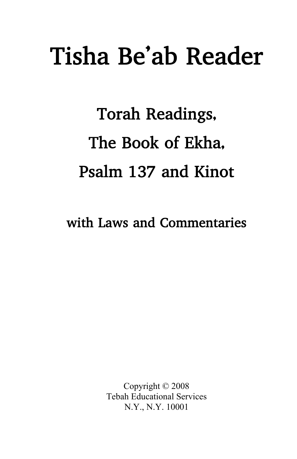# Tisha Be'ab Reader

# Torah Readings, The Book of Ekha, Psalm 137 and Kinot

with Laws and Commentaries

Copyright © 2008 Tebah Educational Services N.Y., N.Y. 10001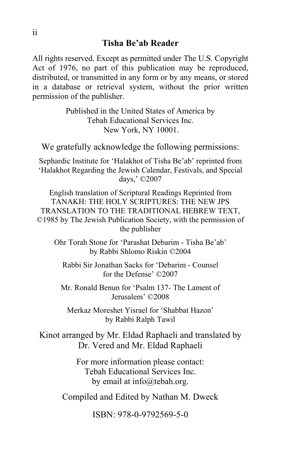All rights reserved. Except as permitted under The U.S. Copyright Act of 1976, no part of this publication may be reproduced, distributed, or transmitted in any form or by any means, or stored in a database or retrieval system, without the prior written permission of the publisher.

> Published in the United States of America by Tebah Educational Services Inc. New York, NY 10001.

We gratefully acknowledge the following permissions:

Sephardic Institute for 'Halakhot of Tisha Be'ab' reprinted from 'Halakhot Regarding the Jewish Calendar, Festivals, and Special days,' ©2007

English translation of Scriptural Readings Reprinted from TANAKH: THE HOLY SCRIPTURES: THE NEW JPS TRANSLATION TO THE TRADITIONAL HEBREW TEXT, ©1985 by The Jewish Publication Society, with the permission of the publisher

Ohr Torah Stone for 'Parashat Debarim - Tisha Be'ab' by Rabbi Shlomo Riskin ©2004

Rabbi Sir Jonathan Sacks for 'Debarim - Counsel for the Defense' ©2007

Mr. Ronald Benun for 'Psalm 137- The Lament of Jerusalem' ©2008

Merkaz Moreshet Yisrael for 'Shabbat Hazon' by Rabbi Ralph Tawil

Kinot arranged by Mr. Eldad Raphaeli and translated by Dr. Vered and Mr. Eldad Raphaeli

> For more information please contact: Tebah Educational Services Inc. by email at info@tebah.org.

Compiled and Edited by Nathan M. Dweck

ISBN: 978-0-9792569-5-0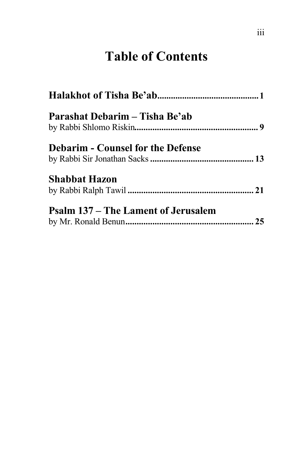## **Table of Contents**

| Parashat Debarim – Tisha Be'ab             |  |
|--------------------------------------------|--|
| <b>Debarim - Counsel for the Defense</b>   |  |
| <b>Shabbat Hazon</b>                       |  |
| <b>Psalm 137 – The Lament of Jerusalem</b> |  |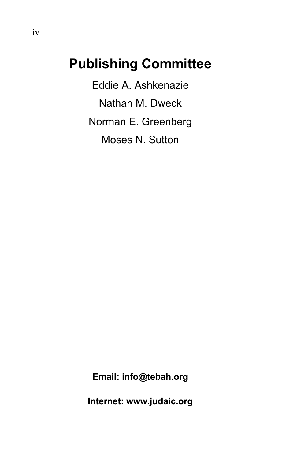## **Publishing Committee**

Eddie A. Ashkenazie Nathan M. Dweck Norman E. Greenberg Moses N. Sutton

**Email: info@tebah.org** 

**Internet: www.judaic.org**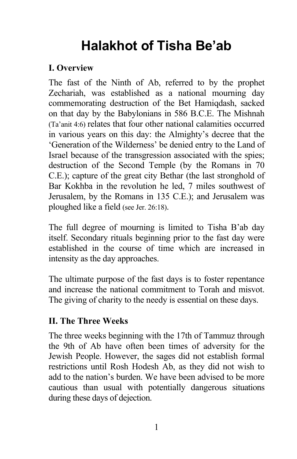# **Halakhot of Tisha Be'ab**

#### **I. Overview**

The fast of the Ninth of Ab, referred to by the prophet Zechariah, was established as a national mourning day commemorating destruction of the Bet Hamiqdash, sacked on that day by the Babylonians in 586 B.C.E. The Mishnah (Ta'anit 4:6) relates that four other national calamities occurred in various years on this day: the Almighty's decree that the 'Generation of the Wilderness' be denied entry to the Land of Israel because of the transgression associated with the spies; destruction of the Second Temple (by the Romans in 70 C.E.); capture of the great city Bethar (the last stronghold of Bar Kokhba in the revolution he led, 7 miles southwest of Jerusalem, by the Romans in 135 C.E.); and Jerusalem was ploughed like a field (see Jer. 26:18).

The full degree of mourning is limited to Tisha B'ab day itself. Secondary rituals beginning prior to the fast day were established in the course of time which are increased in intensity as the day approaches.

The ultimate purpose of the fast days is to foster repentance and increase the national commitment to Torah and misvot. The giving of charity to the needy is essential on these days.

#### **II. The Three Weeks**

The three weeks beginning with the 17th of Tammuz through the 9th of Ab have often been times of adversity for the Jewish People. However, the sages did not establish formal restrictions until Rosh Hodesh Ab, as they did not wish to add to the nation's burden. We have been advised to be more cautious than usual with potentially dangerous situations during these days of dejection.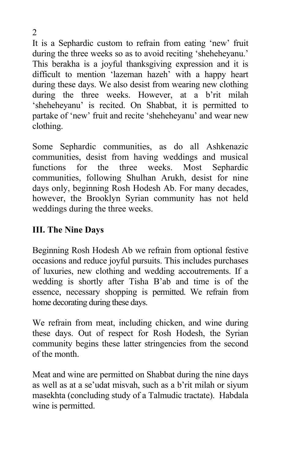It is a Sephardic custom to refrain from eating 'new' fruit during the three weeks so as to avoid reciting 'sheheheyanu.' This berakha is a joyful thanksgiving expression and it is difficult to mention 'lazeman hazeh' with a happy heart during these days. We also desist from wearing new clothing during the three weeks. However, at a b'rit milah 'sheheheyanu' is recited. On Shabbat, it is permitted to partake of 'new' fruit and recite 'sheheheyanu' and wear new clothing.

Some Sephardic communities, as do all Ashkenazic communities, desist from having weddings and musical functions for the three weeks. Most Sephardic communities, following Shulhan Arukh, desist for nine days only, beginning Rosh Hodesh Ab. For many decades, however, the Brooklyn Syrian community has not held weddings during the three weeks.

#### **III. The Nine Days**

Beginning Rosh Hodesh Ab we refrain from optional festive occasions and reduce joyful pursuits. This includes purchases of luxuries, new clothing and wedding accoutrements. If a wedding is shortly after Tisha B'ab and time is of the essence, necessary shopping is permitted. We refrain from home decorating during these days.

We refrain from meat, including chicken, and wine during these days. Out of respect for Rosh Hodesh, the Syrian community begins these latter stringencies from the second of the month.

Meat and wine are permitted on Shabbat during the nine days as well as at a se'udat misvah, such as a b'rit milah or siyum masekhta (concluding study of a Talmudic tractate). Habdala wine is permitted.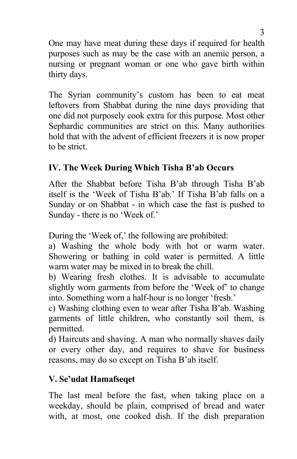One may have meat during these days if required for health purposes such as may be the case with an anemic person, a nursing or pregnant woman or one who gave birth within thirty days.

The Syrian community's custom has been to eat meat leftovers from Shabbat during the nine days providing that one did not purposely cook extra for this purpose. Most other Sephardic communities are strict on this. Many authorities hold that with the advent of efficient freezers it is now proper to be strict.

#### **IV. The Week During Which Tisha B'ab Occurs**

After the Shabbat before Tisha B'ab through Tisha B'ab itself is the 'Week of Tisha B'ab.' If Tisha B'ab falls on a Sunday or on Shabbat - in which case the fast is pushed to Sunday - there is no 'Week of.'

During the 'Week of,' the following are prohibited:

a) Washing the whole body with hot or warm water. Showering or bathing in cold water is permitted. A little warm water may be mixed in to break the chill.

b) Wearing fresh clothes. It is advisable to accumulate slightly worn garments from before the 'Week of' to change into. Something worn a half-hour is no longer 'fresh.'

c) Washing clothing even to wear after Tisha B'ab. Washing garments of little children, who constantly soil them, is permitted.

d) Haircuts and shaving. A man who normally shaves daily or every other day, and requires to shave for business reasons, may do so except on Tisha B'ab itself.

#### **V. Se'udat Hamafseqet**

The last meal before the fast, when taking place on a weekday, should be plain, comprised of bread and water with, at most, one cooked dish. If the dish preparation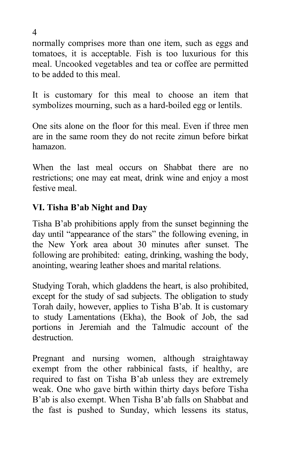normally comprises more than one item, such as eggs and tomatoes, it is acceptable. Fish is too luxurious for this meal. Uncooked vegetables and tea or coffee are permitted to be added to this meal.

It is customary for this meal to choose an item that symbolizes mourning, such as a hard-boiled egg or lentils.

One sits alone on the floor for this meal. Even if three men are in the same room they do not recite zimun before birkat hamazon.

When the last meal occurs on Shabbat there are no restrictions; one may eat meat, drink wine and enjoy a most festive meal.

#### **VI. Tisha B'ab Night and Day**

Tisha B'ab prohibitions apply from the sunset beginning the day until "appearance of the stars" the following evening, in the New York area about 30 minutes after sunset. The following are prohibited: eating, drinking, washing the body, anointing, wearing leather shoes and marital relations.

Studying Torah, which gladdens the heart, is also prohibited, except for the study of sad subjects. The obligation to study Torah daily, however, applies to Tisha B'ab. It is customary to study Lamentations (Ekha), the Book of Job, the sad portions in Jeremiah and the Talmudic account of the destruction.

Pregnant and nursing women, although straightaway exempt from the other rabbinical fasts, if healthy, are required to fast on Tisha B'ab unless they are extremely weak. One who gave birth within thirty days before Tisha B'ab is also exempt. When Tisha B'ab falls on Shabbat and the fast is pushed to Sunday, which lessens its status,

4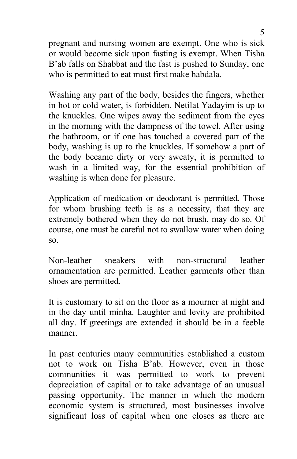pregnant and nursing women are exempt. One who is sick or would become sick upon fasting is exempt. When Tisha B'ab falls on Shabbat and the fast is pushed to Sunday, one who is permitted to eat must first make habdala.

Washing any part of the body, besides the fingers, whether in hot or cold water, is forbidden. Netilat Yadayim is up to the knuckles. One wipes away the sediment from the eyes in the morning with the dampness of the towel. After using the bathroom, or if one has touched a covered part of the body, washing is up to the knuckles. If somehow a part of the body became dirty or very sweaty, it is permitted to wash in a limited way, for the essential prohibition of washing is when done for pleasure.

Application of medication or deodorant is permitted. Those for whom brushing teeth is as a necessity, that they are extremely bothered when they do not brush, may do so. Of course, one must be careful not to swallow water when doing so.

Non-leather sneakers with non-structural leather ornamentation are permitted. Leather garments other than shoes are permitted.

It is customary to sit on the floor as a mourner at night and in the day until minha. Laughter and levity are prohibited all day. If greetings are extended it should be in a feeble manner.

In past centuries many communities established a custom not to work on Tisha B'ab. However, even in those communities it was permitted to work to prevent depreciation of capital or to take advantage of an unusual passing opportunity. The manner in which the modern economic system is structured, most businesses involve significant loss of capital when one closes as there are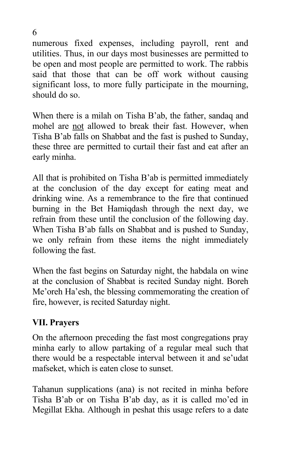numerous fixed expenses, including payroll, rent and utilities. Thus, in our days most businesses are permitted to be open and most people are permitted to work. The rabbis said that those that can be off work without causing significant loss, to more fully participate in the mourning, should do so.

When there is a milah on Tisha B'ab, the father, sandaq and mohel are not allowed to break their fast. However, when Tisha B'ab falls on Shabbat and the fast is pushed to Sunday, these three are permitted to curtail their fast and eat after an early minha.

All that is prohibited on Tisha B'ab is permitted immediately at the conclusion of the day except for eating meat and drinking wine. As a remembrance to the fire that continued burning in the Bet Hamiqdash through the next day, we refrain from these until the conclusion of the following day. When Tisha B'ab falls on Shabbat and is pushed to Sunday, we only refrain from these items the night immediately following the fast.

When the fast begins on Saturday night, the habdala on wine at the conclusion of Shabbat is recited Sunday night. Boreh Me'oreh Ha'esh, the blessing commemorating the creation of fire, however, is recited Saturday night.

#### **VII. Prayers**

On the afternoon preceding the fast most congregations pray minha early to allow partaking of a regular meal such that there would be a respectable interval between it and se'udat mafseket, which is eaten close to sunset.

Tahanun supplications (ana) is not recited in minha before Tisha B'ab or on Tisha B'ab day, as it is called mo'ed in Megillat Ekha. Although in peshat this usage refers to a date

6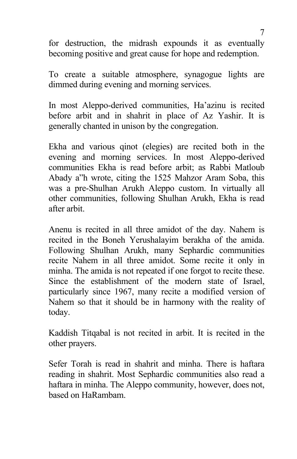for destruction, the midrash expounds it as eventually becoming positive and great cause for hope and redemption.

To create a suitable atmosphere, synagogue lights are dimmed during evening and morning services.

In most Aleppo-derived communities, Ha'azinu is recited before arbit and in shahrit in place of Az Yashir. It is generally chanted in unison by the congregation.

Ekha and various qinot (elegies) are recited both in the evening and morning services. In most Aleppo-derived communities Ekha is read before arbit; as Rabbi Matloub Abady a"h wrote, citing the 1525 Mahzor Aram Soba, this was a pre-Shulhan Arukh Aleppo custom. In virtually all other communities, following Shulhan Arukh, Ekha is read after arbit.

Anenu is recited in all three amidot of the day. Nahem is recited in the Boneh Yerushalayim berakha of the amida. Following Shulhan Arukh, many Sephardic communities recite Nahem in all three amidot. Some recite it only in minha. The amida is not repeated if one forgot to recite these. Since the establishment of the modern state of Israel, particularly since 1967, many recite a modified version of Nahem so that it should be in harmony with the reality of today.

Kaddish Titqabal is not recited in arbit. It is recited in the other prayers.

Sefer Torah is read in shahrit and minha. There is haftara reading in shahrit. Most Sephardic communities also read a haftara in minha. The Aleppo community, however, does not, based on HaRambam.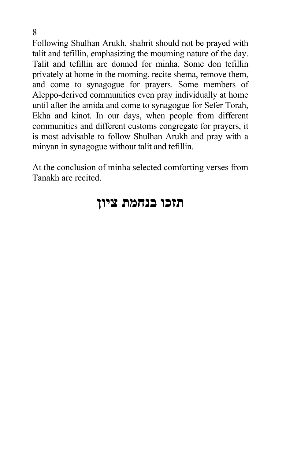Following Shulhan Arukh, shahrit should not be prayed with talit and tefillin, emphasizing the mourning nature of the day. Talit and tefillin are donned for minha. Some don tefillin privately at home in the morning, recite shema, remove them, and come to synagogue for prayers. Some members of Aleppo-derived communities even pray individually at home until after the amida and come to synagogue for Sefer Torah, Ekha and kinot. In our days, when people from different communities and different customs congregate for prayers, it is most advisable to follow Shulhan Arukh and pray with a minyan in synagogue without talit and tefillin.

At the conclusion of minha selected comforting verses from Tanakh are recited.

## **תזכו בנחמת ציון**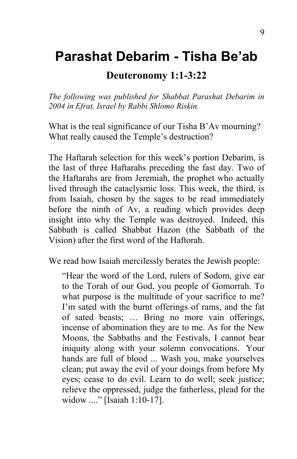## **Parashat Debarim - Tisha Be'ab**

#### **Deuteronomy 1:1-3:22**

*The following was published for Shabbat Parashat Debarim in 2004 in Efrat, Israel by Rabbi Shlomo Riskin.* 

What is the real significance of our Tisha B'Av mourning? What really caused the Temple's destruction?

The Haftarah selection for this week's portion Debarim, is the last of three Haftarahs preceding the fast day. Two of the Haftarahs are from Jeremiah, the prophet who actually lived through the cataclysmic loss. This week, the third, is from Isaiah, chosen by the sages to be read immediately before the ninth of Av, a reading which provides deep insight into why the Temple was destroyed. Indeed, this Sabbath is called Shabbat Hazon (the Sabbath of the Vision) after the first word of the Haftorah.

We read how Isaiah mercilessly berates the Jewish people:

"Hear the word of the Lord, rulers of Sodom, give ear to the Torah of our God, you people of Gomorrah. To what purpose is the multitude of your sacrifice to me? I'm sated with the burnt offerings of rams, and the fat of sated beasts; … Bring no more vain offerings, incense of abomination they are to me. As for the New Moons, the Sabbaths and the Festivals, I cannot bear iniquity along with your solemn convocations. Your hands are full of blood ... Wash you, make yourselves clean; put away the evil of your doings from before My eyes; cease to do evil. Learn to do well; seek justice; relieve the oppressed, judge the fatherless, plead for the widow ...." [Isaiah 1:10-17].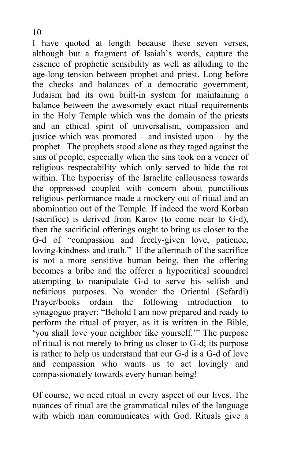I have quoted at length because these seven verses, although but a fragment of Isaiah's words, capture the essence of prophetic sensibility as well as alluding to the age-long tension between prophet and priest. Long before the checks and balances of a democratic government, Judaism had its own built-in system for maintaining a balance between the awesomely exact ritual requirements in the Holy Temple which was the domain of the priests and an ethical spirit of universalism, compassion and justice which was promoted – and insisted upon – by the prophet. The prophets stood alone as they raged against the sins of people, especially when the sins took on a veneer of religious respectability which only served to hide the rot within. The hypocrisy of the Israelite callousness towards the oppressed coupled with concern about punctilious religious performance made a mockery out of ritual and an abomination out of the Temple. If indeed the word Korban (sacrifice) is derived from Karov (to come near to G-d), then the sacrificial offerings ought to bring us closer to the G-d of "compassion and freely-given love, patience, loving-kindness and truth." If the aftermath of the sacrifice is not a more sensitive human being, then the offering becomes a bribe and the offerer a hypocritical scoundrel attempting to manipulate G-d to serve his selfish and nefarious purposes. No wonder the Oriental (Sefardi) Prayer/books ordain the following introduction to synagogue prayer: "Behold I am now prepared and ready to perform the ritual of prayer, as it is written in the Bible, 'you shall love your neighbor like yourself.'" The purpose of ritual is not merely to bring us closer to G-d; its purpose is rather to help us understand that our G-d is a G-d of love and compassion who wants us to act lovingly and compassionately towards every human being!

Of course, we need ritual in every aspect of our lives. The nuances of ritual are the grammatical rules of the language with which man communicates with God. Rituals give a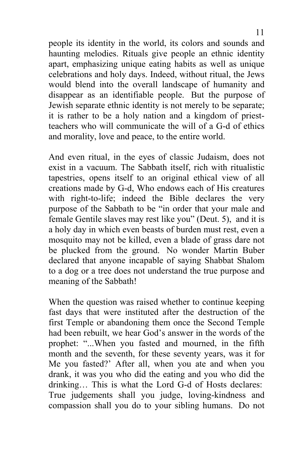people its identity in the world, its colors and sounds and haunting melodies. Rituals give people an ethnic identity apart, emphasizing unique eating habits as well as unique celebrations and holy days. Indeed, without ritual, the Jews would blend into the overall landscape of humanity and disappear as an identifiable people. But the purpose of Jewish separate ethnic identity is not merely to be separate; it is rather to be a holy nation and a kingdom of priestteachers who will communicate the will of a G-d of ethics and morality, love and peace, to the entire world.

And even ritual, in the eyes of classic Judaism, does not exist in a vacuum. The Sabbath itself, rich with ritualistic tapestries, opens itself to an original ethical view of all creations made by G-d, Who endows each of His creatures with right-to-life; indeed the Bible declares the very purpose of the Sabbath to be "in order that your male and female Gentile slaves may rest like you" (Deut. 5), and it is a holy day in which even beasts of burden must rest, even a mosquito may not be killed, even a blade of grass dare not be plucked from the ground. No wonder Martin Buber declared that anyone incapable of saying Shabbat Shalom to a dog or a tree does not understand the true purpose and meaning of the Sabbath!

When the question was raised whether to continue keeping fast days that were instituted after the destruction of the first Temple or abandoning them once the Second Temple had been rebuilt, we hear God's answer in the words of the prophet: "...When you fasted and mourned, in the fifth month and the seventh, for these seventy years, was it for Me you fasted?' After all, when you ate and when you drank, it was you who did the eating and you who did the drinking… This is what the Lord G-d of Hosts declares: True judgements shall you judge, loving-kindness and compassion shall you do to your sibling humans. Do not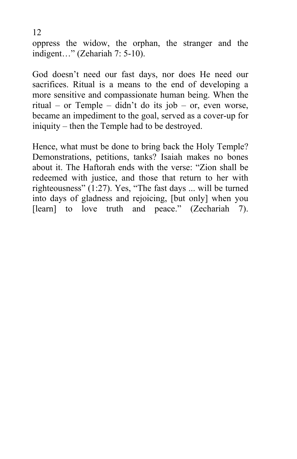oppress the widow, the orphan, the stranger and the indigent…" (Zehariah 7: 5-10).

12

God doesn't need our fast days, nor does He need our sacrifices. Ritual is a means to the end of developing a more sensitive and compassionate human being. When the ritual – or Temple – didn't do its job – or, even worse, became an impediment to the goal, served as a cover-up for iniquity – then the Temple had to be destroyed.

Hence, what must be done to bring back the Holy Temple? Demonstrations, petitions, tanks? Isaiah makes no bones about it. The Haftorah ends with the verse: "Zion shall be redeemed with justice, and those that return to her with righteousness" (1:27). Yes, "The fast days ... will be turned into days of gladness and rejoicing, [but only] when you [learn] to love truth and peace." (Zechariah 7).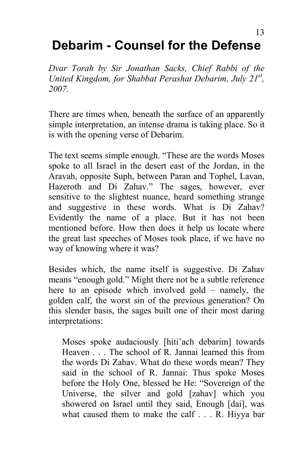# **Debarim - Counsel for the Defense**

*Dvar Torah by Sir Jonathan Sacks, Chief Rabbi of the*  United Kingdom, for Shabbat Perashat Debarim, July 21<sup>st</sup>, *2007.* 

There are times when, beneath the surface of an apparently simple interpretation, an intense drama is taking place. So it is with the opening verse of Debarim.

The text seems simple enough. "These are the words Moses spoke to all Israel in the desert east of the Jordan, in the Aravah, opposite Suph, between Paran and Tophel, Lavan, Hazeroth and Di Zahav." The sages, however, ever sensitive to the slightest nuance, heard something strange and suggestive in these words. What is Di Zahav? Evidently the name of a place. But it has not been mentioned before. How then does it help us locate where the great last speeches of Moses took place, if we have no way of knowing where it was?

Besides which, the name itself is suggestive. Di Zahav means "enough gold." Might there not be a subtle reference here to an episode which involved gold – namely, the golden calf, the worst sin of the previous generation? On this slender basis, the sages built one of their most daring interpretations:

Moses spoke audaciously [hiti'ach debarim] towards Heaven . . . The school of R. Jannai learned this from the words Di Zahav. What do these words mean? They said in the school of R. Jannai: Thus spoke Moses before the Holy One, blessed be He: "Sovereign of the Universe, the silver and gold [zahav] which you showered on Israel until they said, Enough [dai], was what caused them to make the calf . . . R. Hiyya bar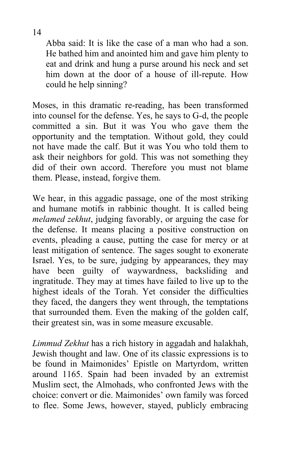Abba said: It is like the case of a man who had a son. He bathed him and anointed him and gave him plenty to eat and drink and hung a purse around his neck and set him down at the door of a house of ill-repute. How could he help sinning?

Moses, in this dramatic re-reading, has been transformed into counsel for the defense. Yes, he says to G-d, the people committed a sin. But it was You who gave them the opportunity and the temptation. Without gold, they could not have made the calf. But it was You who told them to ask their neighbors for gold. This was not something they did of their own accord. Therefore you must not blame them. Please, instead, forgive them.

We hear, in this aggadic passage, one of the most striking and humane motifs in rabbinic thought. It is called being *melamed zekhut*, judging favorably, or arguing the case for the defense. It means placing a positive construction on events, pleading a cause, putting the case for mercy or at least mitigation of sentence. The sages sought to exonerate Israel. Yes, to be sure, judging by appearances, they may have been guilty of waywardness, backsliding and ingratitude. They may at times have failed to live up to the highest ideals of the Torah. Yet consider the difficulties they faced, the dangers they went through, the temptations that surrounded them. Even the making of the golden calf, their greatest sin, was in some measure excusable.

*Limmud Zekhut* has a rich history in aggadah and halakhah, Jewish thought and law. One of its classic expressions is to be found in Maimonides' Epistle on Martyrdom, written around 1165. Spain had been invaded by an extremist Muslim sect, the Almohads, who confronted Jews with the choice: convert or die. Maimonides' own family was forced to flee. Some Jews, however, stayed, publicly embracing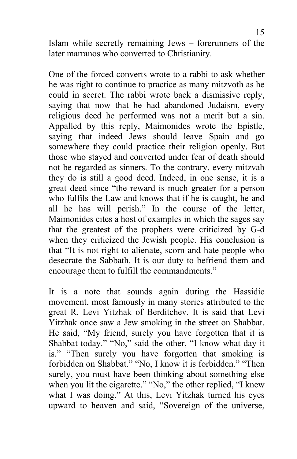Islam while secretly remaining Jews – forerunners of the later marranos who converted to Christianity.

One of the forced converts wrote to a rabbi to ask whether he was right to continue to practice as many mitzvoth as he could in secret. The rabbi wrote back a dismissive reply, saying that now that he had abandoned Judaism, every religious deed he performed was not a merit but a sin. Appalled by this reply, Maimonides wrote the Epistle, saying that indeed Jews should leave Spain and go somewhere they could practice their religion openly. But those who stayed and converted under fear of death should not be regarded as sinners. To the contrary, every mitzvah they do is still a good deed. Indeed, in one sense, it is a great deed since "the reward is much greater for a person who fulfils the Law and knows that if he is caught, he and all he has will perish." In the course of the letter, Maimonides cites a host of examples in which the sages say that the greatest of the prophets were criticized by G-d when they criticized the Jewish people. His conclusion is that "It is not right to alienate, scorn and hate people who desecrate the Sabbath. It is our duty to befriend them and encourage them to fulfill the commandments."

It is a note that sounds again during the Hassidic movement, most famously in many stories attributed to the great R. Levi Yitzhak of Berditchev. It is said that Levi Yitzhak once saw a Jew smoking in the street on Shabbat. He said, "My friend, surely you have forgotten that it is Shabbat today." "No," said the other, "I know what day it is." "Then surely you have forgotten that smoking is forbidden on Shabbat." "No, I know it is forbidden." "Then surely, you must have been thinking about something else when you lit the cigarette." "No," the other replied, "I knew what I was doing." At this, Levi Yitzhak turned his eyes upward to heaven and said, "Sovereign of the universe,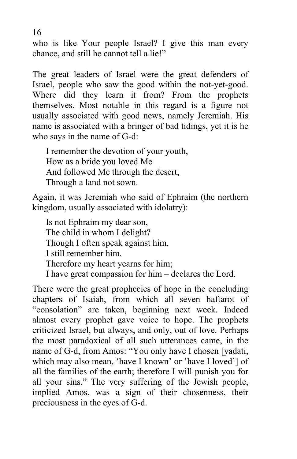who is like Your people Israel? I give this man every chance, and still he cannot tell a lie!"

The great leaders of Israel were the great defenders of Israel, people who saw the good within the not-yet-good. Where did they learn it from? From the prophets themselves. Most notable in this regard is a figure not usually associated with good news, namely Jeremiah. His name is associated with a bringer of bad tidings, yet it is he who says in the name of G-d:

I remember the devotion of your youth, How as a bride you loved Me And followed Me through the desert, Through a land not sown.

Again, it was Jeremiah who said of Ephraim (the northern kingdom, usually associated with idolatry):

Is not Ephraim my dear son, The child in whom I delight? Though I often speak against him, I still remember him. Therefore my heart yearns for him; I have great compassion for him – declares the Lord.

There were the great prophecies of hope in the concluding chapters of Isaiah, from which all seven haftarot of "consolation" are taken, beginning next week. Indeed almost every prophet gave voice to hope. The prophets criticized Israel, but always, and only, out of love. Perhaps the most paradoxical of all such utterances came, in the name of G-d, from Amos: "You only have I chosen [yadati, which may also mean, 'have I known' or 'have I loved'] of all the families of the earth; therefore I will punish you for all your sins." The very suffering of the Jewish people, implied Amos, was a sign of their chosenness, their preciousness in the eyes of G-d.

16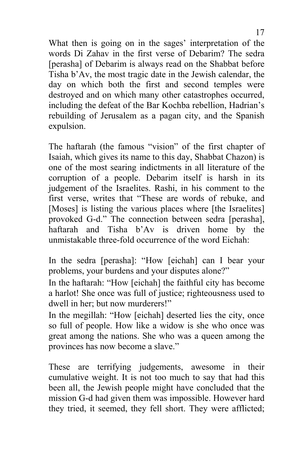What then is going on in the sages' interpretation of the words Di Zahav in the first verse of Debarim? The sedra [perasha] of Debarim is always read on the Shabbat before Tisha b'Av, the most tragic date in the Jewish calendar, the day on which both the first and second temples were destroyed and on which many other catastrophes occurred, including the defeat of the Bar Kochba rebellion, Hadrian's rebuilding of Jerusalem as a pagan city, and the Spanish expulsion.

The haftarah (the famous "vision" of the first chapter of Isaiah, which gives its name to this day, Shabbat Chazon) is one of the most searing indictments in all literature of the corruption of a people. Debarim itself is harsh in its judgement of the Israelites. Rashi, in his comment to the first verse, writes that "These are words of rebuke, and [Moses] is listing the various places where [the Israelites] provoked G-d." The connection between sedra [perasha], haftarah and Tisha b'Av is driven home by the unmistakable three-fold occurrence of the word Eichah:

In the sedra [perasha]: "How [eichah] can I bear your problems, your burdens and your disputes alone?"

In the haftarah: "How [eichah] the faithful city has become a harlot! She once was full of justice; righteousness used to dwell in her; but now murderers!"

In the megillah: "How [eichah] deserted lies the city, once so full of people. How like a widow is she who once was great among the nations. She who was a queen among the provinces has now become a slave."

These are terrifying judgements, awesome in their cumulative weight. It is not too much to say that had this been all, the Jewish people might have concluded that the mission G-d had given them was impossible. However hard they tried, it seemed, they fell short. They were afflicted;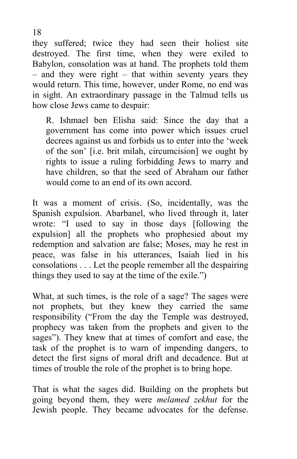they suffered; twice they had seen their holiest site destroyed. The first time, when they were exiled to Babylon, consolation was at hand. The prophets told them – and they were right – that within seventy years they would return. This time, however, under Rome, no end was in sight. An extraordinary passage in the Talmud tells us how close Jews came to despair:

R. Ishmael ben Elisha said: Since the day that a government has come into power which issues cruel decrees against us and forbids us to enter into the 'week of the son' [i.e. brit milah, circumcision] we ought by rights to issue a ruling forbidding Jews to marry and have children, so that the seed of Abraham our father would come to an end of its own accord.

It was a moment of crisis. (So, incidentally, was the Spanish expulsion. Abarbanel, who lived through it, later wrote: "I used to say in those days [following the expulsion] all the prophets who prophesied about my redemption and salvation are false; Moses, may he rest in peace, was false in his utterances, Isaiah lied in his consolations . . . Let the people remember all the despairing things they used to say at the time of the exile.")

What, at such times, is the role of a sage? The sages were not prophets, but they knew they carried the same responsibility ("From the day the Temple was destroyed, prophecy was taken from the prophets and given to the sages"). They knew that at times of comfort and ease, the task of the prophet is to warn of impending dangers, to detect the first signs of moral drift and decadence. But at times of trouble the role of the prophet is to bring hope.

That is what the sages did. Building on the prophets but going beyond them, they were *melamed zekhut* for the Jewish people. They became advocates for the defense.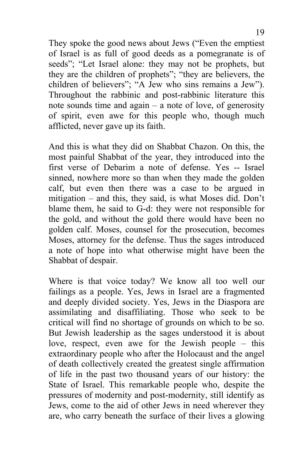They spoke the good news about Jews ("Even the emptiest of Israel is as full of good deeds as a pomegranate is of seeds"; "Let Israel alone: they may not be prophets, but they are the children of prophets"; "they are believers, the children of believers"; "A Jew who sins remains a Jew"). Throughout the rabbinic and post-rabbinic literature this note sounds time and again – a note of love, of generosity of spirit, even awe for this people who, though much afflicted, never gave up its faith.

And this is what they did on Shabbat Chazon. On this, the most painful Shabbat of the year, they introduced into the first verse of Debarim a note of defense. Yes -- Israel sinned, nowhere more so than when they made the golden calf, but even then there was a case to be argued in mitigation – and this, they said, is what Moses did. Don't blame them, he said to G-d: they were not responsible for the gold, and without the gold there would have been no golden calf. Moses, counsel for the prosecution, becomes Moses, attorney for the defense. Thus the sages introduced a note of hope into what otherwise might have been the Shabbat of despair.

Where is that voice today? We know all too well our failings as a people. Yes, Jews in Israel are a fragmented and deeply divided society. Yes, Jews in the Diaspora are assimilating and disaffiliating. Those who seek to be critical will find no shortage of grounds on which to be so. But Jewish leadership as the sages understood it is about love, respect, even awe for the Jewish people – this extraordinary people who after the Holocaust and the angel of death collectively created the greatest single affirmation of life in the past two thousand years of our history: the State of Israel. This remarkable people who, despite the pressures of modernity and post-modernity, still identify as Jews, come to the aid of other Jews in need wherever they are, who carry beneath the surface of their lives a glowing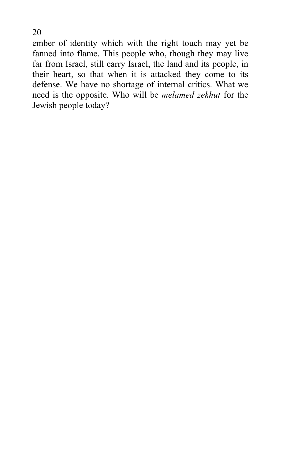ember of identity which with the right touch may yet be fanned into flame. This people who, though they may live far from Israel, still carry Israel, the land and its people, in their heart, so that when it is attacked they come to its defense. We have no shortage of internal critics. What we need is the opposite. Who will be *melamed zekhut* for the Jewish people today?

20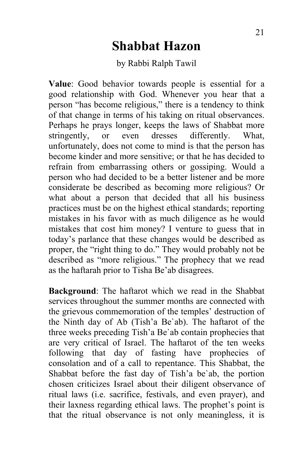## **Shabbat Hazon**

#### by Rabbi Ralph Tawil

**Value**: Good behavior towards people is essential for a good relationship with God. Whenever you hear that a person "has become religious," there is a tendency to think of that change in terms of his taking on ritual observances. Perhaps he prays longer, keeps the laws of Shabbat more stringently, or even dresses differently. What, unfortunately, does not come to mind is that the person has become kinder and more sensitive; or that he has decided to refrain from embarrassing others or gossiping. Would a person who had decided to be a better listener and be more considerate be described as becoming more religious? Or what about a person that decided that all his business practices must be on the highest ethical standards; reporting mistakes in his favor with as much diligence as he would mistakes that cost him money? I venture to guess that in today's parlance that these changes would be described as proper, the "right thing to do." They would probably not be described as "more religious." The prophecy that we read as the haftarah prior to Tisha Be'ab disagrees.

**Background**: The haftarot which we read in the Shabbat services throughout the summer months are connected with the grievous commemoration of the temples' destruction of the Ninth day of Ab (Tish'a Be`ab). The haftarot of the three weeks preceding Tish'a Be`ab contain prophecies that are very critical of Israel. The haftarot of the ten weeks following that day of fasting have prophecies of consolation and of a call to repentance. This Shabbat, the Shabbat before the fast day of Tish'a be`ab, the portion chosen criticizes Israel about their diligent observance of ritual laws (i.e. sacrifice, festivals, and even prayer), and their laxness regarding ethical laws. The prophet's point is that the ritual observance is not only meaningless, it is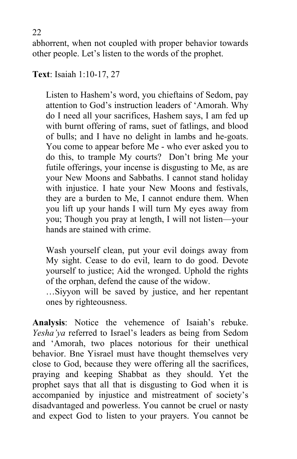abhorrent, when not coupled with proper behavior towards other people. Let's listen to the words of the prophet.

**Text**: Isaiah 1:10-17, 27

Listen to Hashem's word, you chieftains of Sedom, pay attention to God's instruction leaders of 'Amorah. Why do I need all your sacrifices, Hashem says, I am fed up with burnt offering of rams, suet of fatlings, and blood of bulls; and I have no delight in lambs and he-goats. You come to appear before Me - who ever asked you to do this, to trample My courts? Don't bring Me your futile offerings, your incense is disgusting to Me, as are your New Moons and Sabbaths. I cannot stand holiday with injustice. I hate your New Moons and festivals, they are a burden to Me, I cannot endure them. When you lift up your hands I will turn My eyes away from you; Though you pray at length, I will not listen—your hands are stained with crime.

Wash yourself clean, put your evil doings away from My sight. Cease to do evil, learn to do good. Devote yourself to justice; Aid the wronged. Uphold the rights of the orphan, defend the cause of the widow.

…Siyyon will be saved by justice, and her repentant ones by righteousness.

**Analysis**: Notice the vehemence of Isaiah's rebuke. *Yesha'ya* referred to Israel's leaders as being from Sedom and 'Amorah, two places notorious for their unethical behavior. Bne Yisrael must have thought themselves very close to God, because they were offering all the sacrifices, praying and keeping Shabbat as they should. Yet the prophet says that all that is disgusting to God when it is accompanied by injustice and mistreatment of society's disadvantaged and powerless. You cannot be cruel or nasty and expect God to listen to your prayers. You cannot be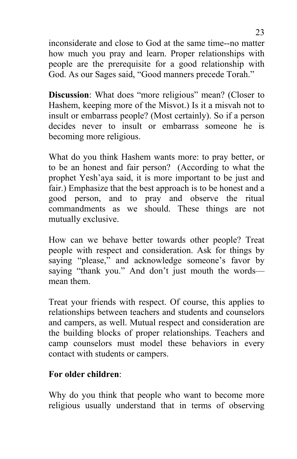inconsiderate and close to God at the same time--no matter how much you pray and learn. Proper relationships with people are the prerequisite for a good relationship with God. As our Sages said, "Good manners precede Torah."

**Discussion**: What does "more religious" mean? (Closer to Hashem, keeping more of the Misvot.) Is it a misvah not to insult or embarrass people? (Most certainly). So if a person decides never to insult or embarrass someone he is becoming more religious.

What do you think Hashem wants more: to pray better, or to be an honest and fair person? (According to what the prophet Yesh'aya said, it is more important to be just and fair.) Emphasize that the best approach is to be honest and a good person, and to pray and observe the ritual commandments as we should. These things are not mutually exclusive.

How can we behave better towards other people? Treat people with respect and consideration. Ask for things by saying "please," and acknowledge someone's favor by saying "thank you." And don't just mouth the words mean them.

Treat your friends with respect. Of course, this applies to relationships between teachers and students and counselors and campers, as well. Mutual respect and consideration are the building blocks of proper relationships. Teachers and camp counselors must model these behaviors in every contact with students or campers.

#### **For older children**:

Why do you think that people who want to become more religious usually understand that in terms of observing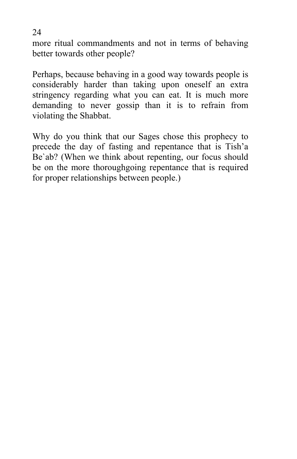more ritual commandments and not in terms of behaving better towards other people?

Perhaps, because behaving in a good way towards people is considerably harder than taking upon oneself an extra stringency regarding what you can eat. It is much more demanding to never gossip than it is to refrain from violating the Shabbat.

Why do you think that our Sages chose this prophecy to precede the day of fasting and repentance that is Tish'a Be`ab? (When we think about repenting, our focus should be on the more thoroughgoing repentance that is required for proper relationships between people.)

24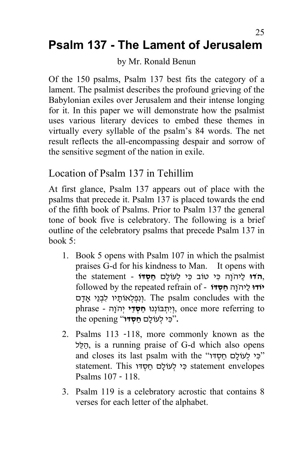### 25 **Psalm 137 - The Lament of Jerusalem**

#### by Mr. Ronald Benun

Of the 150 psalms, Psalm 137 best fits the category of a lament. The psalmist describes the profound grieving of the Babylonian exiles over Jerusalem and their intense longing for it. In this paper we will demonstrate how the psalmist uses various literary devices to embed these themes in virtually every syllable of the psalm's 84 words. The net result reflects the all-encompassing despair and sorrow of the sensitive segment of the nation in exile.

### Location of Psalm 137 in Tehillim

At first glance, Psalm 137 appears out of place with the psalms that precede it. Psalm 137 is placed towards the end of the fifth book of Psalms. Prior to Psalm 137 the general tone of book five is celebratory. The following is a brief outline of the celebratory psalms that precede Psalm 137 in book 5:

- 1. Book 5 opens with Psalm 107 in which the psalmist praises G-d for his kindness to Man. It opens with ,**הדו**ּ לַיהוָה כִּי טוֹב כִּי לִעוֹלָם חַסְדּוֹ - the statement **יוֹדוּ** לַיהֹוַה חַסְדּוֹ - followed by the repeated refrain of ונפלאוֹתיו לבני אדם. The psalm concludes with the to referring more once ,וְ יִ ת ְ בּוֹנְ נוּ **חַ ס ְ דֵ י** יְ הֹוָה - phrase **.**"כּ ִ י ל ְ עוֹלָ ם **חַ ס ְ דּו**" opening the
- 2. Psalms 113 -118, more commonly known as the לּל ַ ֵה, is a running praise of G-d which also opens and closes its last psalm with the "כִּי לְעוֹלָם חַסְדּוֹ" statement. This כִּי לְעוֹלָם חַסְדּו statement .This . Psalms 107 - 118.
- 3. Psalm 119 is a celebratory acrostic that contains 8 verses for each letter of the alphabet.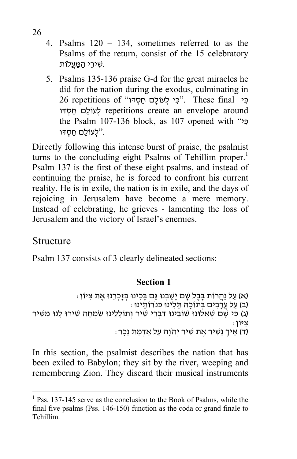- 4. Psalms 120 134, sometimes referred to as the Psalms of the return, consist of the 15 celebratory .שׁ ֵ ִ ירי הַ מַּ עֲלוֹת
- 5. Psalms 135-136 praise G-d for the great miracles he did for the nation during the exodus, culminating in כִּי final "כִּי לְעוֹלָם חַסְדוֹ". These final 26 repetitions of לעוֹלָם חַסְדוּ repetitions create an envelope around the Psalm 107-136 block, as 107 opened with " ילעוֹלם חסדו".

Directly following this intense burst of praise, the psalmist turns to the concluding eight Psalms of Tehillim proper.<sup>1</sup> Psalm 137 is the first of these eight psalms, and instead of continuing the praise, he is forced to confront his current reality. He is in exile, the nation is in exile, and the days of rejoicing in Jerusalem have become a mere memory. Instead of celebrating, he grieves - lamenting the loss of Jerusalem and the victory of Israel's enemies.

#### Structure

 $\overline{a}$ 

Psalm 137 consists of 3 clearly delineated sections:

#### **Section 1**

```
: (א) עַל נַהֲרוֹת בַּבֶל שַׁם יַשַּׁבְנוּ גֵּם בַּכְינוּ בְּזֶכְרֶנוּ אֶת צִיּוֹן)
                                             (ב) על ערבים בתוכה תלינו כּנֹרוֹתינוּ:
(ג) כִּי שָׁם שָׁאֲלוּנוּ שׁוֹבֵינוּ דִּבְרֵי שִׁיר וְתוֹלָלֵינוּ שִׂמְחָה שִׁירוּ לָנוּ מִשִּׁיר
                                      צִיּוֹן <sub>፡</sub><br>(ד) איד נשיר את שיר יהוֹה עַל אַדמת נכר <sub>י</sub>
```
In this section, the psalmist describes the nation that has been exiled to Babylon; they sit by the river, weeping and remembering Zion. They discard their musical instruments

<sup>&</sup>lt;sup>1</sup> Pss. 137-145 serve as the conclusion to the Book of Psalms, while the final five psalms (Pss. 146-150) function as the coda or grand finale to Tehillim.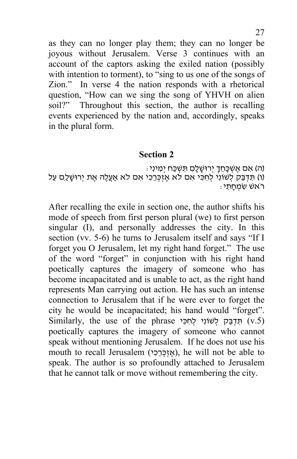as they can no longer play them; they can no longer be joyous without Jerusalem. Verse 3 continues with an account of the captors asking the exiled nation (possibly with intention to torment), to "sing to us one of the songs of Zion." In verse 4 the nation responds with a rhetorical question, "How can we sing the song of YHVH on alien soil?" Throughout this section, the author is recalling events experienced by the nation and, accordingly, speaks in the plural form.

#### **Section 2**

(ה) אִם אֵשְׁכָּחֵךְ יִרוּשָׁלָם תּשִׁכַּח יִמְינִי: (ו) תּדְבַּק לְשׁוֹנִי לְחִכִּי אִם לֹא אֶזְכְּרֵכִי אִם לֹא אַעֲלֶה אֶת יְרוּשָׁלֵם עַל<br>רֹאשׁ שִׂמְחַתִּי

After recalling the exile in section one, the author shifts his mode of speech from first person plural (we) to first person singular (I), and personally addresses the city. In this section (vv. 5-6) he turns to Jerusalem itself and says "If I forget you O Jerusalem, let my right hand forget." The use of the word "forget" in conjunction with his right hand poetically captures the imagery of someone who has become incapacitated and is unable to act, as the right hand represents Man carrying out action. He has such an intense connection to Jerusalem that if he were ever to forget the city he would be incapacitated; his hand would "forget".  $Similarly,$  the use of the phrase תִדְבַּק לְשׁוֹנִי לְחִכִּי  $(v.5)$ poetically captures the imagery of someone who cannot speak without mentioning Jerusalem. If he does not use his mouth to recall Jerusalem (אֵזְכָּרָי), he will not be able to speak. The author is so profoundly attached to Jerusalem that he cannot talk or move without remembering the city.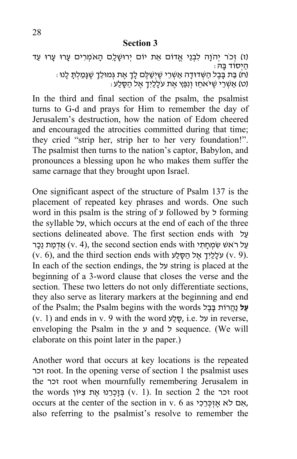#### **Section 3**

(ז) זְכֹר יְהֹוָה לִבְנֵי אֱדוֹם אֵת יוֹם יְרוּשָׁלָם הָאֹמְרִים עָרוּ עָרוּ עַד הַ יְ סוֹד בָּ הּ: : (ח) בַּת בָּבֶל הַשְּׁדוּדָה אַשְׁרֵי שֶׁיְשַׁלֶּם לָךָ אֶת גְּמוּלֵךָ שֶׁגָּמַלִתָּ לָנוּ

```
(ט) אַשְׂרֵי שֶׁיּאחֵז וְנִפֵּץ אֶת עֹלָלַיִךָ אֵל הַסָּלַע:
```
In the third and final section of the psalm, the psalmist turns to G-d and prays for Him to remember the day of Jerusalem's destruction, how the nation of Edom cheered and encouraged the atrocities committed during that time; they cried "strip her, strip her to her very foundation!". The psalmist then turns to the nation's captor, Babylon, and pronounces a blessing upon he who makes them suffer the same carnage that they brought upon Israel.

One significant aspect of the structure of Psalm 137 is the placement of repeated key phrases and words. One such word in this psalm is the string of ע followed by ל forming the syllable על, which occurs at the end of each of the three sections delineated above. The first section ends with  $y$ עַל רֹאשׁ שִׂמְחָתי (v. 4), the second section ends with אֲדָמַת נֵכָר  $(v. 6)$ , and the third section ends with עַלַלֵּיךָ אֱל הַסָּלֵע (v. 9). In each of the section endings, the על string is placed at the beginning of a 3-word clause that closes the verse and the section. These two letters do not only differentiate sections, they also serve as literary markers at the beginning and end of the Psalm; the Psalm begins with the words ל ֶב ָבּ רוֹת ֲהַנ **ל ַע** (v. 1) and ends in v. 9 with the word ע ַל ָסּ, i.e. על in reverse, enveloping the Psalm in the ע and ל sequence. (We will elaborate on this point later in the paper.)

Another word that occurs at key locations is the repeated זכר root. In the opening verse of section 1 the psalmist uses the זכר root when mournfully remembering Jerusalem in the words זכר (v. 1). In section 2 the זכר  $\alpha$  toot ,אם לא אזכּרכי 6 as יוכורכי occurs at the center of the section in v. 6 as also referring to the psalmist's resolve to remember the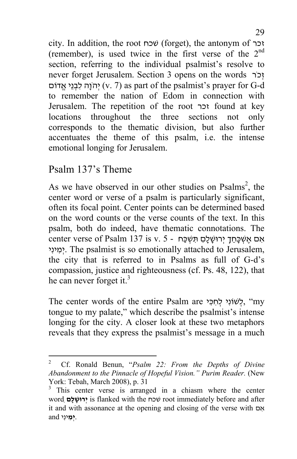city. In addition, the root שׁכח) forget), the antonym of זכר (remember), is used twice in the first verse of the  $2<sup>nd</sup>$ section, referring to the individual psalmist's resolve to never forget Jerusalem. Section 3 opens on the words רֹכ ְז יִהוֹה לִבְנֵי אֱדוֹם (v. 7) as part of the psalmist's prayer for G-d to remember the nation of Edom in connection with Jerusalem. The repetition of the root זכר found at key locations throughout the three sections not only corresponds to the thematic division, but also further accentuates the theme of this psalm, i.e. the intense emotional longing for Jerusalem.

## Psalm 137's Theme

As we have observed in our other studies on Psalms<sup>2</sup>, the center word or verse of a psalm is particularly significant, often its focal point. Center points can be determined based on the word counts or the verse counts of the text. In this psalm, both do indeed, have thematic connotations. The אָם אָשׁכָּחֶד יְרוּשָׁלַם תִּשְׁכָּח - 5 .v. 5 יְאָם אֵשְׁכָּחֶד יְרוּשָׁלַם תִּשְׁכָּח י ִינ ִ מ ְי. The psalmist is so emotionally attached to Jerusalem, the city that is referred to in Psalms as full of G-d's compassion, justice and righteousness (cf. Ps. 48, 122), that he can never forget it. $3$ 

The center words of the entire Psalm are לְשׁוֹנִי לְחְכִּי, "my tongue to my palate," which describe the psalmist's intense longing for the city. A closer look at these two metaphors reveals that they express the psalmist's message in a much

 $\frac{1}{2}$  Cf. Ronald Benun, "*Psalm 22: From the Depths of Divine*  Abandonment to the Pinnacle of Hopeful Vision." Purim Reader. (New York: Tebah, March 2008), p. 31

<sup>3</sup> This center verse is arranged in a chiasm where the center word**ִ ם ָל ָרוּשׁ ְי** is flanked with the שׁכח root immediately before and after it and with assonance at the opening and closing of the verse with  $\Delta$ . **ִיְ מ**ינִ י and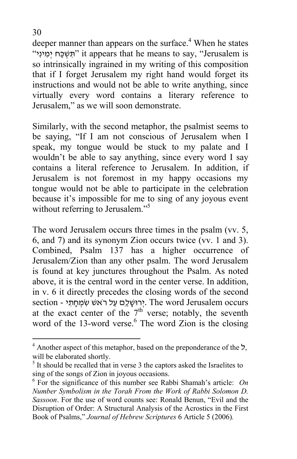deeper manner than appears on the surface.<sup>4</sup> When he states "י ִינ ִ מ ְי ח ַכּ ְ שׁ ִ תּ "it appears that he means to say, "Jerusalem is so intrinsically ingrained in my writing of this composition that if I forget Jerusalem my right hand would forget its instructions and would not be able to write anything, since virtually every word contains a literary reference to Jerusalem," as we will soon demonstrate.

Similarly, with the second metaphor, the psalmist seems to be saying, "If I am not conscious of Jerusalem when I speak, my tongue would be stuck to my palate and I wouldn't be able to say anything, since every word I say contains a literal reference to Jerusalem. In addition, if Jerusalem is not foremost in my happy occasions my tongue would not be able to participate in the celebration because it's impossible for me to sing of any joyous event without referring to Jerusalem."<sup>5</sup>

The word Jerusalem occurs three times in the psalm (vv. 5, 6, and 7) and its synonym Zion occurs twice (vv. 1 and 3). Combined, Psalm 137 has a higher occurrence of Jerusalem/Zion than any other psalm. The word Jerusalem is found at key junctures throughout the Psalm. As noted above, it is the central word in the center verse. In addition, in v. 6 it directly precedes the closing words of the second section - יְרוּשָׁלֵַם עַל רֹאשׁ שִׂמְחָתֵי. The word Jerusalem occurs at the exact center of the  $7<sup>th</sup>$  verse; notably, the seventh word of the 13-word verse. $6$  The word Zion is the closing

 $\overline{a}$ 

<sup>4</sup> Another aspect of this metaphor, based on the preponderance of the ל, will be elaborated shortly.

<sup>&</sup>lt;sup>5</sup> It should be recalled that in verse 3 the captors asked the Israelites to sing of the songs of Zion in joyous occasions. 6

 $6$  For the significance of this number see Rabbi Shamah's article: *On Number Symbolism in the Torah From the Work of Rabbi Solomon D. Sassoon*. For the use of word counts see: Ronald Benun, "Evil and the Disruption of Order: A Structural Analysis of the Acrostics in the First Book of Psalms," *Journal of Hebrew Scriptures* 6 Article 5 (2006)*.*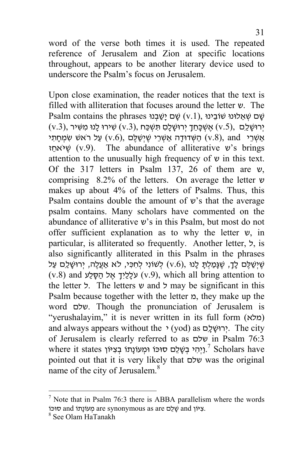word of the verse both times it is used. The repeated reference of Jerusalem and Zion at specific locations throughout, appears to be another literary device used to underscore the Psalm's focus on Jerusalem.

Upon close examination, the reader notices that the text is filled with alliteration that focuses around the letter ש. The Psalm contains the phrases שָׁם שָׁ (v.1), שִׁם יִשְׁאֲלוּנוּ שׁוֹבֵינוּ (v.3), יְרוּשֶׁלֵּם (v.5), אֲשָׁכָּחֵךְ יְרוּשָׁלַם תִּשְׁכַּח (v.3), יִרוּשָׁלַם אַשׁרי (עַל רֹאשׁ שׂמחתי (v.6), הַ יִ שִׁדוּדָה אַשׂרי שִׁ יִשְׁ שֹׁ (v.8), and ז ֵאחֹיּ ֶשׁ) v.9). The abundance of alliterative ש's brings attention to the unusually high frequency of  $\nu$  in this text. Of the 317 letters in Psalm 137, 26 of them are ש, comprising 8.2% of the letters. On average the letter ש makes up about 4% of the letters of Psalms. Thus, this Psalm contains double the amount of  $v$ 's that the average psalm contains. Many scholars have commented on the abundance of alliterative ש's in this Psalm, but most do not offer sufficient explanation as to why the letter ש, in particular, is alliterated so frequently. Another letter,  $\lambda$ , is also significantly alliterated in this Psalm in the phrases שֶׁיְשַׁלֶּם לָךָ, שֶׁגְּמַלְתָּ לָנוּ ,(v.6) לְשׁוֹנִי לְחִכִּי, לֹא אַעֲלֶה, יְרוּשָׁלַם עַל  $(v.8)$  and עֹלָלַיִךְ אֵל הַסָּלַע (v.9), which all bring attention to the letter ל. The letters ש and ל may be significant in this Psalm because together with the letter  $p$ , they make up the word שלם. Though the pronunciation of Jerusalem is "yerushalayim," it is never written in its full form (מלא ( and always appears without the  $\cdot$  (yod) as ירוּשׁלם. The city of Jerusalem is clearly referred to as שלם in Psalm 76:3 where it states יְוָהִי בְּשָׁלֵם סוּכּוֹ וּמְעוֹנָתוֹ בְצִיּוֹן  $^{\gamma}$  Scholars have pointed out that it is very likely that שלם was the original name of the city of Jerusalem.<sup>8</sup>

<sup>&</sup>lt;sup>7</sup> Note that in Psalm 76:3 there is ABBA parallelism where the words פוֹ and שִׁלֵם are synonymous as are מִעוֹנַתוֹ and סוּכּוֹ

<sup>&</sup>lt;sup>8</sup> See Olam HaTanakh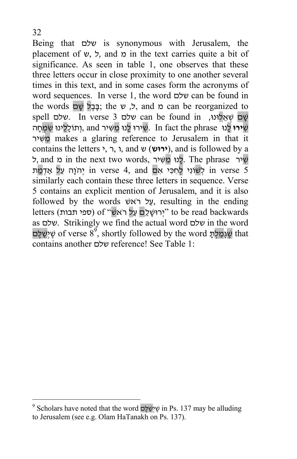Being that שלם is synonymous with Jerusalem, the placement of  $\nu$ ,  $\forall$ , and  $\alpha$  in the text carries quite a bit of significance. As seen in table 1, one observes that these three letters occur in close proximity to one another several times in this text, and in some cases form the acronyms of word sequences. In verse 1, the word שלם can be found in the words כֹּ, שׁ the can be reorganized to שִׁם שֹׁאלוּנוּ, can be found in שלם 3 spell שלם. In verse שׁ ירוּ לִנוּ n fact the phrase .שׁ ירוּ לְנוּ מֵשִׁ יר and ,וְ תוֹלְלִינוּ שֹׁמַחָה . יר ִ שּׁ ִ מ makes a glaring reference to Jerusalem in that it contains the letters י, ר, ו, and ש) **ירוּש**(, and is followed by a שִׁ יר The phrase .לָנוּ מְשִׁיר ,and מ in the next two words , in verse 5 יהוַה עַל אַדמת in verse 4, and יְהוֵה עַל אַדמת similarly each contain these three letters in sequence. Verse 5 contains an explicit mention of Jerusalem, and it is also followed by the words אָל רֹאשׁ, resulting in the ending letters (ספי תבות) of "יְרוּשֶׁלֵם עַל רֹאשׁ" to be read backwards as שלם. Strikingly we find the actual word שלם in the word שֶׁגְּמַלְתָּ of verse  $8^9$ , shortly followed by the word שָׁיְשַׁלֶּם  $\,$ contains another שלם reference! See Table 1:

 $\overline{a}$ 

 $9^9$  Scholars have noted that the word שְׁלְשַׁלֶּם in Ps. 137 may be alluding to Jerusalem (see e.g. Olam HaTanakh on Ps. 137).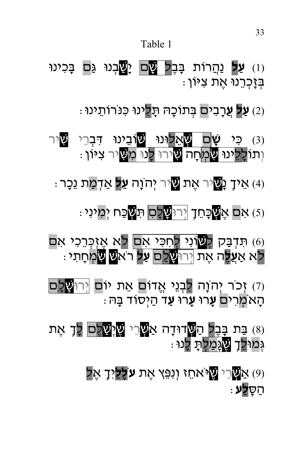#### Table 1

(1) **ַעַל נַ**הֲרוֹת בָּבֶ<mark>ל עֲם</mark> יָשֲבְנוּ גַּם בָּכִינוּ ָ בְזָכְרֵנוּ אֶת צִיּוֹן

: **ַ עַל עַ**רָבים בִּתוֹכָהּ תַּלִינוּ כּנּרוֹתֵינוּ (2

(3) כּ ִ י **ָשׁ**ם ְשׁ ֵאלוּנוּ שׁוֹבֵ ינוּ דּ ְ ִ ברֵ י ִשׁיר וְתוֹלְ<mark>לֵינוּ שַׂמְ</mark>חָה <mark>ש</mark>ִירוּ לְנוּ מִ<mark>שְ</mark>יר ציּוֹן .

(4) א ְ ֵ יך ָנ ִשׁיר אֶ ת ִשׁיר יְ הֹוָה **ַעל** ְאַד ַמת נֵכָ ר:

ּ (כֿ) אִם אֶ<mark>ש</mark>ֶׁכָּחֵדָ ןְּרוּ<mark>שָׁכָם</mark> תִּ<mark>שְ</mark>ּבַּח יְמִינִי :

(6) תּדְבַּק לְ<mark>שׁוֹנִי לְחִכִּי אִם</mark> לֹא אֱזִכְּרֵכִי אִם לֹא אַ**ֲע ֶל**ה אֶ ת יְ רוּ ָשׁלַ ִם **ַעל** רֹאשׁ ִשׂ ְמחָ ת ִ י:

(7) זְכֹר יְהֹוָה לִבְנֵי אֱדוֹם אֵת יוֹם <mark>יְרוּשָׁלָם</mark> הָ אֹ ְמר ִ ים **ָע**רוּ **ָע**רוּ **ַע**ד הַ יְ סוֹד בָּ הּ:

(8) בַּת בָּבֶל הַ<mark>שְּ</mark>דוּדָה אַ<mark>שְ</mark>ּרֵי <mark>שֱיְשַׁלֵם</mark> לְךָ אֶת גִּמוֹּלֵךָ <mark>שֶׁגַּמַלִ</mark>תָּ לָנוּ .

> (9) אַ ְשׁרֵ י ֶשׁיֹּאחֵ ז וְ נִ פֵּ ץ אֶ ת **עֹל ַ ָ ל** ְיִ ך ֶאל ה ָ ַ סּ**ַלע**: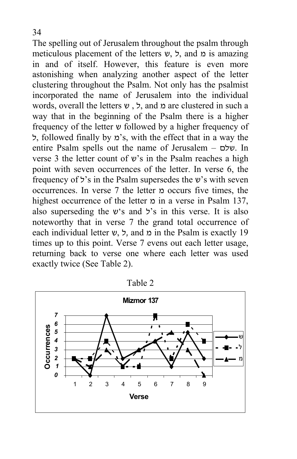The spelling out of Jerusalem throughout the psalm through meticulous placement of the letters  $v$ ,  $\zeta$ , and  $\zeta$  is amazing in and of itself. However, this feature is even more astonishing when analyzing another aspect of the letter clustering throughout the Psalm. Not only has the psalmist incorporated the name of Jerusalem into the individual words, overall the letters  $v$ , , and  $\alpha$  are clustered in such a way that in the beginning of the Psalm there is a higher frequency of the letter ש followed by a higher frequency of ל, followed finally by מ's, with the effect that in a way the entire Psalm spells out the name of Jerusalem – שלם. In verse 3 the letter count of  $v$ 's in the Psalm reaches a high point with seven occurrences of the letter. In verse 6, the frequency of ל's in the Psalm supersedes the ש's with seven occurrences. In verse 7 the letter מ occurs five times, the highest occurrence of the letter  $\alpha$  in a verse in Psalm 137, also superseding the  $v$ 's and  $\ddot{z}$ 's in this verse. It is also noteworthy that in verse 7 the grand total occurrence of each individual letter  $\nu$ , ל, and  $\alpha$  in the Psalm is exactly 19 times up to this point. Verse 7 evens out each letter usage, returning back to verse one where each letter was used exactly twice (See Table 2).



Table 2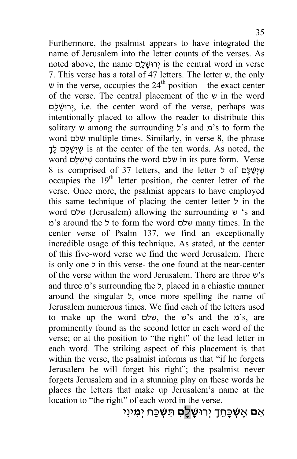Furthermore, the psalmist appears to have integrated the name of Jerusalem into the letter counts of the verses. As noted above, the name יְרוּשָׁלָם is the central word in verse 7. This verse has a total of 47 letters. The letter ש, the only  $\nu$  in the verse, occupies the 24<sup>th</sup> position – the exact center of the verse. The central placement of the  $\nu$  in the word יְרוּשָׁלָם, i.e. the center word of the verse, perhaps was intentionally placed to allow the reader to distribute this solitary  $\nu$  among the surrounding  $\forall$ 's and  $\alpha$ 's to form the word שלם multiple times. Similarly, in verse 8, the phrase ך ָ ְ ל ם ֶלּ ַשׁ ְי ֶשׁ is at the center of the ten words. As noted, the word ם ֶלּ ַשׁ ְי ֶשׁ contains the word שלם in its pure form. Verse 8 is comprised of 37 letters, and the letter ל of  $\frac{1}{2}$ occupies the  $19<sup>th</sup>$  letter position, the center letter of the verse. Once more, the psalmist appears to have employed this same technique of placing the center letter ל in the word שלם) Jerusalem) allowing the surrounding ש' s and מ's around the ל to form the word שלם many times. In the center verse of Psalm 137, we find an exceptionally incredible usage of this technique. As stated, at the center of this five-word verse we find the word Jerusalem. There is only one ל in this verse- the one found at the near-center of the verse within the word Jerusalem. There are three ש's and three מ's surrounding the ל, placed in a chiastic manner around the singular ל, once more spelling the name of Jerusalem numerous times. We find each of the letters used to make up the word שלם, the ש's and the מ's, are prominently found as the second letter in each word of the verse; or at the position to "the right" of the lead letter in each word. The striking aspect of this placement is that within the verse, the psalmist informs us that "if he forgets Jerusalem he will forget his right"; the psalmist never forgets Jerusalem and in a stunning play on these words he places the letters that make up Jerusalem's name at the location to "the right" of each word in the verse.

ִא**ם** ֶא **ְשׁ**כָּ ח ְ ֵ ך יְ רוּ **ָשׁ**ָל **ִם** ִתּ **ְשׁ**כַּ ח יְ **ִמ**ינִ י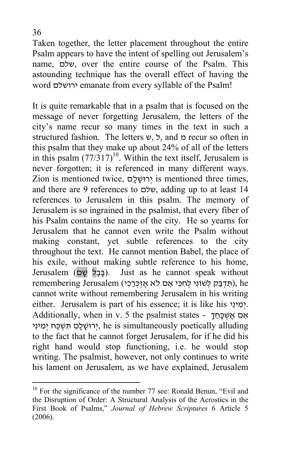Taken together, the letter placement throughout the entire Psalm appears to have the intent of spelling out Jerusalem's name, שלם, over the entire course of the Psalm. This astounding technique has the overall effect of having the word ירושלם emanate from every syllable of the Psalm!

It is quite remarkable that in a psalm that is focused on the message of never forgetting Jerusalem, the letters of the city's name recur so many times in the text in such a structured fashion. The letters  $v$ ,  $\zeta$ , and  $\zeta$  recur so often in this psalm that they make up about 24% of all of the letters in this psalm  $(77/317)^{10}$ . Within the text itself, Jerusalem is never forgotten; it is referenced in many different ways. Zion is mentioned twice, יְרוּשָׁלֵם 
is mentioned three times, and there are 9 references to שלם, adding up to at least 14 references to Jerusalem in this psalm. The memory of Jerusalem is so ingrained in the psalmist, that every fiber of his Psalm contains the name of the city. He so yearns for Jerusalem that he cannot even write the Psalm without making constant, yet subtle references to the city throughout the text. He cannot mention Babel, the place of his exile, without making subtle reference to his home, Jerusalem (בבל שׁם). Just as he cannot speak without remembering Jerusalem (תִדְבַּק לְשׁוֹנִי לְחְכִּי אִם לֹא אֱזְכְּרֵכִי), he cannot write without remembering Jerusalem in his writing either. Jerusalem is part of his essence; it is like his יְמִינִי. Additionally, when in v. 5 the psalmist states - אם אֲשִׁכָּחֵד יְרוּשֶׁלַם תִּשְׁכֵּח יִמְינִי, he is simultaneously poetically alluding to the fact that he cannot forget Jerusalem, for if he did his right hand would stop functioning, i.e. he would stop writing. The psalmist, however, not only continues to write his lament on Jerusalem, as we have explained, Jerusalem

 $\overline{a}$ 

 $10$  For the significance of the number 77 see: Ronald Benun, "Evil and the Disruption of Order: A Structural Analysis of the Acrostics in the First Book of Psalms," *Journal of Hebrew Scriptures* 6 Article 5 (2006)*.*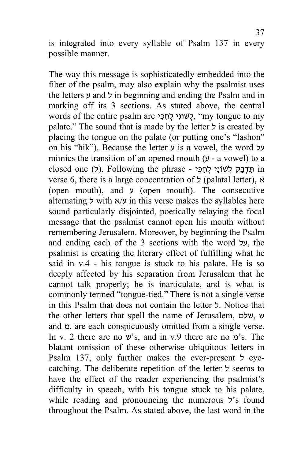is integrated into every syllable of Psalm 137 in every possible manner.

The way this message is sophisticatedly embedded into the fiber of the psalm, may also explain why the psalmist uses the letters ע and ל in beginning and ending the Psalm and in marking off its 3 sections. As stated above, the central words of the entire psalm are יָלְשׁוֹנִי לָחְכֵּי, "my tongue to my palate." The sound that is made by the letter ל is created by placing the tongue on the palate (or putting one's "lashon" on his "hik"). Because the letter ע is a vowel, the word על mimics the transition of an opened mouth (ע - a vowel) to a closed one (ל). Following the phrase - תּדבּק לְשׁוֹנִי לחכּי verse 6, there is a large concentration of ל) palatal letter), א (open mouth), and  $\nu$  (open mouth). The consecutive alternating ל with א/א in this verse makes the syllables here sound particularly disjointed, poetically relaying the focal message that the psalmist cannot open his mouth without remembering Jerusalem. Moreover, by beginning the Psalm and ending each of the 3 sections with the word על, the psalmist is creating the literary effect of fulfilling what he said in v.4 - his tongue is stuck to his palate. He is so deeply affected by his separation from Jerusalem that he cannot talk properly; he is inarticulate, and is what is commonly termed "tongue-tied." There is not a single verse in this Psalm that does not contain the letter ל. Notice that the other letters that spell the name of Jerusalem, שלם, ש and  $\alpha$ , are each conspicuously omitted from a single verse. In v. 2 there are no ש's, and in v.9 there are no מ's. The blatant omission of these otherwise ubiquitous letters in Psalm 137, only further makes the ever-present ל eyecatching. The deliberate repetition of the letter ל seems to have the effect of the reader experiencing the psalmist's difficulty in speech, with his tongue stuck to his palate, while reading and pronouncing the numerous ל's found throughout the Psalm. As stated above, the last word in the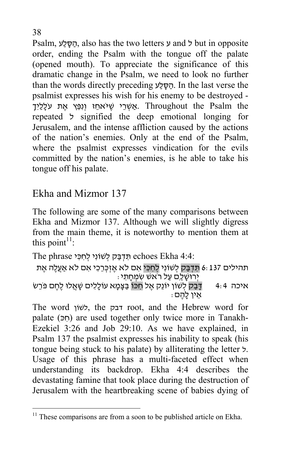Psalm, הסלע, also has the two letters ע and ל but in opposite order, ending the Psalm with the tongue off the palate (opened mouth). To appreciate the significance of this dramatic change in the Psalm, we need to look no further than the words directly preceding הַסָּלַע. In the last verse the psalmist expresses his wish for his enemy to be destroyed - אַשְׂרֵי שֵׁיּאחֵז וְוָפֵּץ אֶת עֹלָלַיִך. Throughout the Psalm the repeated ל signified the deep emotional longing for Jerusalem, and the intense affliction caused by the actions of the nation's enemies. Only at the end of the Psalm, where the psalmist expresses vindication for the evils committed by the nation's enemies, is he able to take his tongue off his palate.

## Ekha and Mizmor 137

The following are some of the many comparisons between Ekha and Mizmor 137. Although we will slightly digress from the main theme, it is noteworthy to mention them at this point<sup> $11$ </sup>:

The phrase תִּדְבַּק לְשׁוֹנִי לְחִכִּי Fehoes Ekha 4:4:

```
תהילים 6:137 <mark>תִּדְבַק</mark> לְשׁוֹנִי <mark>לְחִכִּי</mark> אִם לֹא אֶזְכְּרֵכִי אִם לֹא אַעֲלֶה אֶת<br>יְרוּשָׁלַם עַל רֹאשׁ שִׂמְחָתֵי :<br>איכה 4:4 = דְּבַק לְשׁוֹן יוֹנֵק אֶל חַכּוֹ בַּצָּמָא עוֹלָלִים שָׁאֲלוּ לֶחֶם פֹּרֵשׂ<br>אין להם :
```
The word לשׁוֹן, the דבק root, and the Hebrew word for palate  $(n)$  are used together only twice more in Tanakh-Ezekiel 3:26 and Job 29:10. As we have explained, in Psalm 137 the psalmist expresses his inability to speak (his tongue being stuck to his palate) by alliterating the letter ל. Usage of this phrase has a multi-faceted effect when understanding its backdrop. Ekha 4:4 describes the devastating famine that took place during the destruction of Jerusalem with the heartbreaking scene of babies dying of

 $\overline{a}$ 

 $11$  These comparisons are from a soon to be published article on Ekha.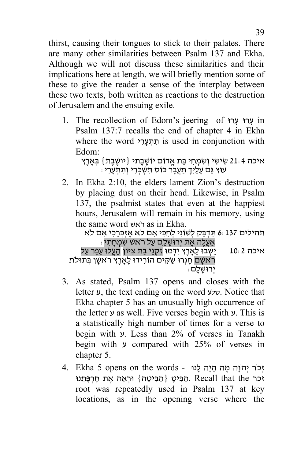thirst, causing their tongues to stick to their palates. There are many other similarities between Psalm 137 and Ekha. Although we will not discuss these similarities and their implications here at length, we will briefly mention some of these to give the reader a sense of the interplay between these two texts, both written as reactions to the destruction of Jerusalem and the ensuing exile.

1. The recollection of Edom's jeering of רוּ ָע רוּ ָע in Psalm 137:7 recalls the end of chapter 4 in Ekha where the word תתערי is used in conjunction with Edom:

איכה 21:4 שִׂישִׂי וְשְׂמְחִי בַּת אֱדוֹם יוֹשֱבֶתי {יוֹשֶׁבֵת} בִּאֱרֶץ : עוּץ גַּם עָלַיךָ תַעַבָר כוֹס תּשִׁכְרִי וְתִתְעָרִי

2. In Ekha 2:10, the elders lament Zion's destruction by placing dust on their head. Likewise, in Psalm 137, the psalmist states that even at the happiest hours, Jerusalem will remain in his memory, using

איכה 10:2 יֵשׁ ְ בוּ לָ אָרֶ ץ יִ דּ ְ מוּ זִ ק ְ נֵי בַ ת <sup>צ</sup> ִ יּוֹן הֶ עֱלוּ עָ פָ ר עַ ל אַעֲלֶ ה אֶ ת יְ רוּשָׁ לַ ִם עַ ל רֹאשׁ שׂ ִ מ ְ חָ ת ִ י: תהילים 6:137 תּ ִ ד ְ בַּ ק <sup>ל</sup> ְ שׁוֹנִ י <sup>ל</sup> ְ ח ִ כּ ִ י <sup>א</sup> ִ ם לֹא אֶ זְ כּ ְ רֵ כ ִ י <sup>א</sup> ִ ם לֹא .Ekha in as רֹאשׁ word same the

רֹאשָׁם חָגְרוּ שַׁקִּים הוֹרִידוּ לָאָרֶץ רֹאשָׁן בְּתוּלֹת<br>ירוּשׁלם

- 3. As stated, Psalm 137 opens and closes with the letter ע, the text ending on the word סלע. Notice that Ekha chapter 5 has an unusually high occurrence of the letter ע as well. Five verses begin with ע. This is a statistically high number of times for a verse to begin with ע. Less than 2% of verses in Tanakh begin with ע compared with 25% of verses in chapter 5.
- זְכֹר יְהוָה מֵה הָיָה לָנוּ 4. Ekha 5 opens on the words זכר Recall that the .הַבִּיטָ {הַבִּיטָה} וּרְאֱה אֱת חֱרְפָּתֵנוּ root was repeatedly used in Psalm 137 at key locations, as in the opening verse where the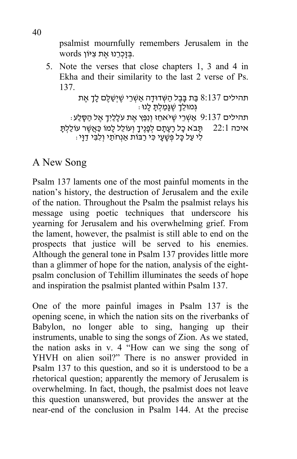psalmist mournfully remembers Jerusalem in the .בּ ְ זָכ ְ רֵ נוּ אֶ ת צ ִ יּוֹן words

5. Note the verses that close chapters 1, 3 and 4 in Ekha and their similarity to the last 2 verse of Ps. 137.

```
תהילים 8:137 בַּת בָּבֶל הַשְּׁדוּדָה אַשְׁרֵי שֶׁיְשַׁלֶּם לָךָ אֶת
                                   גְּ מוּל ְ ֵ ך שֶׁ גָּמַ ל ָ ְ תּ לָ נוּ: 
    : תּהילים 9:137 אַשְׁרֵי שֶׁיּאחֵז וְנִפֵּץ אֶת עֹלָלַיִךָ אֶל הַסָּלַע
איכה 22:1 תַּבֹא כָל רַעֲתֵם לִפְגֵיךָ וְעוֹלֶל לַמוֹ כַּאֲשֶׁר עוֹלַלְתַּ
      ֹּ לִי עַל כַּל פִּשָׁעַי כִי רַבּוֹת אַנְחֹתַי וְלָבִי דַוַּי:
```
### A New Song

Psalm 137 laments one of the most painful moments in the nation's history, the destruction of Jerusalem and the exile of the nation. Throughout the Psalm the psalmist relays his message using poetic techniques that underscore his yearning for Jerusalem and his overwhelming grief. From the lament, however, the psalmist is still able to end on the prospects that justice will be served to his enemies. Although the general tone in Psalm 137 provides little more than a glimmer of hope for the nation, analysis of the eightpsalm conclusion of Tehillim illuminates the seeds of hope and inspiration the psalmist planted within Psalm 137.

One of the more painful images in Psalm 137 is the opening scene, in which the nation sits on the riverbanks of Babylon, no longer able to sing, hanging up their instruments, unable to sing the songs of Zion. As we stated, the nation asks in v. 4 "How can we sing the song of YHVH on alien soil?" There is no answer provided in Psalm 137 to this question, and so it is understood to be a rhetorical question; apparently the memory of Jerusalem is overwhelming. In fact, though, the psalmist does not leave this question unanswered, but provides the answer at the near-end of the conclusion in Psalm 144. At the precise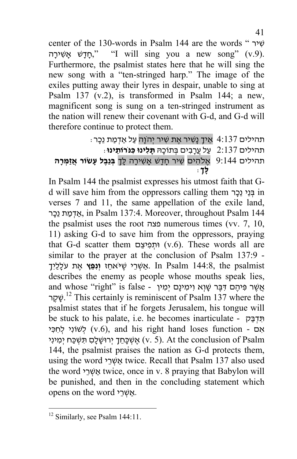center of the 130-words in Psalm 144 are the words " שיר ה ָיר ִ אָשׁ שׁ ָד ָח," "I will sing you a new song" (v.9). Furthermore, the psalmist states here that he will sing the new song with a "ten-stringed harp." The image of the exiles putting away their lyres in despair, unable to sing at Psalm 137 (v.2), is transformed in Psalm 144; a new, magnificent song is sung on a ten-stringed instrument as the nation will renew their covenant with G-d, and G-d will therefore continue to protect them.

```
: תּהילים 4:137 אֵיךָ נָשִׁיר אֶת שִׁיר יְהֹוָה עַל אַדְמַת נֵכַר
                      תהילים 2:137 עַ ל עֲרָ ב ִ ים בּ ְ תוֹכָ הּ תָּ ל ִ ינוּ כּ ִ נֹּרוֹתֵ ינוּ:
תהילים 9:144 אֶ לֹה ִ ים שׁ ִ יר חָ דָ שׁ אָשׁ ִ ירָ ה לּ ְ ָ ך בּ ְ נֵבֶ ל עָ שׂוֹר אֲ זַמּ ְ רָ ה
                                                                לּ ְ ָ ך:
```
In Psalm 144 the psalmist expresses his utmost faith that Gd will save him from the oppressors calling them ר ָכֵנ יֵנ ְ בּ in verses 7 and 11, the same appellation of the exile land, אַדְמַת נֵכָר in Psalm 137:4. Moreover, throughout Psalm 144 the psalmist uses the root פצה numerous times (vv. 7, 10, 11) asking G-d to save him from the oppressors, praying that G-d scatter them וּתְפִיצֵם (v.6). These words all are similar to the prayer at the conclusion of Psalm 137:9 - אַשְׁרֵי שֵׁיּאחֵ **ז וְגֵּ אֶת** עֹלָלַיִך. In Psalm 144:8, the psalmist describes the enemy as people whose mouths speak lies, and whose "right" is false - אֲשֶׁר פִּיהֶם דִּבֶּר שָׁוְא וִימִינָם יְמִין שְׁקָר.<sup>12</sup> This certainly is reminiscent of Psalm 137 where the psalmist states that if he forgets Jerusalem, his tongue will be stuck to his palate, i.e. he becomes inarticulate - תִּדְבַּק אָם - v.6), and his right hand loses function לְשׁוֹנִי לְחְכִּי אשׁ כַּחַדְ יְרוּשִׁ לָם תִּשְׁכֵּח יִמִינִי (v. 5). At the conclusion of Psalm 144, the psalmist praises the nation as G-d protects them, using the word אֲשִׂרֵי twice. Recall that Psalm 137 also used the word אַשְׁרֵי twice, once in v. 8 praying that Babylon will be punished, and then in the concluding statement which opens on the word יאשרי.

 $\overline{a}$ 

<sup>&</sup>lt;sup>12</sup> Similarly, see Psalm 144:11.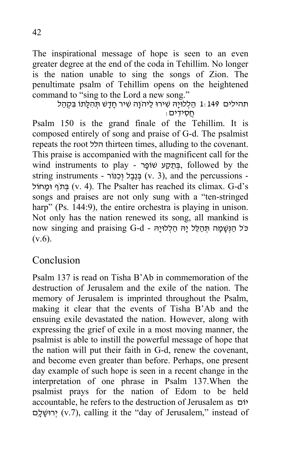The inspirational message of hope is seen to an even greater degree at the end of the coda in Tehillim. No longer is the nation unable to sing the songs of Zion. The penultimate psalm of Tehillim opens on the heightened command to "sing to the Lord a new song."<br>תּחִלְלוּיָהּ שִׁירוּ לַיהוֹנָה שִׁיר חָדָשׁ תְּהִלָּתוֹ בִּקְהַל

 $\Box$ חסידים

Psalm 150 is the grand finale of the Tehillim. It is composed entirely of song and praise of G-d. The psalmist repeats the root הלל thirteen times, alluding to the covenant. This praise is accompanied with the magnificent call for the wind instruments to play - בִּתְקַע שׁוֹפָר, followed by the string instruments - בֵּנֶבֵל (כְנוֹר - v. 3), and the percussions חוֹל ָוּמ ףֹת ְ בּ) v. 4). The Psalter has reached its climax. G-d's songs and praises are not only sung with a "ten-stringed harp" (Ps. 144:9), the entire orchestra is playing in unison. Not only has the nation renewed its song, all mankind is now singing and praising G-d - כֹּל הַנְשָּׁמַה תִּהְלֵּל יַהּ הַלְלוּיַה  $(v.6)$ .

#### Conclusion

Psalm 137 is read on Tisha B'Ab in commemoration of the destruction of Jerusalem and the exile of the nation. The memory of Jerusalem is imprinted throughout the Psalm, making it clear that the events of Tisha B'Ab and the ensuing exile devastated the nation. However, along with expressing the grief of exile in a most moving manner, the psalmist is able to instill the powerful message of hope that the nation will put their faith in G-d, renew the covenant, and become even greater than before. Perhaps, one present day example of such hope is seen in a recent change in the interpretation of one phrase in Psalm 137.When the psalmist prays for the nation of Edom to be held accountable, he refers to the destruction of Jerusalem as יוֹם םִ ָל ָרוּשׁ ְי) v.7), calling it the "day of Jerusalem," instead of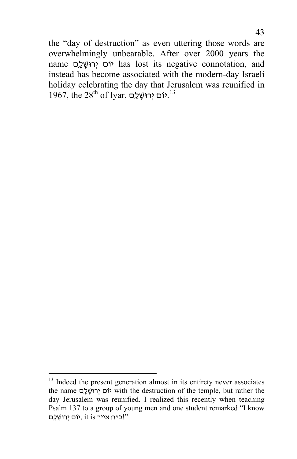the "day of destruction" as even uttering those words are overwhelmingly unbearable. After over 2000 years the name יוֹם יִרוּשָׁלָם has lost its negative connotation, and instead has become associated with the modern-day Israeli holiday celebrating the day that Jerusalem was reunified in  $1967$ , the  $28^{\text{th}}$  of Iyar, יוֹם יְרוּשָׁלָם. $^{13}$ 

 $\overline{a}$ 

<sup>&</sup>lt;sup>13</sup> Indeed the present generation almost in its entirety never associates the name יוֹם יְרוּשָׁלָם with the destruction of the temple, but rather the day Jerusalem was reunified. I realized this recently when teaching Psalm 137 to a group of young men and one student remarked "I know "!כ״ח אייר is it ,יוֹם יְ רוּשָׁ לָ ִם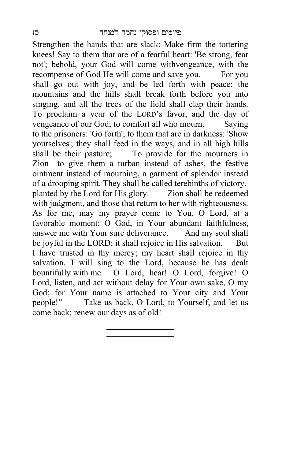Strengthen the hands that are slack; Make firm the tottering knees! Say to them that are of a fearful heart: 'Be strong, fear not'; behold, your God will come withvengeance, with the recompense of God He will come and save you. For you shall go out with joy, and be led forth with peace: the mountains and the hills shall break forth before you into singing, and all the trees of the field shall clap their hands. To proclaim a year of the LORD's favor, and the day of vengeance of our God; to comfort all who mourn. Saying to the prisoners: 'Go forth'; to them that are in darkness: 'Show yourselves'; they shall feed in the ways, and in all high hills shall be their pasture; To provide for the mourners in Zion—to give them a turban instead of ashes, the festive ointment instead of mourning, a garment of splendor instead of a drooping spirit. They shall be called terebinths of victory, planted by the Lord for His glory. Zion shall be redeemed with judgment, and those that return to her with righteousness. As for me, may my prayer come to You, O Lord, at a favorable moment; O God, in Your abundant faithfulness, answer me with Your sure deliverance. And my soul shall be joyful in the LORD; it shall rejoice in His salvation. But I have trusted in thy mercy; my heart shall rejoice in thy salvation. I will sing to the Lord, because he has dealt bountifully with me. O Lord, hear! O Lord, forgive! O Lord, listen, and act without delay for Your own sake, O my God; for Your name is attached to Your city and Your people!" Take us back, O Lord, to Yourself, and let us come back; renew our days as of old!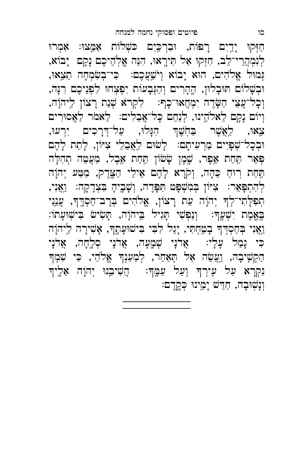חַזְּקוּ יָדֵיִם רָפּוֹת, וּבִרְכֵּיִם כּשְׁלוֹת אַמֵּצוּ: אִמְרוּ לְנִמְהֲרֵי־לֵב, חִזְקוּ אַל תִּירֶאוּ, הִנֵּה אֱלְהֵיכֶם נָקָם יָבוֹא, ּגְּמוּל אֱלֹהִים, הוּא יָבוֹא וְיֹשֵׁעֲכֶם: כִּי־בְשָׂמְחָה חֵצֵאוּ, וּבְשָׁלוֹם תּוּבָלוּן, הֶהָרִים וְהַגְּבָעוֹת יִפְצְחוּ לִפְנֵיכֶם רִנְּה, וְכָל־עֲצֵי הַשֶּׂדֶה יִמְחֲאוּ־כָךְּ: לִקְרֹא שְׁנַת רָצוֹן לַיהוָה, וְיוֹם נָקָם לֵאלֹהֵינוּ, לְנַחֵם כָּל־אֲבֵלִים:  $\frac{1}{2}$ אמֹר לַאֲסוּרִים צֵאוּ, לַאֲשֵׁר בַּחִֹשֵׁךְּ הִנָּלוּ, עַל־דְרָכִים יִרְעוּ, וּבְכָל־שְׁפָיִים מַרְעִיתָם: לָשׁוּם לַאֲבֵלֵי צִיּוֹן, לָחֵת לָהֶם פְּאֵר תַּחַת אֵפֶר, שֶׁמֶן שָׂשׂוֹן תַּחַת אֵבֶל, מַעֲטֵה תְהִלָּה ֿתַּחַת רִוּחַ כֵּהָה, וְקֹרָא לָהֶם אֵילֵי הַצֶּדֶק, מַטַּע יְהוָה לְהִתְפָּאֵר: צִיּוֹן בְמִשְׁפָּט תִּפְּדֶה, וְשָׁבֶיהָ בִּצְדָקָה: וַאֲנִי, תְפִלָּתִי־לְךָ יְהוָה עֵת רָצוֹן, אֱלֹהִים בְּרָב־חַסְדֶךָ, עֲנֵנִי  $\;$ בֶּאֱמֶת יִשְׁעֵךְ: וְנַפְשִׁי תָּגִיל בֵּיהוָה, תָּשִׂישׂ בִּישְׁוּעָתוֹ: וַאֲנִי בְּחַסְדְךָ בְטַחְתִי, יָגֵל לִבִי בִישׁוּעָתֶךְ, אָשִׁירָה לַיהוָה כִּי נָמַל עָלָי: אֲדֹנָי שְׁמָעָה, אֲדֹנָי סְלֶחָה, אֲדֹנָי הַקְשֶׁיבָה, וַעֲשֵׂה אַל תְּאַחַר, לְמַעַנְךָ אֱלֹהֵי, כִּי שִׁמְךָ נִקְרָא עַל עִירְךְ וְעַל עַמֶּךְ: הֲשִׁיבֵנוּ יְהוָה אֵלֶיךָ וְנָשְׁוּבָה, חַדֵּשׁ יָמֵינוּ כִּקֵדֵם:

סו פיוטים ופסוקי נחמה למנחה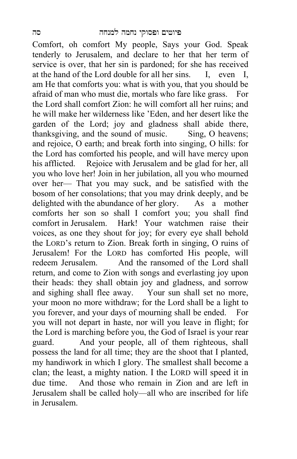Comfort, oh comfort My people, Says your God. Speak tenderly to Jerusalem, and declare to her that her term of service is over, that her sin is pardoned; for she has received at the hand of the Lord double for all her sins. I, even I, am He that comforts you: what is with you, that you should be afraid of man who must die, mortals who fare like grass. For the Lord shall comfort Zion: he will comfort all her ruins; and he will make her wilderness like 'Eden, and her desert like the garden of the Lord; joy and gladness shall abide there, thanksgiving, and the sound of music. Sing, O heavens; and rejoice, O earth; and break forth into singing, O hills: for the Lord has comforted his people, and will have mercy upon his afflicted. Rejoice with Jerusalem and be glad for her, all you who love her! Join in her jubilation, all you who mourned over her— That you may suck, and be satisfied with the bosom of her consolations; that you may drink deeply, and be delighted with the abundance of her glory. As a mother comforts her son so shall I comfort you; you shall find comfort in Jerusalem. Hark! Your watchmen raise their voices, as one they shout for joy; for every eye shall behold the LORD's return to Zion. Break forth in singing, O ruins of Jerusalem! For the LORD has comforted His people, will redeem Jerusalem. And the ransomed of the Lord shall return, and come to Zion with songs and everlasting joy upon their heads: they shall obtain joy and gladness, and sorrow and sighing shall flee away. Your sun shall set no more, your moon no more withdraw; for the Lord shall be a light to you forever, and your days of mourning shall be ended. For you will not depart in haste, nor will you leave in flight; for the Lord is marching before you, the God of Israel is your rear guard. And your people, all of them righteous, shall possess the land for all time; they are the shoot that I planted, my handiwork in which I glory. The smallest shall become a clan; the least, a mighty nation. I the LORD will speed it in due time. And those who remain in Zion and are left in Jerusalem shall be called holy—all who are inscribed for life in Jerusalem.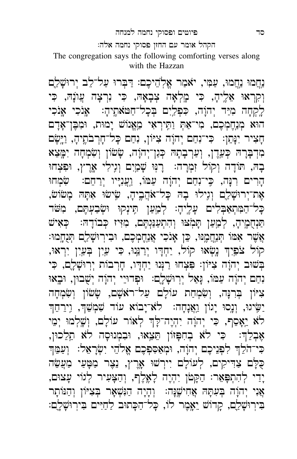#### סד פיוטים ופסוקי נחמה למנחה

הקהל אומר עם החזן פסוקי נחמה אלה׃

The congregation says the following comforting verses along with the Hazzan

נַחֲמוּ נַחֲמוּ, עַמִּי, יאֹמַר אֱלְהֵיכֶם: דַבְּרוּ עַל־לֵב יְרוּשָׁלֵַם וְקִרְאוּ אֵלֶיהָ, כִּי מֶלְאָה צְבָאָהּ, כִּי וִרְצָה עֲוֹנָהּ, כִּי לֶקְחָה מְיַד יִהוָה, כִּפְלֵיִם בִּכָל־חַטּאתֵיהָ: אֶנֹכִי אֶנֹכִי הוֹא מְנֵחֲמְכֶם, מִי־אַתְ וַתֵּירְאִי מֵאֵנוֹשׁ יָמוּת, וּמְבֵן־אָדָם ּ חָצִיר יִנְּתֵן: כִּי־נִחַם יְהוָה צִיּוֹן, נִחַם כָּל־חָרְבֹתֶיהָ, וַיֵּשֶׂם ֹמִדְבָּרָהּ כְּעֵדֶן, וְעַרְבְתָהּ כְּנַן־יְהוָה, שָׂשׂוֹן וְשִׂמְחָה יִמָּצֵא בָהּ, תּוֹדָה וְקוֹל זִמְרָה:  $\,$ רְנִּוּ שָׁמַיִם וְגִילִי אֲרֶץ, וּפִצְחוּ הָרִים רִנָּה, כֵּי־נִחַם יְהוָה עַמּוֹ, וַעֲנִיָּיו יְרַחֵם: "שִׂמְחוּ אֶת־יְרוּשָׁלַם וְגִילוּ בָהּ כָּל־אֹהֲבֶיהָ, שִׂישׂוּ אִתְּהּ מָשׂוֹשׂ, ָכְּל־הַמִּתְאַבְּלִים עָלֶיהָ: לְמַעַן תִּינְקוּ וּשְׂבַעְתֶּם, מִשּׁׁד ֿ פַּנְחֻמֶיהָ, לְמַעַן תְּמִצּוּ וְהִתְעַנַּנְתֶם, מִזִּיז כְּבוֹדָהּ:  $\,$  כְּאִיש אֲשֶׁר אִמּוֹ תְּנַחֲמֶנּוּ, כֵּן אָנֹכִי אֲנַחֶמְכֶם, וּבִירְוּשָׁלֵם תְּנֻחָמוּ: קוֹל צֹפֵיִךְ נָשְׂאוּ קוֹל, יַחְדָו יְרַנֵּוּ, כִּי עַיִן בְּעַיִן יִרְאוּ, בְּשׁוּב יְהוָה צִיּוֹן: פִּצְחוּ רַנְנוּ יַחְדָו, חָרִבוֹת יִרְוּשָׁלֶם, כִּי נִחַם יְהוָה עַמּוֹ, נָּאַל יְרְוּשָׁלֶם: וּפְדוּיֵי יְהוָה יְשָׁבוּן, וּבְאוּ צִיּוֹן בְּרִנְה, וְשִׂמְחַת עוֹלָם עַל־ראַשָׁם, שָׂשׂוֹן וְשִׂמְחָה יַשִּׂיגוּ, וְנָסוּ יָגוֹן וַאֲנָחָה: לֹא־יָבוֹא עוֹד שִׁמְשֵׁךָ, וְיִרְחֵדְ לֹא יֵאָסֵף, כִּי יְהוֶה יִהְיֶה־לָּךְ לְאוֹר עוֹלָם, וְשָׁלְמוּ יְמֵי אֶבְלֵךְ: כִּי לֹא בְחִפְּזוֹן תֵּצֵאוּ, וּבִמְנוּסָה לֹא תֵלֵכוּן, ּ כִּי־הֹלֵךְ לִפְנֵיכֶם יְהוָה, וּמְאַסִפְכֶם אֱלֹהֵי יִשְׂרָאֵל׃ וְעַמֵּךְ ْ לָּ לְ בִיקִים, לְעוֹלָם יִירְשׁוּ אָרֶץ, נֵצֶר מַטְּעַי מַעֲשָׂה יָדֵי לְהִתְפָּאֵר: הַקָּטֹּן יִהְיֶה לָאֱלֶף, וְהַצָּעִיר לְגוֹי עָצוּם, אֲנִי יְהוָה בְּעִתָּהּ אֲחִישֶׁנָּה: וְהָיָה הַנִּשְׁאָר בְּצִיּוֹן וְהַנּוֹתָר ּ בִּירְוּשָׁלֵם, קַדוֹשׁ יֵאֱמֶר לוֹ, כָּל־הַכָּתוּב לַחַיִּים בִּירְוּשָׁלֵם: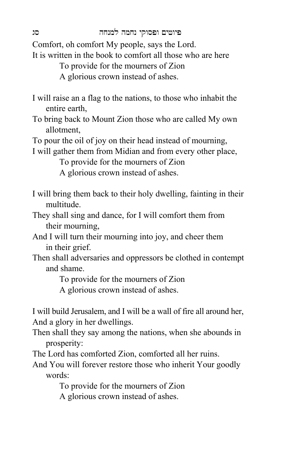Comfort, oh comfort My people, says the Lord.

It is written in the book to comfort all those who are here

To provide for the mourners of Zion

A glorious crown instead of ashes.

- I will raise an a flag to the nations, to those who inhabit the entire earth,
- To bring back to Mount Zion those who are called My own allotment,

To pour the oil of joy on their head instead of mourning,

I will gather them from Midian and from every other place,

 To provide for the mourners of Zion A glorious crown instead of ashes.

- I will bring them back to their holy dwelling, fainting in their multitude.
- They shall sing and dance, for I will comfort them from their mourning,
- And I will turn their mourning into joy, and cheer them in their grief.
- Then shall adversaries and oppressors be clothed in contempt and shame.

To provide for the mourners of Zion

A glorious crown instead of ashes.

I will build Jerusalem, and I will be a wall of fire all around her, And a glory in her dwellings.

Then shall they say among the nations, when she abounds in prosperity:

The Lord has comforted Zion, comforted all her ruins.

And You will forever restore those who inherit Your goodly words:

> To provide for the mourners of Zion A glorious crown instead of ashes.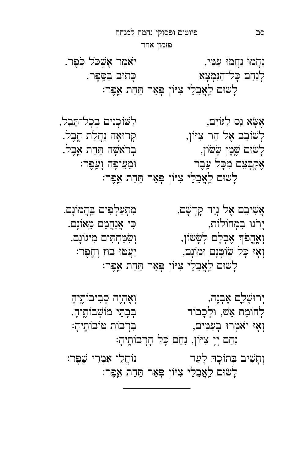וְאָז יֹאמְרוּ בָעַמִּים, וֹבֹּת הַיֹּבוֹתֵיהָ נִחַם יְיָ צִיּוֹן, נִחַם כָּל חָרְבוֹתֵיהָ: וְתָשִׁיב בְּתוֹכָהּ לָעַד יוֹ הֹוֹחֲלֵי אִמְרֵי שֵׁפֵר: לָשׂוּם לַאֲבֵלֵי צִיּוֹן פְּאֵר תַּחַת אֵפֶר:

יְרוּשָׁלֵם אֶבְנֶה, וֹ הַבִּיבוֹתֵיהָ ּלְחוֹמַת אֵשׁ, וּלְכָבוֹד יו הַבְתֵּי מוֹשָׁבוֹתֵיהָ.

אֲשִׁיבֵם אֵל נְוֵה קָדְשָׁם, התִעַלְפִים בִּהֲמוֹנָם. יָרִנּוּ בִמְחוֹלוֹת, ← י אֲנַחֲמֶם מֵאוֹנָם.<br>יִרְנוּ בִמְחוֹלוֹת, וְאֶהֱפֹּךְ אֶבְלָם לְשָׂשׂוֹן, וְשִׂמַּחְתִּים מְיגוֹנָם. וְאָז כָּל שְׂוֹטְנָם וּמוֹנָם, יוֹ יַעֲטוּ בוּז וְחֱפֶר: ַ לְשִׂיּם לַאֲבֵלֵי צִיּוֹן פִּאֵר תַּחַת אֵפֶר:

אֶשָּׂא נֵס לַגּוֹיִם, לַשּׁוֹכְנִים בְכָל־הֲבֵל, לְשׁוֹבֵב אֶל הַר צִיּוֹן, הַ הַרוּאָה נַחֲלַת חֵבֵל. לָ ‡Íם ‹ מֶ ן ָ ‡‡˚ן, Ê ְ ר≥א ָ‹È ˙ חַ ת א ב ֶ ל. אֶקְבְּצֵם מִכָּל עֵבֶר ``` וּמֵעֵיפָה וָעֵפֶר: לָשׂוּם לַאֲבֵלֵי צִיּוֹן פְּאֵר תַּחַת אֵפֶר:

נַחֲמוּ נַחֲמוּ עַמִּי, → יֹאמַר אֲשָׁכֹל כִבֶּר. לְנַחֵם כָּל־הַנִּמְצָא ← ← הַחִּיב בַּסֵפֵר. לָשׁוּם לִאֲבֵלֵי צִיּוֹן פְּאֵר תַּחַת אֵפֶר:

פזמון אחר

סב פיוטים ופסוקי נחמה למנחה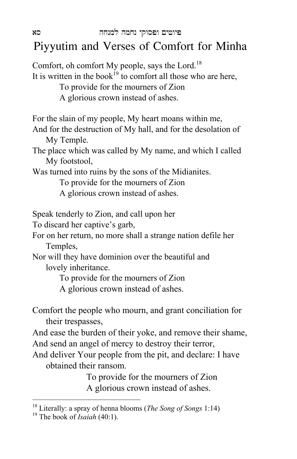## Piyyutim and Verses of Comfort for Minha

Comfort, oh comfort My people, says the Lord.<sup>18</sup> It is written in the book<sup>19</sup> to comfort all those who are here, To provide for the mourners of Zion A glorious crown instead of ashes. For the slain of my people, My heart moans within me, And for the destruction of My hall, and for the desolation of My Temple. The place which was called by My name, and which I called My footstool, Was turned into ruins by the sons of the Midianites. To provide for the mourners of Zion A glorious crown instead of ashes. Speak tenderly to Zion, and call upon her To discard her captive's garb, For on her return, no more shall a strange nation defile her Temples, Nor will they have dominion over the beautiful and lovely inheritance. To provide for the mourners of Zion A glorious crown instead of ashes. Comfort the people who mourn, and grant conciliation for their trespasses, And ease the burden of their yoke, and remove their shame, And send an angel of mercy to destroy their terror, And deliver Your people from the pit, and declare: I have obtained their ransom. To provide for the mourners of Zion A glorious crown instead of ashes.  $\overline{a}$ 

<sup>18</sup> Literally: a spray of henna blooms (*The Song of Songs* 1:14) 19 The book of *Isaiah* (40:1).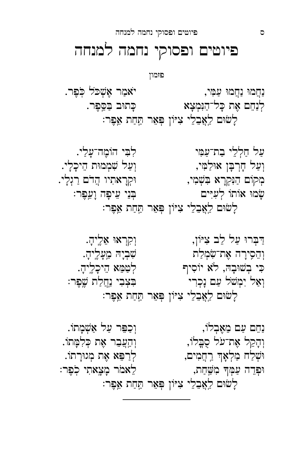נַחֵם עַם מֵאֶבְלוֹ, וְ הֹּ וְ יְבַפֵּר עַל אַשְׁמָתוֹ. וְהָקֵל אֶת־עֹל סֻבֱלוֹ, וֹ הַעֲבֵר אֶת כְּלִמְּתוֹ. וּשְׁלַח מַלְאָךְ רַחֲמִים, לְרַפֵּא אֶת מְגוּרָתוֹ. Í ֵפְ דה עַ מְּ ָך מִ · חַ ת, לֵ אמֹר מָ צ אתִ י כֽ ֹפֶ ר׃ לָשׂוּם לַאֲבֵלֵי צִיּוֹן פְּאֵר תַּחַת אֵפֶר:

ַדַּבְרוּ עַל לֵב צִיּוֹן, וַקְרָאוּ אֵלֶיהָ. ּוְהֵסִירָה אֶת־שִׂמְלַת · יִ מִעֲלֶיהָ. מְעָלֶיהָ כִּי בְשׁוּבָהּ, לֹא יוֹסִיף לְטַמֵּא הֵיכָלֶיהָ. וְאַל יִמְשֹׁל עַם נָכְרִי יוֹ הַבִּצְבִי נַחֲלַת שֱפֶּר: לָשׂוּם לֵאֲבֶלֵי צִיּוֹן פִּאֵר תַּחַת אֵפֶר:

עַל חַלְלֵי בַת־עַמִּי יהוֹ לִבִּי הוֹמֶה־עָלַי. וְעַל חָרְבָּן אוּלַמִּי, וְעַל שִׁמְמוּת הֵיכָלָי. מְקוֹם הַנִּקְרָא בִשְׁמִי, הַ הִקְרָאתִיו הֲדֹם רַגְלָי. ָ שָׂמוּ אוֹתוֹ לְעִיִּים הַ הַּנֵּי עֵיפָה וָעֵפֶר: ַלְשׁוּם לַאֲבֵלֵי צִיּוֹן פִּאֵר תַּחַת אֵפֶר:

נַחֲמוּ נַחֲמוּ עַמִּי, → יֹאמַר אֶשְׁכֹּל כִבֶּר. לְנַחֵם אֶת כָּל־הַנִּמְצָא . כַּתוּב בַסֵּפֵר. לָשׁוּם לַאֲבֵלֵי צִיּוֹן פְּאֵר תַּחַת אֵפֶר:

# פיוטים ופסוקי נחמה למנחה

פזמון

ס פיוטים ופסוקי נחמה למנחה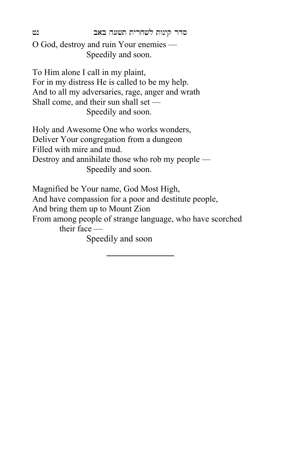סדר קינות לשחרית תשעה באב נט

O God, destroy and ruin Your enemies — Speedily and soon.

To Him alone I call in my plaint, For in my distress He is called to be my help. And to all my adversaries, rage, anger and wrath Shall come, and their sun shall set — Speedily and soon.

Holy and Awesome One who works wonders, Deliver Your congregation from a dungeon Filled with mire and mud. Destroy and annihilate those who rob my people — Speedily and soon.

Magnified be Your name, God Most High,

And have compassion for a poor and destitute people,

And bring them up to Mount Zion

From among people of strange language, who have scorched their face —

Speedily and soon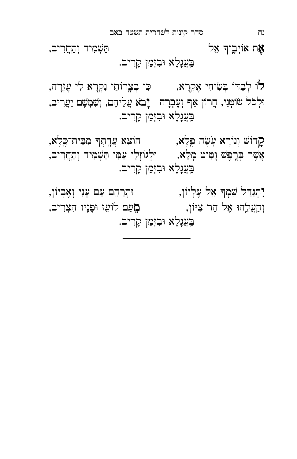אֶת אוֹיְבֶיךְ אֵל י בְּעֲנָלָא וּבִזְמַן קָרִיב.

לוֹ לְבַדּוֹ בְּשִׂיחִי אֶקְרָא, ← כִּי בְצֶרוֹתַי נִקְרָא לִי עֶזְרָה, יִ וְ יָ הְלֹכֹל שׂוֹטְנֵי, חֲרוֹן אַף וְעֶבְרָה  $\pm$ בֹא עֲלֵיהֶם, וְשָׁמְשָׁם יַעֲרִיב, בִּעֲנָלָא וּבִזְמַן קָרִיב.

קָרוֹשׁ וְנוֹרָא עְשֶׂה פֶּלֶא, הוֹצֵא עֲדֶתְךָ מִבֵּית־כֶּלֶא,  $\qquad \qquad$ אֲשֶׁר בְּרֱפֶּשׁ וָמִיט*ּ מָלֵא,* וּלְגוֹזְלֵי עַמִּי תַּשְׁמִיד וְתַחֲרִיב, בִּעֲנָלָא וּבִזְמַן קָרִיב.

יִתְּנַדִּל שִׁמְךָ אֵל עֶלְיוֹן, החֹרַחֵם עַם עָנִי וְאֶבְיוֹן, וְ ה עֲ ל הÍ אֶ ל הַ ר צִ Ì˚ן, מֵ עַ ם ל˚עֵ ז Íפָ נָ יו ִהִ צְ ריב, בִּעֲנָלָא וּבִזְמַן קָרִיב.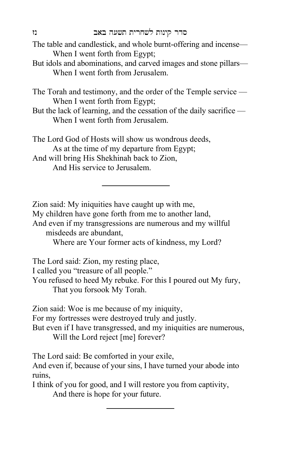- The table and candlestick, and whole burnt-offering and incense— When I went forth from Egypt;
- But idols and abominations, and carved images and stone pillars— When I went forth from Jerusalem.

The Torah and testimony, and the order of the Temple service — When I went forth from Egypt;

But the lack of learning, and the cessation of the daily sacrifice — When I went forth from Jerusalem.

The Lord God of Hosts will show us wondrous deeds, As at the time of my departure from Egypt; And will bring His Shekhinah back to Zion, And His service to Jerusalem.

Zion said: My iniquities have caught up with me,

My children have gone forth from me to another land,

And even if my transgressions are numerous and my willful misdeeds are abundant,

Where are Your former acts of kindness, my Lord?

The Lord said: Zion, my resting place,

I called you "treasure of all people."

You refused to heed My rebuke. For this I poured out My fury, That you forsook My Torah.

Zion said: Woe is me because of my iniquity,

For my fortresses were destroyed truly and justly.

But even if I have transgressed, and my iniquities are numerous, Will the Lord reject [me] forever?

The Lord said: Be comforted in your exile,

And even if, because of your sins, I have turned your abode into ruins,

I think of you for good, and I will restore you from captivity, And there is hope for your future.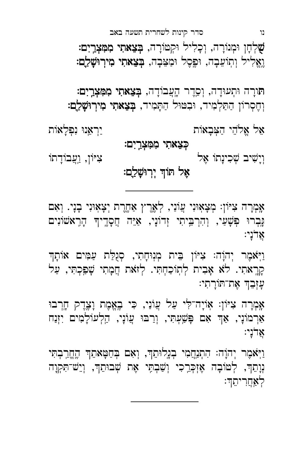אֲדֹנָי: וַיְאֹמֶר יְהוָה׃ הִתְחֲמִי בִנֶלוּתֵךְ, וְאָם בְּחַטְּאתֵךְ הֵחֱרֵבְתִּי נְוָתֵךָ, לְטוֹבָה אֶזְכְּרֵכִי וְשַׁבְתִּי אֶת שְׁבוּתֵךְ, וְיֵשׁ־תִּקְוָה <u>לְאֲחֲ</u>רִיתֵךּ:

עָזְבֵךְ אֶת־תּוֹרָתִי: אַמְרָה צִיּוֹן: אִוֹיָה־לִּי עַל עֲוֹנַי, כִּי בֵאֱמֶת וָצֵדֵק חֲרִבוּ אַרְמוֹנָי, אַדְּ אִם פָּשַׁעִתִּי, וְרַבּוּ עֲוֹנָי, הַלְעוֹלָמִים יִזְנַח

נֶבְרוּ פִשָּׁעַי, וְהִרְבֵּיתִי זִדוֹנָי, אַיֵּה חֲסָדֵיךָ הָרֵאֹשׂוֹנִים אֲדֹנַי: וַיָּאמֶר יְהוָה׃ צִיּוֹן בֵית מְנִוּחָתִי, סְגֻלַּת עַמִּים אוֹתָךְ קְרֶאתִי. לֹא אָבִית לְתְוֹכַחְתִּי. לְזֹאת חֲמָתִי שָׁפַּכְתִּי, עַל

אָמְרָה צִיּוֹן: מְצָאִוּנִי עֲוֹנֵי, לְאֶרֶץ אַחֱרֶת יְצָאוּנִי בָנָי. וְאִם

## אֶל תּוֹדְ יְרִוּשָ<u>ׁלַ</u>ם:

וְיָשִׁיב שְׁכִינָתוֹ אֶל יוֹ דָ יִ יִ *יִצְב*ּוֹדָתוֹ

כִּצָאתִי מִמְּצְרֵיִם:

אֵ ל אֱ ל ֹהֵ י הַ ְˆבָ א˚ת יַ ר ְ א נÍ נִ פְ לָ א˚ת

תּורָה וּתְעוּדָה, וְסֵדֶר הֶעֲבוֹדָה, **בְּצֵאתִי מִמְּצְרֵיִם:** וְחֶסְרוֹן הַתַּלְמִיד, וּבְטּוּל הַתָּמִיד, **בִּצֵאתִי מִירְוּשָׁלֵַם:** 

**שָׁלְחָן וּמְנוֹרָה, וְכָלִיל וּקְטּוֹרָה, בְּצֵאתִי מִמְּצְרֵיִם:** וֶאֱלִיל וְתְוֹעֵבְה, וּפֶסֶל וּמַצֵּבָה, **בִּצֵאתִי מִירְוּשַׁלֵם:** 

נו סדר קינות לשחרית תשעה באב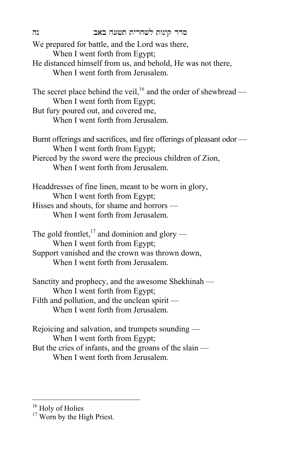| נה | סדר קינות לשחרית תשעה באב<br>We prepared for battle, and the Lord was there,<br>When I went forth from Egypt;<br>He distanced himself from us, and behold, He was not there,<br>When I went forth from Jerusalem. |
|----|-------------------------------------------------------------------------------------------------------------------------------------------------------------------------------------------------------------------|
|    | The secret place behind the veil, $^{16}$ and the order of shewbread —<br>When I went forth from Egypt;<br>But fury poured out, and covered me,<br>When I went forth from Jerusalem.                              |
|    | Burnt offerings and sacrifices, and fire offerings of pleasant odor<br>When I went forth from Egypt;<br>Pierced by the sword were the precious children of Zion,<br>When I went forth from Jerusalem.             |
|    | Headdresses of fine linen, meant to be worn in glory,<br>When I went forth from Egypt;<br>Hisses and shouts, for shame and horrors -<br>When I went forth from Jerusalem.                                         |
|    | The gold frontlet, <sup>17</sup> and dominion and glory —<br>When I went forth from Egypt;<br>Support vanished and the crown was thrown down,<br>When I went forth from Jerusalem.                                |
|    | Sanctity and prophecy, and the awesome Shekhinah —<br>When I went forth from Egypt;<br>Filth and pollution, and the unclean spirit —<br>When I went forth from Jerusalem.                                         |

Rejoicing and salvation, and trumpets sounding — When I went forth from Egypt; But the cries of infants, and the groans of the slain — When I went forth from Jerusalem.

 $\overline{a}$ <sup>16</sup> Holy of Holies

<sup>&</sup>lt;sup>17</sup> Worn by the High Priest.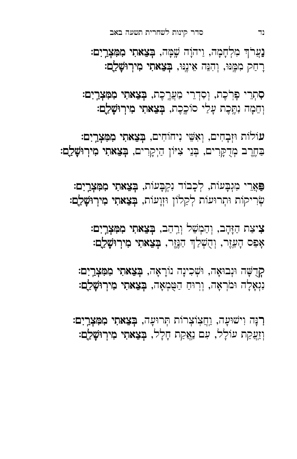רִנָּה וִישׁוּעָה, וַחֲצִוֹצְרוֹת תְּרוּעָה, בִ**צֵאתִי מִמְּצְרֵיִם:** וְזַעֲקַת עוֹלָל, עִם נַאֲקַת חָלָל, **בְּצֵאתִי מִירְוּשָׁלֵַם:** 

קִרְשָׁה וּנְבוּאַה, וּשְׁכִינַה נוֹרַאַה, בִּצָאתִי מִמְּצְרֵיִם: נִגְאָלָה וּמֹרְאָה, וְרוּחַ הַטֻּמְאָה, **בְּצֵאתִי מִירְוּשָׁלֵַם:** 

צִיצַת הַזָּהָב, וְהַמְשֵׁל וְרֵהַב, **בְּצֵאתִי מִמִּצְרֵיִם:** אָפֵס הָעֵזֶר, וְהֻשְׁלַךְ הַנֶּזֶר, **בְּצֵאתִי מִירְוּשָׁלַם:** 

ַפְּאֲרֵי מִנְבָעוֹת, לִכָבוֹד נִקְבָעוֹת, בִּצָאתִי מִמְּצָרֵיִם: שְׂרִיקוֹת וּתְרוּעוֹת לְקַלוֹן וּזְוָעוֹת, **בְּצֵאתִי מִירְוּשָׁלֵַם:** 

עוֹלוֹת וּזְבָחִים, וְאִשֵּׁי נִיחוֹחִים, בִּצָאתִי מִמְּצְרֵיִם: ַבְחֶרֶב מְדֻקְּרִים, בְּנֵי צִיּוֹן הַיְקָרִים, בְּצֵאתִי מִירְוּשָׁלֵַם:

סִתְרֵי פְּרֹכֶת, וְסִדְרֵי מַעֲרֶכֶת, בְּצֵאתִי מִמִּצְרָיִם: וְחֵמָה וְחֱכֶת עָלֵי סוֹכֶכֶת, **בְצֵאתִי מִירְוּשָׁלֵַם:** 

נַעֲרֹךְ מִלְחָמָה, וַיהוָה שֶׁמָּה, **בְּצֵאתִי מִמִּצְרֵיִם:** רָחַק מִמֵּנּוּ, וְהִנֵּה אֵינֵנֵּוּ, **בִצֵאתִי מִירְוּשָׁלֵם:** 

נד סדר קינות לשחרית תשעה באב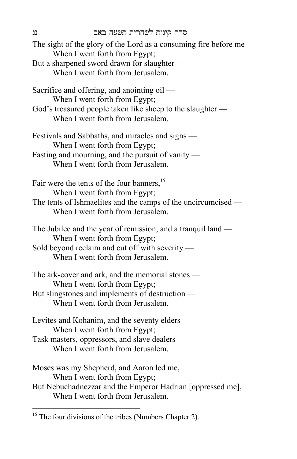The sight of the glory of the Lord as a consuming fire before me When I went forth from Egypt; But a sharpened sword drawn for slaughter — When I went forth from Jerusalem. Sacrifice and offering, and anointing oil — When I went forth from Egypt; God's treasured people taken like sheep to the slaughter — When I went forth from Jerusalem. Festivals and Sabbaths, and miracles and signs — When I went forth from Egypt; Fasting and mourning, and the pursuit of vanity — When I went forth from Jerusalem. Fair were the tents of the four banners,<sup>15</sup> When I went forth from Egypt; The tents of Ishmaelites and the camps of the uncircumcised — When I went forth from Jerusalem. The Jubilee and the year of remission, and a tranquil land — When I went forth from Egypt; Sold beyond reclaim and cut off with severity — When I went forth from Jerusalem. The ark-cover and ark, and the memorial stones — When I went forth from Egypt; But slingstones and implements of destruction — When I went forth from Jerusalem. Levites and Kohanim, and the seventy elders — When I went forth from Egypt; Task masters, oppressors, and slave dealers — When I went forth from Jerusalem. Moses was my Shepherd, and Aaron led me, When I went forth from Egypt; But Nebuchadnezzar and the Emperor Hadrian [oppressed me], When I went forth from Jerusalem.

 $\overline{a}$ 

 $15$  The four divisions of the tribes (Numbers Chapter 2).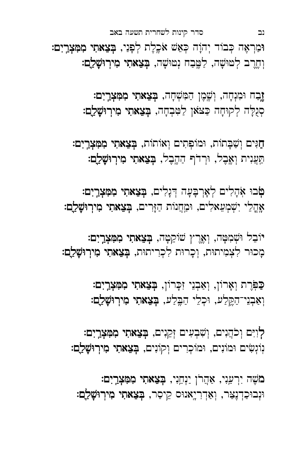מֹשֶׁה יִרְעֵנִי, אַהֲרֹן יַנְחֵנִי, בְּצֵאתִי מִמִּצְרָיִם: וּנְבוּכַדְנֶצִּר, וְאַדְרִיָאנוּס קֵיסַר, **בְּצֵאתִי מִירְוּשָׁלֵַם:** 

לְוִיִּם וְכֹהֲנִים, וְשְׁבְעִים זְקֵנִים, **בְּצֵאתִי מִמְּצְרֵיִם:** נִוּנְשִׂים וּמוֹנִים, וּמוֹכְרִים וְקוֹנִים, בְּצֵאתִי מִירְוּשָׁלֵם:

ַכְּפְּרֶת וְאָרוֹן, וְאַבְנֵי זִכְּרוֹן, בְּצֵאתִי מִמְּצְרֵיִם: וְאַבְנֵי־הַקֶּלֵע, וּכְלֵי הַבֶּלַע, **בְּצֵאתִי מִירְוּשָׁלִַם:** 

יֹוֹבֵל וּשְׁמִטָּה, וְאֶרֶץ שׁוֹקֵטָה, **בְּצֵאתִי מִמִּצְרַיִם:** מָכוּר לִצְמִיתוּת, וְכָרוּת לִכְרִיתוּת, **בְּצֵאתִי מִירְוּשָׁלֵַם:** 

טִֽׂבוּ אִהָלִים לְאָרִבָּעָה דִּנְלִים, בְּצָאתִי מִמְּצְרֵיִם: אָהֶלֵי יִשְׁמְעֵאלִים, וּמַחֲנוֹת הַזָּרִים, **בְּצֵאתִי מִירְוּשָׁלֵַם:** 

חַגִּים וְשַׁבָּתוֹת, וּמוֹפְתִים וְאוֹתוֹת, בְּצֵאתִי מִמְּצְרֵיִם: תַּעֲנִית וְאֶבֶל, וּרְדֹף הַהֶבֶל, **בְּצֵאתִי מִירְוּשָׁלֵַם:** 

זֶבַח וּמִנְחָה, וְשֶׁמֶן הַמִּשְׁחָה, **בְּצֵאתִי מִמְּצְרֵיִם:** סְנֻלָּה לְקוּחָה כַּצֹאוּ לַטִּבְחָה, **בְּצֵאתִי מִירְוּשָׁלֵַם:** 

וּמַרְאֶה כְּבוֹד יְהוָה כְּאֵשׁ אֹכֶלֶת לְפָנַי, **בְּצֵאתִי מִמִּצְרֵיִם:** וְחֶרֶב לְטוּשָׁה, לַמֱבַח נִטוּשָׁה, בָּצֵאתִי מִירְוּשָׁלֵַם:

נב סדר קינות לשחרית תשעה באב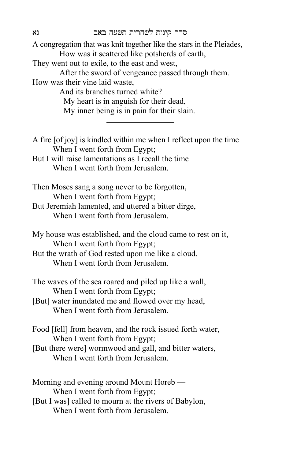A congregation that was knit together like the stars in the Pleiades, How was it scattered like potsherds of earth, They went out to exile, to the east and west, After the sword of vengeance passed through them. How was their vine laid waste, And its branches turned white? My heart is in anguish for their dead,

My inner being is in pain for their slain.

- A fire [of joy] is kindled within me when I reflect upon the time When I went forth from Egypt; But I will raise lamentations as I recall the time When I went forth from Jerusalem. Then Moses sang a song never to be forgotten, When I went forth from Egypt;
- But Jeremiah lamented, and uttered a bitter dirge, When I went forth from Jerusalem.

My house was established, and the cloud came to rest on it, When I went forth from Egypt;

But the wrath of God rested upon me like a cloud, When I went forth from Jerusalem.

- The waves of the sea roared and piled up like a wall, When I went forth from Egypt;
- [But] water inundated me and flowed over my head, When I went forth from Jerusalem.

Food [fell] from heaven, and the rock issued forth water, When I went forth from Egypt;

[But there were] wormwood and gall, and bitter waters, When I went forth from Jerusalem.

Morning and evening around Mount Horeb — When I went forth from Egypt;

[But I was] called to mourn at the rivers of Babylon, When I went forth from Jerusalem.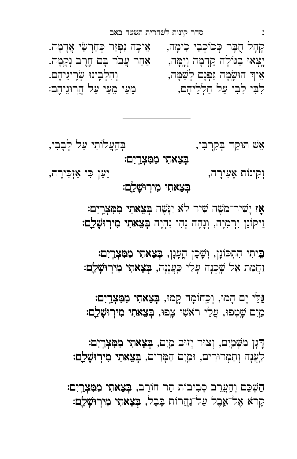ְהַשְׁכֵּם וְהַעֲרֵב סְבִיבוֹת הַר חוֹרֵב, בְּצָאתִי מִמְּצְרֵיִם: ּקְרֹא אֶל־אֵבֶל עַל־נַ<u>הֲ</u>רוֹת בָּבֶל, **בְּצֵאתִי מִירְוּשָׁלֵַם:** 

ָּדָּנָן מִשְׁמַיִם, וְצוּר יָזוּב מַיִם, בְּצֵאתִי מִמְּצְרָיִם: לְעֲנָה וְתַמְרוּרִים, וּמַיִם הַמְּרִים, בְּצֵאתִי מִירְוּשָׁלֵַם:

ַּ גַּלֵּי יָם הָמוּ, וִכְחוֹמָה קֵמוּ, בִּצֵאתִי מִמְּצָרֵיִם: מַיִם שֶׁטְפוּ, עֲלֵי רֹאשִׁי צָפוּ, בְּצֵאתִי מִירְוּשָׁלֵַם:

ַ בֵּיתִי הִתְכּוֹנְן, וְשָׁכְן הֶעָנְן, בְּצֵאתִי מִמִּצְרָיִם: וַחֲמַת אֵל שֶׁכְנָה עָלַי כַּעֲנָנָה, **בְצֵאתִי מִירְוּשָׁלַם:** 

אָו יָשִׁיר־מִשָּׁה שִׁיר לֹא יְנַשֵּׁה בִּצֵאתִי מִמְּצְרֵיִם: וַיקוֹנֵן יִרְמִיָה, וְנָהָה נְהִי נִהְיָה **בְּצֵאתִי מִירְוּשָׁלֵם:** 

## בְצֵאתִי מִירְוּשָׁלַָם:

וְקִינוֹת אָעֵירָה, יווי ה ה ה ה ה זְיִ זִי זִי זָ יִרה,

בִצָאתִי מִמִּצְרַיִם:

אֵ ‹ ˙Íק ַ ד ְבְ ּקִ רÊ ִ י , Ê ְ ה עֲ ל˚תִ י עַ ל לְ בָ בִ י ,

ּקְהָל חֻבָּר כְּכוֹכְבֵי כִימָה, אֵיכָה נִפְּזַר כְּחַרְשֵׂי אֲדָמָה. יְצְאוּ בַגּוֹלְה קֵדְמָה וְיָמָה, אַחַר עֲבֹר בָּם חֶרֶב וְקָמָה. אֵיךְ הוּשָׂמָה נַפְנָם לְשַׁמָּה, וּ הִי וְהִלְבִּינוּ שְׂרִיגִיהֶם. לִבִּי לִבִּי עַל חַלְלֵיהֶם, מֵעֵ ימֵעַי עַל הֲרְוּגֵיהֶם: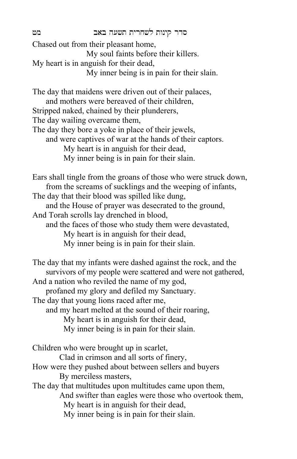Chased out from their pleasant home, My soul faints before their killers. My heart is in anguish for their dead, My inner being is in pain for their slain. The day that maidens were driven out of their palaces, and mothers were bereaved of their children, Stripped naked, chained by their plunderers, The day wailing overcame them, The day they bore a yoke in place of their jewels, and were captives of war at the hands of their captors. My heart is in anguish for their dead, My inner being is in pain for their slain. Ears shall tingle from the groans of those who were struck down, from the screams of sucklings and the weeping of infants, The day that their blood was spilled like dung, and the House of prayer was desecrated to the ground, And Torah scrolls lay drenched in blood, and the faces of those who study them were devastated, My heart is in anguish for their dead, My inner being is in pain for their slain. The day that my infants were dashed against the rock, and the survivors of my people were scattered and were not gathered, And a nation who reviled the name of my god, profaned my glory and defiled my Sanctuary. The day that young lions raced after me, and my heart melted at the sound of their roaring, My heart is in anguish for their dead, My inner being is in pain for their slain. Children who were brought up in scarlet, Clad in crimson and all sorts of finery, How were they pushed about between sellers and buyers By merciless masters, The day that multitudes upon multitudes came upon them, And swifter than eagles were those who overtook them, My heart is in anguish for their dead, My inner being is in pain for their slain.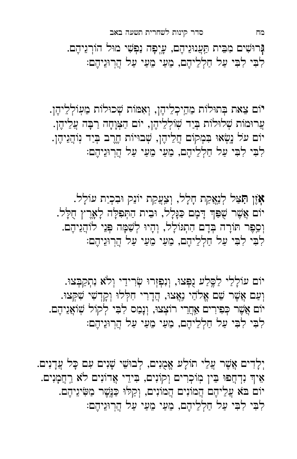מח סדר קינות לשחרית תשעה באב

**נְ**רוּשִׁים מִבֵּית תַּעֲנוּגֵיהֶם, עֶיְפָה נַפְשִׁי מוּל הוֹרְגֵיהֶם. לִבִּי לִבִּי עַל חַלְלֵיהֶם, מֵעַי מֵעַי עַל הֲרְוּגֵיהֶם:

יֹוֹם צֵאת בְּתוּלוֹת מֵהֵיכְלֵיהֶן, וְאָמּוֹת שְׁכוּלוֹת מֵעְוֹלְלֵיהֶן. ְעֲרוּמוֹת שְׁלוּלוֹת בְּיַד שְׁוֹלְלֵיהֶן, יוֹם הַצְּוָחָה רַבְּה עֲלֵיהֶן. יוֹם על נָשְׂאוּ בִּמְקוֹם חֲלֵיהֶן, שְׁבוּיוֹת חֶרֶב בְּיַד נְוֹהֲגֵיהֶן. לִבִּי לִבְּי עַל חַלְלֵיהֶם, מֵעַי מֵעַי עַל הַרְוּגֵיהֶם:

אָזֶן תָּצַל לְנַאֲקַת חָלָל, וְצַעֲקַת יוֹנֵק וּבִכְיַת עוֹלָל. יוֹם אֲשֶׁר שֻׁפַּךְ דָמָם כַּגָּלְל, וּבֵית הַתְּפִלָּה לְאָרֶץ חֻלָּל. וְסֵפֶר תּוֹרָה בְּדָם הִתְגּוֹלָל, וְהָיוּ לְשַׁמָּה פְּנֵי לוֹהֲגֵיהֶם. לִבִּי לִבִּי עַל חַלְלֵיהֶם, מֵעַי מֵעַי עַל הֲרְוּגֵיהֶם:

יוֹם עוֹלָלֵי לַסֱלֵע נָפְּצוּ, וְנִפְזְרוּ שְׂרִידֵי וְלֹא נִתְקַבְּצוּ. וְעַם אֲשֶׁר שֵׁם אֱלֹהַי נִאֲצוּ, הֲדָרִי חִלְּלוּ וְקָדָשִׁי שִׁקְּצוּ. יוֹם אֲשֶׁר כְּפִירִים אַחֲרֵי רוֹצְצוּ, וְנָמַס לִבִּי לְקוֹל שְׁוֹאֲגֵיהֶם. לִבִּי לִבְּי עַל חַלְלֵיהֶם, מֵעַי מֵעַי עַל הַרְוּגֵיהֶם:

יְלַדִים אֲשֶׁר עֲלֵי תוֹלַע אֱמְנִים, לְבוּשֵׁי שָׁנִים עִם כָּל עֲדַנִים. אֵיךְ נִדְחֲפוּ בֵּין מְוֹכְרִים וְקוֹנִים, בִּידֵי אֲדוֹנִים לֹא רַחֲמָנִים. יוֹם בֹּא עֲלֵיהֶם הֲמוֹנִים הֲמוֹנִים, וְקַלּוּ כַּנֶּשֶׁר מַשִּׂינֵיהֶם.<br>. לִבִּי לִבִּי עַל חַלְלֵיהֶם, מֵעַי מֵעַי עַל הֲרְוּגֵיהֶם: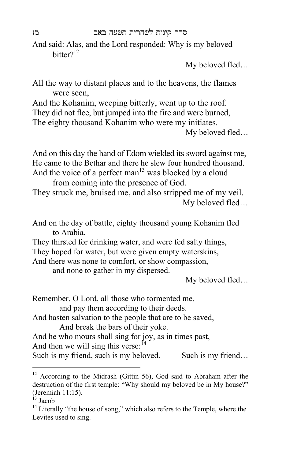And said: Alas, and the Lord responded: Why is my beloved  $\text{bitter}$ ?<sup>12</sup>

My beloved fled…

All the way to distant places and to the heavens, the flames were seen,

And the Kohanim, weeping bitterly, went up to the roof. They did not flee, but jumped into the fire and were burned, The eighty thousand Kohanim who were my initiates.

And on this day the hand of Edom wielded its sword against me, He came to the Bethar and there he slew four hundred thousand. And the voice of a perfect man<sup>13</sup> was blocked by a cloud

from coming into the presence of God.

- They struck me, bruised me, and also stripped me of my veil. My beloved fled…
- And on the day of battle, eighty thousand young Kohanim fled to Arabia.
- They thirsted for drinking water, and were fed salty things,

They hoped for water, but were given empty waterskins,

And there was none to comfort, or show compassion,

and none to gather in my dispersed.

My beloved fled…

Remember, O Lord, all those who tormented me,

and pay them according to their deeds.

And hasten salvation to the people that are to be saved, And break the bars of their yoke.

And he who mours shall sing for joy, as in times past,

And then we will sing this verse: $<sup>14</sup>$ </sup>

Such is my friend, such is my beloved. Such is my friend...

 $\overline{a}$ 

My beloved fled…

 $12$  According to the Midrash (Gittin 56), God said to Abraham after the destruction of the first temple: "Why should my beloved be in My house?" (Jeremiah 11:15).

 $^{13}$  Jacob

 $14$  Literally "the house of song," which also refers to the Temple, where the Levites used to sing.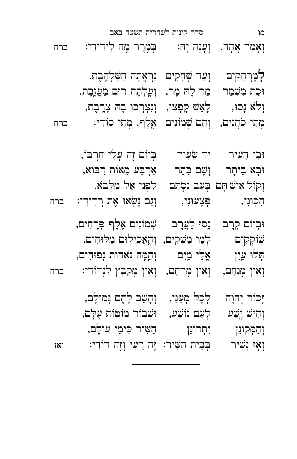| וְקוֹל אִישׁ תָּם בְּעַב נִסְתַּם<br>הִכְוּנִי,                            | פְּצְעְוּנִי,                               | לִפְנֵי אֵל מִלָּבֹא.<br>וְנֵם נֶשְׂאוּ אֶת רְדִידִי:                                                                                                                                | ברח          |
|----------------------------------------------------------------------------|---------------------------------------------|--------------------------------------------------------------------------------------------------------------------------------------------------------------------------------------|--------------|
| וּבְיוֹם קְרָב<br>שִׁיקְקִים<br>תַּלוּ עַיִן                               | אֱלֵי מַיִם                                 | נָסוּ לַעֲרָב ψֹטוֹנִים אֶלֶף בְּרָחִים,<br>לְמֵי מַשְׁקִים, וְהֶאֱכִילוּם מַלּוּחִים.<br>וְהֵמָּה נֹאדוֹת נְפוּחִים,<br>וְאִין מְנַחֵם, וְאִין מְרַחֵם, וְאִין מְקַבֵּץ לִנְדוֹדִי: | ברח          |
| זְכוֹר יְהוָה<br>וְחִישׁ יֶשָׁע<br><b>ּ</b> וְהַמְּקוֹנֵן<br>וְאָז נְשִׁיר | לְכָל מְעַנֵּי,<br>לְעַם נוֹשַׁע,<br>יתרונן | וְהָשֵׁב לְהֶם גְּמוּלָם,<br>וּשְׁבוֹר מוֹטוֹת עָלָם,<br>הַשִּׁיר כִּימֵי עוֹלָם,<br>בְּבִית הַשִּׁיר: זֶה רֵעִי וְזֶה דוֹדִי:                                                       | $\mathbf{X}$ |

|     | לְמֶרְחַקִּים וְעַדְשְׁחָקִים נִרְאֲתָהְ הַשַּׁלְהֶבֶת.     |  |
|-----|-------------------------------------------------------------|--|
|     | וּכַת מִשָּׁמַר   מַר לָהּ מָר,   וְעֶלְתָה רוּם מַעֲזֶבֶת. |  |
|     | וְלֹא נָסוּ, לְאֵשׁ קִפְצוּ, וְנִצְרְבוּ בְהּ צָרֱבֶת,      |  |
| ברח | מְתֵי כֹהֲנִים, וְהֵם שְׁמוֹנִים אֱלֶף, מְתֵי סוֹדִי:       |  |

 $\mathbf{u}$ וּבִי יִד שֵׂעִיר וֹחַ יִד יִחַ יִד יִחַ יִ

וּבָא בֵיתָר  $\psi$ ִ וְשָׁם בִּתֵּר אַרְבַּע מֵאוֹת רִבּוֹא,

מו סדר קינות לשחרית תשעה באב וְאָמַר אֲהָהּ, וְעָנָה יָהּ: בְּמֶרֶר מֶה לְידִידִי: ברח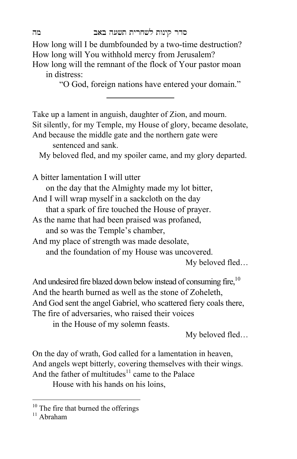How long will I be dumbfounded by a two-time destruction? How long will You withhold mercy from Jerusalem?

How long will the remnant of the flock of Your pastor moan in distress:

"O God, foreign nations have entered your domain."

Take up a lament in anguish, daughter of Zion, and mourn. Sit silently, for my Temple, my House of glory, became desolate, And because the middle gate and the northern gate were sentenced and sank. My beloved fled, and my spoiler came, and my glory departed. A bitter lamentation I will utter on the day that the Almighty made my lot bitter, And I will wrap myself in a sackcloth on the day that a spark of fire touched the House of prayer. As the name that had been praised was profaned, and so was the Temple's chamber, And my place of strength was made desolate, and the foundation of my House was uncovered. My beloved fled… And undesired fire blazed down below instead of consuming fire,<sup>10</sup>

And the hearth burned as well as the stone of Zoheleth, And God sent the angel Gabriel, who scattered fiery coals there, The fire of adversaries, who raised their voices

in the House of my solemn feasts.

My beloved fled…

On the day of wrath, God called for a lamentation in heaven, And angels wept bitterly, covering themselves with their wings. And the father of multitudes<sup>11</sup> came to the Palace House with his hands on his loins,

 $\overline{a}$ 

 $10$  The fire that burned the offerings

 $11$  Abraham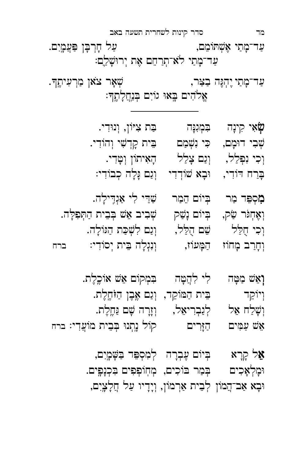אֵל קָרָא — בְּיוֹם עֶבְרָה לְמִסְפֵּד בַּשֶּׁמֲיִם, וּמַלְאָכִים בְּכְנָם בּוֹכִים, מְחְוֹפְפִים בִּכְנָפֵים. וּבָא אַב־הֲמוֹן לְבֵית אַרְמוֹן, וְיָדָיו עַל חֲלָצֶיִם,

- וְאֵשׁ מַטָּה | לִי לִהֲטָּה | בִּמְקוֹם אֵשׁ אוֹכֶלֶת. וְיוֹקֵד יוֹ בֵית הַמּוֹקֵד, וְנַם אֱבֶן הַזֹּחֱלֶת. וְשָׁלַח אֵל לְנַבְרִיאֵל, וְזָרָה שָׁם נַּחֵלֵת. אֵשׁ עַמִּים אַזַּרִים קוֹל נַחֲנוּ בִּבֵית מוֹעֲדִי: ברח
- בְּרַח דּוֹדִי, ﴿ וּבָא שׁוֹדְדִי ﴿ וְנַם גָּלָה כְבוֹדִי: מִסְפֵּד מַר ← בְיוֹם הֵמַר ← שַׁדַי לִי אַנְדִילָה. וְ הָתְפִלְה, הָיוֹם נָשַׁק וְ שְׁבִיב אֵשׁ בְּבֵית הַתְּפִלְּה. וָכִי חֻלַּל  $\omega$  שֵׁם הָלֵל,  $\omega$ וְגַם לִשְׁכַּת הַגּוֹלָה. וְחָרַב מָחוֹז הַמָּעוֹז, וְנִגְלָה בֵּית יְסוֹדִי: ברח
- שְׁבִי דוּמָם, כִּי נִשְׁמַם | בֵּית קָדְשִׁי וְהוֹדִי. וְכִי נִפְלַל,  $\qquad$ וְגַם צָלַל  $\qquad \qquad$ הָאִיתוֹן וְטָדִי.

 $\boldsymbol{\mathfrak{P}}$ אִי קִינָה הַבְּזְנִנְּה בִּ צִיּוֹן, וְנוּדִי

אֱלֹהִים בָּאוּ גוֹיִם בְּנַחֲלָתֶךּ∶

עַ ד־מָתַי יֶהְגֶּה בַצַּר, יוֹ הָ הָעִיתֶךּ

מד סדר קינות לשחרית תשעה באב ּעַ ד־מָתֵי אֶשְׁתֹּימֵם, עַל חָרְבָּן פַּעֲמָיִם. עַד־מָתַי לֹא־תְרַחֵם אֶת יְרוּשָׁלֵַם: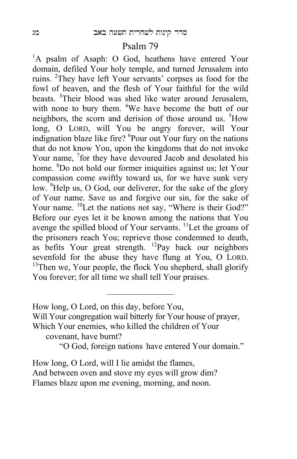#### Psalm 79

<sup>1</sup>A psalm of Asaph: O God, heathens have entered Your domain, defiled Your holy temple, and turned Jerusalem into ruins. <sup>2</sup>They have left Your servants' corpses as food for the fowl of heaven, and the flesh of Your faithful for the wild beasts. <sup>3</sup>Their blood was shed like water around Jerusalem, with none to bury them.  $4$ We have become the butt of our neighbors, the scorn and derision of those around us. <sup>5</sup>How long, O LORD, will You be angry forever, will Your indignation blaze like fire? <sup>6</sup>Pour out Your fury on the nations that do not know You, upon the kingdoms that do not invoke Your name, <sup>7</sup> for they have devoured Jacob and desolated his home. <sup>8</sup>Do not hold our former iniquities against us; let Your compassion come swiftly toward us, for we have sunk very low.  $9$ Help us, O God, our deliverer, for the sake of the glory of Your name. Save us and forgive our sin, for the sake of Your name. <sup>10</sup>Let the nations not say, "Where is their God?" Before our eyes let it be known among the nations that You avenge the spilled blood of Your servants. <sup>11</sup>Let the groans of the prisoners reach You; reprieve those condemned to death, as befits Your great strength. 12Pay back our neighbors sevenfold for the abuse they have flung at You, O LORD. <sup>13</sup>Then we, Your people, the flock You shepherd, shall glorify You forever; for all time we shall tell Your praises.

Will Your congregation wail bitterly for Your house of prayer, Which Your enemies, who killed the children of Your

covenant, have burnt?

"O God, foreign nations have entered Your domain."

How long, O Lord, will I lie amidst the flames, And between oven and stove my eyes will grow dim? Flames blaze upon me evening, morning, and noon.

How long, O Lord, on this day, before You,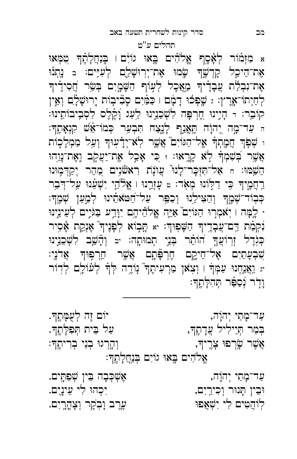ּעַ ד־מָתַי יְהוָה, אֵ יִ יִ הְיֹךָה, אֶשְׁכְּבָה בִּין שְׁפַתֶּים. Íבֵ ין ˙ ָ נÍר וְ כִ יר יִ ם, יִ כ ְ הÍ לִ י עֵ ינ יִ ם. לְוֹהֲטִים לִי יִשְׁאֲפוּ יִ יִ יִ יִאֲ פּוּ לִי יִלְ יִם.

אֶלֹהִים בֶּאוּ גוֹיִם בְּנ<u>ַחֲ</u>לָתֶךָ:

ּעַ ד־מָתַי יְהוָה, יהוֹם זֶה לְעָמֶתֶךּ. ּ בְּמַר תְּיֵילִיל עֲדָתֶךְ, עַל יִ יִ הַפִּלְתֶךָ. אֲשֶׁר שֳׂרְפוּ צָרֶיךָ, וְהַרְגוּ בְנֵי בְרִיתֶךָ

תהלים ע"ט א מִזְמֹוֹר לְאָ֫סֶף אֱלֹהִים בָּאוּ גוֹיָם וַ בְּנַחֲלָהֶךְ טִמְּאוּ אֶת־הֵיכֵל קָדְשֶׁךָּ שֶׂמוּ אֶת־יְרוּשָׁלֵֵם לְעִיִּים: בּ נִתְנוּ אָת־נִבְלֵת עֲבָדָ֫יךְ מַאֲכָל לְעָוֹף הַשָּׁמָֻיִם בְּשֵׂר חֲסִידָ֫יךָ ֹלְחַיְתוֹ־אָרֶץ: ג שֶׁפְּכוּ דָמָם ו כַּמַּ֫יִם סֲבִּיבָוֹת יְרוּשָׁלָ֫ם וְאֵין ֹקוֹבֵר: רּ הָיָינוּ חֱרְפָּה לִשְׁכֵנֵינוּ לַעֲג וָ֫קֶלֶס לִסְבִיבוֹתֵינוּ: ּה עַד־מֶה יְהוָה תֱאֱנֵף לָנֶצַח תִּבְעַר כְּמוֹ־אֵשׁ קִנְאָתֶךָ: ו שְׁפֹּךְ חֲמָתְךָ אֵל־הַגּוֹיִם אֲשֶר לְא־יְדָ֫עְוּךְ וְעַל מַמְלָכִוֹת אֲשֶׁר בְׁשִׁמְךָ לְא קָרֶאוּ: ז כִּי אָכַל אֶת־יַצְקֶב וֵאֶת־נְוֵהוּ הֵשְׁמּוּ: ח אַל־תִּזְכָּר־לָנוּ עֲונָת רִאשׁנִים מֲהֵר יְקַדְמְוּנוּ רַחֲמֵיךָ כִּי דַלְוֹנוּ מִאָר: బ עָזָרֱנוּ | אֱלֹהֵי יִשְׁעֵ֫נוּ עַל־דְּבָר ֹכְבְוֹד־שָׁמֶֽךְ וְהַצִּילֵנוּ וְכַפֵּר עַל־חַטּאֹתֵ֫ינוּ לְמַעַן שְׁמֶךָ׃ י לָמָּה ו יִאמְרוּ הַגּוֹיִם ֿאַיֵּה אֱלֹהֵ֫יהֶם יִוָּדַע בַּגֹּיֵים לְעֵינֵינוּ נִקְמַת דַם־עֲבָדֶיךָ הַשָּׁפִוּךְ: אַ הָָבְוֹא לְפָּנֶיךָ אֶנְקֶת אָ֫סִיר ْ בְּגָדֶל זְרוֹעֲךָ הוֹתֵר בְּנֵי תְמוּתֶה: יב וְהָשֵׁב לִשְׁבֵנֵינוּ ֹשֶׁבְעָתַיִם אֶל־חֵיקֶם חֶרְפֶּתֶם אֲשֶׁר חֵרְפִּוּךְ אֲדֹנֶי: יג וַאֲנַחְנוּ עַמְּךָ וּ וְצָא*ׁ*ן מַרְעִיתֶךְ נְוֹדֶה לְּךָ לְעוֹלָם לְדִוֹר ּ וָדָר נְסַפֵּר תְּהִלָּתֶךָ: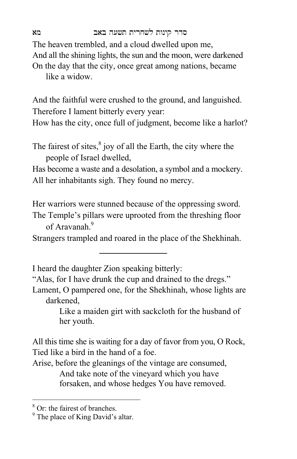#### סדר קינות לשחרית תשעה באב מא

The heaven trembled, and a cloud dwelled upon me, And all the shining lights, the sun and the moon, were darkened On the day that the city, once great among nations, became like a widow.

And the faithful were crushed to the ground, and languished. Therefore I lament bitterly every year:

How has the city, once full of judgment, become like a harlot?

The fairest of sites, $8$  joy of all the Earth, the city where the people of Israel dwelled,

Has become a waste and a desolation, a symbol and a mockery. All her inhabitants sigh. They found no mercy.

Her warriors were stunned because of the oppressing sword.

The Temple's pillars were uprooted from the threshing floor of Aravanah<sup>9</sup>

Strangers trampled and roared in the place of the Shekhinah.

I heard the daughter Zion speaking bitterly:

"Alas, for I have drunk the cup and drained to the dregs."

Lament, O pampered one, for the Shekhinah, whose lights are darkened,

> Like a maiden girt with sackcloth for the husband of her youth.

All this time she is waiting for a day of favor from you, O Rock, Tied like a bird in the hand of a foe.

Arise, before the gleanings of the vintage are consumed, And take note of the vineyard which you have forsaken, and whose hedges You have removed.

 8 Or: the fairest of branches.

<sup>&</sup>lt;sup>9</sup> The place of King David's altar.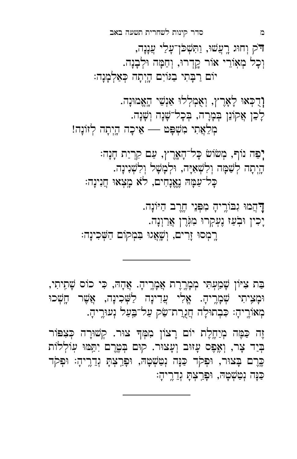מְאוֹרֶיהָ: כִּבְתוּלָה חֲגֻרַת־שַׂק עַל־בַּעַל נְעוּרֶיהָ. זֶה כַּמֶּה מְיַחֱלֶת יוֹם רָצוֹן מִמְּךָ צוּר. קְשׁוּרָה כְּצִפּוֹר בְּיַד צָר, וְאֱפֵס עָזוּב וְעָצוּר. קוּם בְּטֱרֵם יְתֵּמּוּ עִוֹלְלוֹת چֶרֶם בְּצוּר, וּפְקֹד כַּנָּה נְטַשְׁטָהּ, וּפָרָצְתָּ גְדֵרֶיהָ: וּפִקֹד ַכְּנָה נְטַשְׁטָהּ, וּפָּרַצְהָ גְדֵרֶיהָ:

ּבַּת צִיּוֹן שָׁמֲעָתִּי מִמָּרֵרֶת אֲמָרֵיהָ. אֲהָהּ, כִּי כוֹס שָׁתֵיתִי, וּמָצֵיתִי שְׁמָרֵיהָ. אֱלִי עֲדִינָה לַשְּׁכִינָה, אֲשֵׁר חֲשָׁכוּ

דַּ הֲמוּ גִבּוֹרֵיהָ מִפְּנֵי חֱרֵב הַיּוֹנָה. יָכִין וּבְעַז נֵעָקִרוּ מִגְּרֵן אֲרַוְנָה.<br>. רֵמְסוּ זָרִים, וְשָׁאֲגוּ בִּמְקוֹם הַשְּׁכִינָה:

יָפֵה נוֹף, מְשׂוֹשׂ כָּל־הָאֱרֶץ, עַם קִרְיַת חָנָה: הָיָתָה לְשַׁמָּה וְלִשְׁאִיָּה, וּלְמָשָׁל וְלִשְׁנִינָה. ָכָּל־עַמָּהּ נֵאֱנָחִים, לֹא מָצִאוּ חֲנִינָה:

וְ דָכְאוּ לְאָרֵץ, וְאָמְלְלוּ אַנְשֵׁי הָאֱמוּנָה. לְכֵן אֲקוֹנֵן בְּמָרָה, בְּכָל־שָׁנָה וְשָׁנָה. מְלֵאֲתִי מִשְׁפָּט — אֵיכָה הֲיִתָה לְזוֹנָה!

דֹק וְחוּג רֶעֲשׁוּ, וַתִּשְׁכֹּן־עָלֵי עֲנָנָה, וְכָל מְאָוֹרֵי אֹוֹר קֵדְרוּ, וְחַמָּה וּלְבָנָה. יוֹם רַבָּתִי בַגּוֹיִם הָיְתָה כְּאַלְמָנָה:

מ סדר קינות לשחרית תשעה באב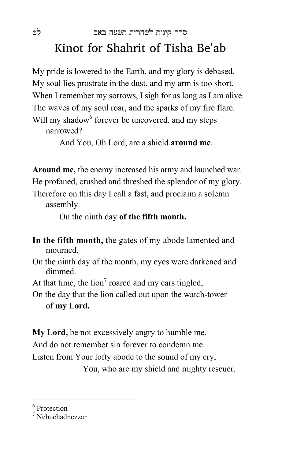### סדר קינות לשחרית תשעה באב לט Kinot for Shahrit of Tisha Be'ab

My pride is lowered to the Earth, and my glory is debased. My soul lies prostrate in the dust, and my arm is too short. When I remember my sorrows, I sigh for as long as I am alive. The waves of my soul roar, and the sparks of my fire flare. Will my shadow<sup>6</sup> forever be uncovered, and my steps narrowed?

And You, Oh Lord, are a shield **around me**.

**Around me,** the enemy increased his army and launched war. He profaned, crushed and threshed the splendor of my glory. Therefore on this day I call a fast, and proclaim a solemn assembly.

On the ninth day **of the fifth month.**

- **In the fifth month,** the gates of my abode lamented and mourned,
- On the ninth day of the month, my eyes were darkened and dimmed.
- At that time, the  $\lim^7$  roared and my ears tingled,
- On the day that the lion called out upon the watch-tower of **my Lord.**

**My Lord,** be not excessively angry to humble me, And do not remember sin forever to condemn me. Listen from Your lofty abode to the sound of my cry, You, who are my shield and mighty rescuer.

6 Protection

<sup>7</sup> Nebuchadnezzar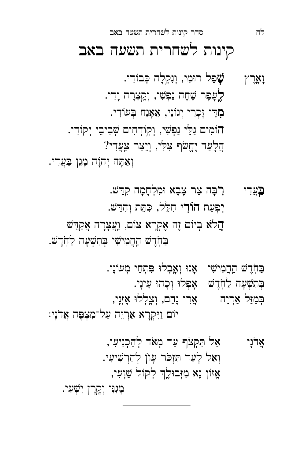כְּגִנִּי וְקֶרֶן יִשְׁעָי.

אֲדֹנָי אַל תִּקְצֹךְ עַד מְאֹד לְהַכְנִיעִי, וְאַל לָעַד הִזְכֹּר עָוֹן לְהַרְשִׁיעִי. אֶזוֹן נָא מִזְּבוּלֶךְ לְקוֹל שַׁוְעִי,

ּ בִּחְׂדֶשׁ הַחֲמִישִׁי - אָנוּ וְאָבְלוּ פִּתְחֵי מְעוֹנָי. בְּתִשְׁעָה לַחְׂדֶשׁ - אָפְלוּ וְכָהוּ עֵינָי. בִּמַּוַּל אַרְיֵה אֲרֵי נָהַם, וְצָלְלוּ אָזְנָי, יוֹם וַיִּקְרָא אַרְיֵה עַל־מִצְפֶּה אֲדֹנָי:

בַּעֲדִי רָבָה צַר צָבָא וּמִלְחָמָה קִדֵשׁ. יִפְעַת חוֹדִי חִלֵּל, כִּתֵּת וְהִדֵּשׁ. הֲלֹא בְיוֹם זֶה אֶקְרָא צוֹם, וַעֲצָרָה אֲקַדֵּשׁ בּחֹרָשׁ הַחֲמִישִׁי בְּתִשְׁעָה לַחְרֶשׁ.

לֶעָפָר שָׁחָה נַפְשִׁי, וְקֵצְרָה יָדִי. מְדֵי זָכְרִי יְגוֹנַי, אֵאָנַח בְּעוֹדִי. הוֹמִים גַּלֵי נַפְשִׁי, וְקִוֹדְחִים שִׁבִיבֵי יִקוֹדִי. הֲלָעַד יֶחֱשֹׁף צִלִּי, וְיֵצַר צַעֲדִי? וְאַתָּה יְהוָה מָגֵן בַּעֲדִי.

קינות לשחרית תשעה באב

וָאָרֶץ  $\boldsymbol{\psi}$ פַל רוּמִי, וְנִקְלָה כְּבוֹדִי.

לח סדר קינות לשחרית תשעה באב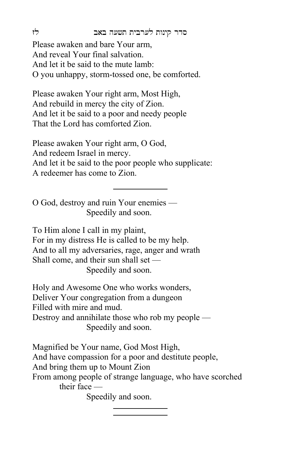סדר קינות לערבית תשעה באב לז

Please awaken and bare Your arm, And reveal Your final salvation. And let it be said to the mute lamb: O you unhappy, storm-tossed one, be comforted.

Please awaken Your right arm, Most High, And rebuild in mercy the city of Zion. And let it be said to a poor and needy people That the Lord has comforted Zion.

Please awaken Your right arm, O God, And redeem Israel in mercy. And let it be said to the poor people who supplicate: A redeemer has come to Zion.

O God, destroy and ruin Your enemies — Speedily and soon.

To Him alone I call in my plaint, For in my distress He is called to be my help. And to all my adversaries, rage, anger and wrath Shall come, and their sun shall set — Speedily and soon.

Holy and Awesome One who works wonders, Deliver Your congregation from a dungeon Filled with mire and mud. Destroy and annihilate those who rob my people — Speedily and soon.

Magnified be Your name, God Most High, And have compassion for a poor and destitute people, And bring them up to Mount Zion From among people of strange language, who have scorched their face —

Speedily and soon.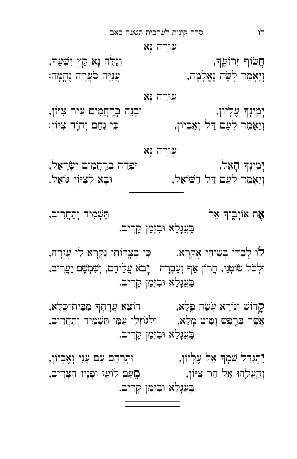לו סדר קינות לערבית תשעה באב

עִוּרָה נָּא

חֲשׂוֹף זְרוֹעֶךְ, וֹ יִ יִ יִ הְאֵ הֵ הֵ הָא הֵ הֵ הֲ הֵ הֵ הֵ הֵ ה וְיֵאָמֵר לְשֶׂה נֵאֱלָמָה, יוֹ הוֹ הַעֲנָיָה סֹעֲרָה נָחֲמָה:

עוּרַה נַא

יְ מ ינְ ָך עֶ לְ י˚ן, Íבְ נֵ ה בְ ר חֲ מִ ים עִ יר צִ Ì˚ן, וְיֵאָמֵר לְעַם דַּל וְאֶבְיוֹן, הֹוֹ הַם יְהוָה צִיּוֹן:

עוּרָה נָא יְמְינְדְּ הָאֵל, לווּ הַבְּדָה בְרָחֲמִים יִשְׂרָאֵל, וְ יֵ אָ מֵ ר לְ עַ ם Ë ַ ל הַ ·˚אֵ ל, Íבָ א לְ צִ Ì˚ן Á˚אֵ ל .

אֶת אוֹיְבֶיךְ אֵל י בִּעֲנָלָא וּבִזְמַן קָרִיב.

לוֹ לְבַדוֹ בְּשִׂיחִי אֶקְרָא, ← כִּי בְצֶרוֹתַי נִקְרָא לִי עֶזְרָה, וּלְכֹל שׂוֹטְנַי, חֲרוֹן אַף וְעֵבְרָה <sub>-</sub> יָבֹא עֲלֵיהֶם, וְשָׁמְשָׁם יַעֲרִיב, בִּעֲנָלָא וּבִזְמַן קָרִיב.

קָרוֹשׁ וְנוֹרָא עְשֶׂה פֶּלֶא, הוֹצֵא עֲדֶתְךָ מִבֵּית־כֶּלֶא, אֲשֶׁר בְּרֱפֶּשׁ וָמִיט מָלֵא,  $\,$ וּלְגוֹזְלֵי עַמִּי תַּשְׁמִיד וְתַחֲרִיב, בִּעֲנָלָא וּבִזְמַן קָרִיב.

יִתְנַדַּל שִׁמְדּ אֵל עָלְיוֹן, החֹרַחֵם עַם עָנִי וְאֶבְיוֹן, וְהַעֲלֵהוּ אֶל הַר צִיּוֹן, מֵ הַ הַצְרִיב, וִ בִּעֲנָלָא וּבִזְמַן קָרִיב.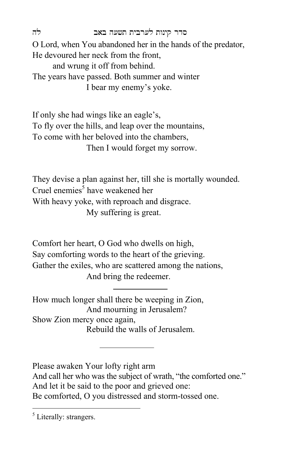סדר קינות לערבית תשעה באב לה

O Lord, when You abandoned her in the hands of the predator, He devoured her neck from the front, and wrung it off from behind. The years have passed. Both summer and winter I bear my enemy's yoke.

If only she had wings like an eagle's, To fly over the hills, and leap over the mountains, To come with her beloved into the chambers, Then I would forget my sorrow.

They devise a plan against her, till she is mortally wounded. Cruel enemies<sup>5</sup> have weakened her With heavy yoke, with reproach and disgrace. My suffering is great.

Comfort her heart, O God who dwells on high, Say comforting words to the heart of the grieving. Gather the exiles, who are scattered among the nations, And bring the redeemer.

How much longer shall there be weeping in Zion, And mourning in Jerusalem? Show Zion mercy once again, Rebuild the walls of Jerusalem.

Please awaken Your lofty right arm And call her who was the subject of wrath, "the comforted one." And let it be said to the poor and grieved one: Be comforted, O you distressed and storm-tossed one.

 $\overline{a}$ 

<sup>&</sup>lt;sup>5</sup> Literally: strangers.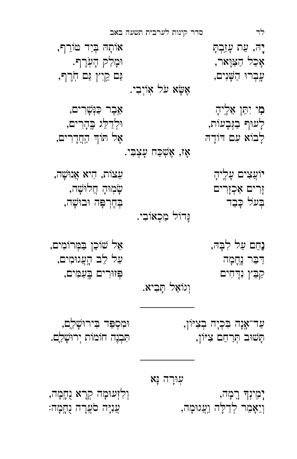יְמִינְדּ רֵמָה, וֹ הָרֹא נִחֲמָה, יִ הְרָא נֻחֲמָה, וְיֵאָמֵר לְדַלָּה וַעֲגוּמָה, עֲנִיָּה סֹעֲרָה נֻחֲמָה:

עִוּרָה נָא

עַ ד־א נָ ה Ê ִ כְ יָ ה בְ צִ Ì˚ן, Íמִ סְ ı ֵ ד Ê ִ ירÍ ›ָ ל ִם, ָ˙‹Íב ˙ ְ ר ַ חֵ ם צִ Ì˚ן, ˙ ִ בְ נֶ ה ח˚מ˚ת יְ רÍ ›ָ ל ִם.

נַחֵם עַל לִבָּהּ, אֵל שׁוֹכֵן בַמְּרוֹמִים, ַּדַּבֵּר נֵחֲמָה יוֹה עַל לֵב הָעֲגוּמִים, קַבֵּץ נִדְחִים  $\Xi$ ְ נִדְחִים בֻּעַמִּים, וְגוֹאֵל הָ**בִיא.** 

אָז, אֶשְׁכַּח עָצְבִי. יֹוַעֲצִים עָלֵיהָ יהָ יא אֲנוּשָׁה, יִהִיא אֲנוּשָׁה, זֶרִים אַכְזָרִים  $\omega$ רוֹשָׁה, זָ Ê ְ ע≥ל Ô ָ בֵ ד Ê ְ ְ חֶ רı ָ ה ÍבÍ ›ָ ה, נֵדוֹל מַכְאוֹבִי.

ֹמִי יִתֵּן אֵלֶיהָ יִ הַחֹּ אֵלֶיהָ לֹ לָ עÍף בַ ְÁבָ ע˚ת, Íלְ דַ לֵּ ג Ê הָ ר ִ ים, לָבוֹא עִם דּוֹדָהּ לְבוֹא עִם דּוֹדָה

לד סדר קינות לערבית תשעה באב יָה, עֵת עָזַבְתָּ יַ $\mathbf{z}$ ה, עֵת עָזַבְתָ אָ כַ ל הַ ַˆÍ ָ אר, Íמָ לַ ק הָ עֹֽ ר ֶ ף. עֲבְרוּ הַשָּׁנִים, הוֹבְרֹ הַשְׁנִים, ה אֲשָׂא עֹל אוֹיְבִי.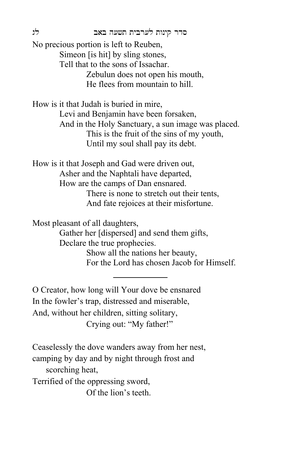סדר קינות לערבית תשעה באב לג

No precious portion is left to Reuben, Simeon [is hit] by sling stones, Tell that to the sons of Issachar. Zebulun does not open his mouth, He flees from mountain to hill.

How is it that Judah is buried in mire, Levi and Benjamin have been forsaken, And in the Holy Sanctuary, a sun image was placed. This is the fruit of the sins of my youth, Until my soul shall pay its debt.

How is it that Joseph and Gad were driven out, Asher and the Naphtali have departed, How are the camps of Dan ensnared. There is none to stretch out their tents, And fate rejoices at their misfortune.

Most pleasant of all daughters,

Gather her [dispersed] and send them gifts, Declare the true prophecies. Show all the nations her beauty, For the Lord has chosen Jacob for Himself.

O Creator, how long will Your dove be ensnared In the fowler's trap, distressed and miserable, And, without her children, sitting solitary, Crying out: "My father!"

Ceaselessly the dove wanders away from her nest, camping by day and by night through frost and scorching heat, Terrified of the oppressing sword, Of the lion's teeth.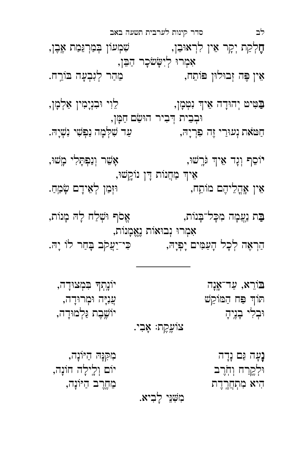| יוֹשֱבֶת נַּלְמוּדָה,                        | צוֹעֶקֶת: אָבִי. | וּבְלִי בָנֵיהָ                       |
|----------------------------------------------|------------------|---------------------------------------|
| ַמְקִנָּה הַיּוֹנָה,<br>יום וִלֵילַה חוֹנָה, |                  | נָעָה גַּם נְדָה<br>וּלְקֵרַח וִחְרָב |
| מֵחֱרֵב הַיּוֹנָה,                           |                  | הִיא מִתְחֲרֶדֶת                      |
|                                              | מִשְׁנֵי לָבִיא. |                                       |

בּוֹרֵא, עַד־אֶנָה היה הייֹנְחִדּ בִּמְצוּדָה, יִתּוֹד פַּח הַמּוֹקֵשׁ · עֵ עֲנֵיָה וּמִרוּדַה,

ַּבָּת נַעֲמָה מִכָּל־בָּנוֹת, אֵ הָ מֹלִח לָהּ מָנוֹת, אִמְרוּ נְבוּאוֹת נֶאֱמְנוֹת, הַרְאֶה לְכָל הָעַמִּים יָפְיָה, הוֹ פִי־יַעֲקֹב בְּחַר לוֹ יָהּ.

יֹוֹסֵף וְנָד אֵיךְ גִּרְשׁוּ, אֵ יִ אֲשֶׁר וְנַפְתָּלִי מָשׁוּ, אֵיךְ מַחֲנוֹת דְּן נוֹקֳשׁוּ, אֵין אָהֱלֵיהֶם מוֹתֵח,  $\qquad \qquad \text{if}$ וּזְמַן לְאֵידָם שָׂמֵהַ.

ַּבְּטִּיט יְהוּדָה אֵיךְ נִטְמְן, לֵוִי וּבִנְמִין אַלְמָן, וּבְבֵית דְבִיר הוּשַׂם חַמָּן, חַ הַאָּח נְעוּרַי זֶה פִּרְיָה, עַ ד שִׁלְּמָה נַפְשִׁי נִשְׁיָה.

לב סדר קינות לערבית תשעה באב ּחֶלְקַת יְקָר אֵין לִרְאוּבֵן, שִׁמְעוֹן בְּמַרְגֵּמַת אֶבֶן, אִמְרוּ לְיִשָּׂשֹׂכָר הַבֵּן, אֵין פֵּה זִבוּלוּן פּוֹתֵח, מֵ הַ הַ מֵהַר לְגִבְעָה בּוֹרֵח.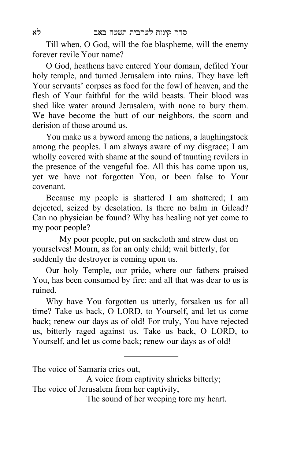Till when, O God, will the foe blaspheme, will the enemy forever revile Your name?

O God, heathens have entered Your domain, defiled Your holy temple, and turned Jerusalem into ruins. They have left Your servants' corpses as food for the fowl of heaven, and the flesh of Your faithful for the wild beasts. Their blood was shed like water around Jerusalem, with none to bury them. We have become the butt of our neighbors, the scorn and derision of those around us.

You make us a byword among the nations, a laughingstock among the peoples. I am always aware of my disgrace; I am wholly covered with shame at the sound of taunting revilers in the presence of the vengeful foe. All this has come upon us, yet we have not forgotten You, or been false to Your covenant.

Because my people is shattered I am shattered; I am dejected, seized by desolation. Is there no balm in Gilead? Can no physician be found? Why has healing not yet come to my poor people?

My poor people, put on sackcloth and strew dust on yourselves! Mourn, as for an only child; wail bitterly, for suddenly the destroyer is coming upon us.

Our holy Temple, our pride, where our fathers praised You, has been consumed by fire: and all that was dear to us is ruined.

Why have You forgotten us utterly, forsaken us for all time? Take us back, O LORD, to Yourself, and let us come back; renew our days as of old! For truly, You have rejected us, bitterly raged against us. Take us back, O LORD, to Yourself, and let us come back; renew our days as of old!

The voice of Samaria cries out,

A voice from captivity shrieks bitterly; The voice of Jerusalem from her captivity,

The sound of her weeping tore my heart.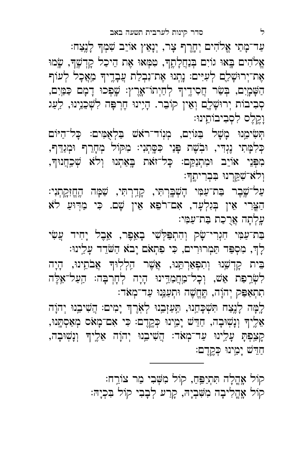קוֹל אֶהֱלָה תִּתְיַפֵּחַ, קוֹל מִשְּׁבִי מַר צוֹרֵח: קוֹל אָהֱלִיבָה מִשְׁבִיָהּ, קָרַע לִבָבִי קוֹל בִּכְיָהּ:

ּתִתְאַפִּק יְהוָה, תֶּחֱשֶׁה וּתְעַנֵּנוּ עַד־מְאֹד: לָמָּה לָנֵצַח תִּשְׁכָּחֵֵנוּ, תַּעַזָּבֵנוּ לְאֹרֶךְ יָמִים: הֲשִׁיבֵנוּ יְהוָה אֵלֶיךָ וְנָשִׁוּבָה, חַדֵּשׁ יָמֵינוּ כְּקֶדֶם: כִּי אִם־מָאֹס מְאַסְתָּנוּ, ּקְצַפְּתָּ עָלֵינוּ עַד־מְאֹד: הֲשִׁיבֵנוּ יְהוָה אֵלֶיךָ וְנָשְׁוּבָה, ּחַדִּשׁ יָמֵינוּ כְּקֶדֶם:

לְדָ, מִסְפַּד תַּמְרוּרִים, כִּי פִתְאֹם יָבֹא הַשֹּׁדֵד עָלֵינוּ: בֵּית קָדְשֵׁנוּ וְתִפְאַרְתֵּנוּ, אֲשֶׁר הֵלְלִוּךָ אֲבֹתֵינוּ, הָיָה לִשְּׂרֵפַּת אֵשׁ, וְכָל־מַחֲמַדֵינוּ הָיָה לְחָרְבָּה: הַעַל־אֵלֶּה

בַת־עַמִּי חִגְרִי־שָׂק וְהִתְפַּלְשִׁי בָאֵפֶר, אֵבֶל יָחִיד עֲשִׂי

וְלֹא־שָׁקֵןְרנוּ בִּבְרִיתֶך<del>ּ</del>: עַל־שֶׁבֶר בַּת־עַמִּי הָשְׁבָּרְתִּי, קָדֵרְתִּי, שַׁמָּה הֶחֱזִקִתְנִי: הַצֵּרִי אֵין בְּגִלְעָד, אִם־רֹפֵא אֵין שָׁם. כִּי מַדְוּעַ לֹא עֲלְתָה אֲרֻכַת בַּת־עַמִּי:

וָקֵלֶס לִסְבִיבוֹתֵינוּ: תְּשִׂימֵנוּ מָשָׁל בַּגּוֹיִם, מְנְוֹד־רֹאֹשׁ בַּלְאָמִּים: כָּל־הַיּוֹם ַ כְּלִמְּתִי נֶגְדִי, וּבְשֶׁת פָּנַי כִּסֶּתְנִי: מִקּוֹל מְחָרֵךְ וּמְנַדֵּךְ, מִפְּנֵי אוֹיֵב וּמִתְנַקֵּם: כָּל־זאת בְּאַתְנוּ וְלֹא שְׁכִַחֲנוּךְ,

ּעַר־מָתִי אֱלֹהִים יְחֶרֶף צָר, יְנָאֵץ אוֹיֵב שִׁמְדּ לָנֶצַח: אֱלֹהִים בָּאוּ גוֹיִם בְּנַחֲלָחֶד, טִמְּאוּ אֶת הֵיכַל קָדְשֶׁד, שָׂמוּ אֶת־יְרוּשָׁלֵם לְעִיִּים: נָתְנוּ אֶת־נִבְלַת עֲבָדֶיךָ מַאֲכָל לְעוֹף ָ הַשָּׁמְיִם, בְּשַׂר חֲסִידֶיךָ לְחַיְתוֹ־אֶרֶץ: שֶׁפְּכוּ דָמָם כַּמַּיִם, סְבִיבוֹת יְרוּשָׁלָם וְאֵין קוֹבֵר. הָיִינוּ חֵרִפָּה לִשְׁכֵנֵינוּ, לַעֲנ

ל סדר קינות לערבית תשעה באב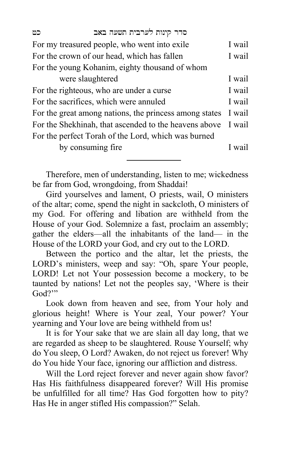| כט                                                     | סדר קינות לערבית תשעה באב                           |        |
|--------------------------------------------------------|-----------------------------------------------------|--------|
| For my treasured people, who went into exile           |                                                     | I wail |
| For the crown of our head, which has fallen            |                                                     | I wail |
| For the young Kohanim, eighty thousand of whom         |                                                     |        |
|                                                        | were slaughtered                                    | I wail |
| For the righteous, who are under a curse               |                                                     | I wail |
| For the sacrifices, which were annuled                 |                                                     | I wail |
| For the great among nations, the princess among states |                                                     | I wail |
| For the Shekhinah, that ascended to the heavens above  |                                                     | I wail |
|                                                        | For the perfect Torah of the Lord, which was burned |        |
|                                                        | by consuming fire                                   | I wail |

Therefore, men of understanding, listen to me; wickedness be far from God, wrongdoing, from Shaddai!

Gird yourselves and lament, O priests, wail, O ministers of the altar; come, spend the night in sackcloth, O ministers of my God. For offering and libation are withheld from the House of your God. Solemnize a fast, proclaim an assembly; gather the elders—all the inhabitants of the land— in the House of the LORD your God, and cry out to the LORD.

Between the portico and the altar, let the priests, the LORD's ministers, weep and say: "Oh, spare Your people, LORD! Let not Your possession become a mockery, to be taunted by nations! Let not the peoples say, 'Where is their God?"

Look down from heaven and see, from Your holy and glorious height! Where is Your zeal, Your power? Your yearning and Your love are being withheld from us!

It is for Your sake that we are slain all day long, that we are regarded as sheep to be slaughtered. Rouse Yourself; why do You sleep, O Lord? Awaken, do not reject us forever! Why do You hide Your face, ignoring our affliction and distress.

Will the Lord reject forever and never again show favor? Has His faithfulness disappeared forever? Will His promise be unfulfilled for all time? Has God forgotten how to pity? Has He in anger stifled His compassion?" Selah.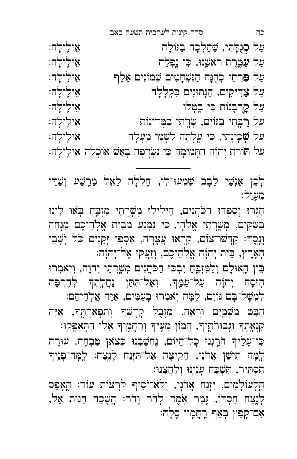ּתַסְתִּיר, תִּשְׁכַּח עָנְיֵנוּ וְלַחֲצֵנוּ: הַלְעוֹלָמִים, יִזְנַח אֲדֹנָי, וְלֹא־יֹסִיף לִרְצוֹת עוֹד: הֱאָפֵס לְנֶצַח חַסְדוֹ, נָּמַר אָמֶר לְדֹר וָדֹר: הֲשָׁכַח חַנּוֹת אֵל, אִם־קִפַּץ בְאַף רַחֲמָיו סֶלֶה:

קִנְאָתְךָ וּגְבוּרֹתֶיךָ, הֲמוֹן מֵעֶיךָ וְרַחֲמֶיךָ אֵלֵי הִתְאַפִּקוּ: ּ כִּי־עָלֶיךָ הֹרֵגְנוּ כָל־הַיּוֹם, נֶחְשַׁבְנוּ כְּצֹאן טִבְחָה. עִוּרָה לְמָּה תִישַׁן אֲדֹנָי, הָקִיצָה אַל־תִּזְנַח לָנֶצַח: לָמָּה־פָּנֶיִךְ

לִמְשָׁל־בָּם גּוֹיִם, לָמָּה יִאמְרוּ בָעַמִּים, אַיֵּה אֱלְהֵיהֶם: הַבֵּט מִשָּׁמַיִם וּרְאֵה, מִזְּבֻל קָדְשְׁךּ וְתִפְאַרְתֶּךָ, אַיֵּה

הָאָרֵץ, בֵּית יִהוָה אֱלְהֵיכֶם, וְזַעֲקוּ אֱל־יִהוָה: ּבִּין הָאוּלָם וְלַמִּזְבֵּהַ יִבְכּוּ הַכְּהֲנִים מְשֶׁרְתֵי יְהוָה, וְיָאמְרוּ חִוּסָה יְהוָה עַל־עַמֶּךָ, וְאַל־תִּתֵן נַחֲלֵתְךָ לְחֶרְפָּה

חִנְרוּ וְסִפְדוּ הַכְּהֲנִים, הֵילִילוּ מְשֶׁרְתֵי מִזְבֵּחַ בְּאוּ לִינוּ בַשַּׂקִים, מְשֶׁרְתֵי אֱלֹהָי, כִּי נִמְנַע מִבֵּית אֱלְהֵיכֶם מִנְחָה וָנְסֶדְ: קַדְשׁוּ־צוֹם, קִרְאוּ עֲצָרָה, אִסְפוּ זְקֵנִים כֹּל יְשְׁבֵי

לָבֵן אַנְשֵׁי לֵבָב שִׁמְעוּ־לִי, חָלִלָה לָאֵל מֵרֶשַׁע וְשַׁדֵּי בֵוּעֲרֶ:

ּעַל סְגָלָתִי, שֶׁהֶלְכָה בַּגּוֹלָה אֵ ילִילָה: עַל עַמֱרֶת ראֹשֵׁנוּ, כִּי נָפְלָה ַעַּל פִּּרְחֵי כְהֻנָּה הַנִּשְׁחָטִים שְׁמוֹנִים אֱלֶף או אֵילִילָה: ּעַל צַדִּיקִים, הַנְּתוּנִים בִּקְלָלָה אֵ ילִילָה: עַל קָרְבְּנוֹת כִּי בָטְלוּ יוֹ יוֹ יוֹ יִלְילָה: עַל רַבֵּתִי בַגּוֹיִם, שַׂרֵתִי בַמִּדִינוֹת עַל שָׁכֵינָתִי, כִּי עֵלְתָה לִשְׁמֵי מַעָלָה<br>... ּעַל תּוֹרַת יְהוַה הַתְּמִימַה כִּי נִשְׂרִפָּה בְאֵשׁ אוֹכִלַּה אֵילֵילַה:

כח סדר קינות לערבית תשעה באב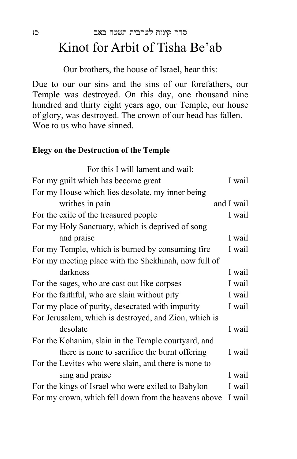### סדר קינות לערבית תשעה באב כז Kinot for Arbit of Tisha Be'ab

Our brothers, the house of Israel, hear this:

Due to our our sins and the sins of our forefathers, our Temple was destroyed. On this day, one thousand nine hundred and thirty eight years ago, our Temple, our house of glory, was destroyed. The crown of our head has fallen, Woe to us who have sinned.

#### **Elegy on the Destruction of the Temple**

| For this I will lament and wail:                      |            |
|-------------------------------------------------------|------------|
| For my guilt which has become great                   | I wail     |
| For my House which lies desolate, my inner being      |            |
| writhes in pain                                       | and I wail |
| For the exile of the treasured people                 | I wail     |
| For my Holy Sanctuary, which is deprived of song      |            |
| and praise                                            | I wail     |
| For my Temple, which is burned by consuming fire      | I wail     |
| For my meeting place with the Shekhinah, now full of  |            |
| darkness                                              | I wail     |
| For the sages, who are cast out like corpses          | I wail     |
| For the faithful, who are slain without pity          | I wail     |
| For my place of purity, desecrated with impurity      | I wail     |
| For Jerusalem, which is destroyed, and Zion, which is |            |
| desolate                                              | I wail     |
| For the Kohanim, slain in the Temple courtyard, and   |            |
| there is none to sacrifice the burnt offering         | I wail     |
| For the Levites who were slain, and there is none to  |            |
| sing and praise                                       | I wail     |
| For the kings of Israel who were exiled to Babylon    | I wail     |
| For my crown, which fell down from the heavens above  | I wail     |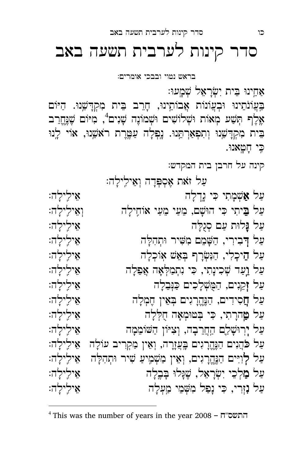כִּי חָטָאנוּ. קינה על חרבן בית המקדש׃ עַל זֹאת אֶסְפְּדָה וְאֵילֵילָה: עַל **אַ**שְׁמָתִי כִּי נֶדְלָה עַל בֵּיתִי כִּי הוּשָׁם, מֵעַי מֵעַי אוֹחִילָה וִ אֲילִילָה: עַל נָּלוּת עַם סְנֻלְּה אֵ ילִילָה: ַעַל דָּבִירִי, הַשָּׁמֵם מִשִּׁיר וּתְהִלָּה ·········· אֵילֵילָה ַעַּל הֵיכָלִי, הַנִּשְׂרָף בְּאֵשׁ אָוֹכְלָה אוֹ אֵ אֵ ילִילָה: עַל וַעַד שִׁכִינָתִי, כִּי נִתְמַלִּאָה אֲפֵלָה אֵ אֵילֵילָה: ּעַל זָקֵנִים, הַמֻּשְׁלָכִים כַּנְּבֵלָה אֵ ילִילָה: עַל חֲסִידִים, הַנֶּחֱרָגִים בְּאֵין חֶמְלָה עַל טַַהרָתִי, כִּי בְּטוּמְאָה חֻלְּלָה אֵ ילִילָה: עַל יְרְוּשָׁלֵם הַחֲרֵבְה, וְצִיּוֹן הַשּׁוֹמֵמָה<br>עַל יְרְוּשָׁלֵם הַחֲרֵבְה, וְצִיּוֹן הַשּׁוֹמֵמָה עַל כֹּהֲנִים הַנֶּחֱרָגִים בֶּעֲזֶרָה, וְאֵין מַקְרִיב עוֹלָה אֵילִילָה: עַל לְוִיּם הַנֶּחֱרְגִים, וְאֵין מַשְׁמִיעַ שִׁיר וּתְהִלָּה אֵילִילָה: ַעַל מַלְכֵי יִשְׂרַאֵל, שֵׁנָּלוּ בָּבֵלָה אֵ יוֹלֵילַה: עַל נָזְרִי, כִּי נַפַל מִשָּׁמֵי מַעִלַה יוֹ הַלִּילַה:

<sup>4</sup> This was the number of years in the year 2008 – ח"התשס

 $\overline{a}$ 

אַחֵינוּ בִּית יִשְׂרָאֵל שְׁמָעוּ: בִּעֲוֹנֹתֵינוּ וּבְעֲוֹנוֹת אֲבוֹתֵינוּ, חָרֵב בֵּית מִקְדָשֵׁנוּ. הַיּוֹם אֶלֶף תְּשַׁע מְאוֹת וּשְׁלוֹשִׁים וּשְׁמוֹנֶה שָׁנִים<sup>4</sup>, מִיּוֹם שֶׁנֶחֱרַב בֵית מִקְדָשֵׁנוּ וְתִפְאַרְתֵּנוּ. נַפְלָה עַמֱרֵת רֹאֹשֵׁנוּ, אוֹי לָנוּ

בראש נטוי ובבכי אומרים׃

## סדר קינות לערבית תשעה באב

כו סדר קינות לערבית תשעה באב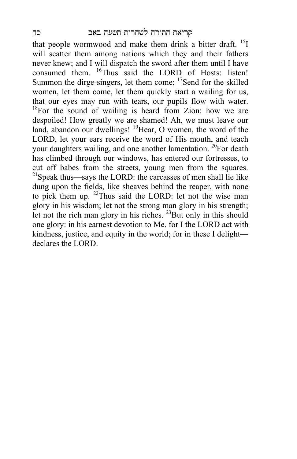that people wormwood and make them drink a bitter draft. <sup>15</sup>I will scatter them among nations which they and their fathers never knew; and I will dispatch the sword after them until I have consumed them. <sup>16</sup>Thus said the LORD of Hosts: listen! Summon the dirge-singers, let them come; <sup>17</sup>Send for the skilled women, let them come, let them quickly start a wailing for us, that our eyes may run with tears, our pupils flow with water.  $18$ For the sound of wailing is heard from Zion: how we are despoiled! How greatly we are shamed! Ah, we must leave our land, abandon our dwellings! <sup>19</sup>Hear, O women, the word of the LORD, let your ears receive the word of His mouth, and teach your daughters wailing, and one another lamentation. <sup>20</sup>For death has climbed through our windows, has entered our fortresses, to cut off babes from the streets, young men from the squares.  $^{21}$ Speak thus—says the LORD: the carcasses of men shall lie like dung upon the fields, like sheaves behind the reaper, with none to pick them up.  $22$ Thus said the LORD: let not the wise man glory in his wisdom; let not the strong man glory in his strength; let not the rich man glory in his riches.  $^{23}$ But only in this should one glory: in his earnest devotion to Me, for I the LORD act with kindness, justice, and equity in the world; for in these I delight declares the LORD.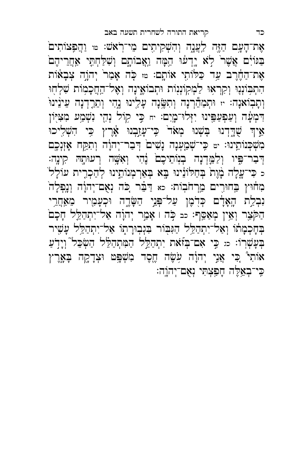אֶת־הָעָם הַזֶּה לִעֲנֶה וְהִשְׁקִיתִים מֵי־רְאֹשׁ: ™ וַהֲפִצּוֹתִים ַ בַּגּוֹיָם אֲשֶׁר<sup>י</sup> לָא יֶדְעֹוּ הֵמָּה וַאֲבוֹתֶם וְשִׁלַחְתָּי אַחֲרֵיהֶם אֶת־הַחֶרֶב עַד כַּלּוֹתֶי אוֹתָם: ﮬוּ כָּה אָמַר יְהוֶה צְבָאֹוֹת הִתְבִּוֹנְנֵי וְקִרְאִוּ לַמְקִוֹנְנוֹת וּתְבוֹאֵינָה וְאֶל־הַחֲכָמְוֹת שִׁלְחָוּ וְתָּבְוֹאנָה: ּוּ וּתְמַהֵּ֫רְנָה וְתִשֶּׂנָה עָלֵינוּ נֶחֶי וְתֵרָדְנָה עֵינֵ֫ינוּ ֿ הַמְעָּה וְעַפְעַפֵּינוּ יִזְלוּ־מָיִם: יח כֵּי קוֹל נְהָי נִשְׁמַע מִצִיּ֖וֹן אֵיךְ שָׁדְרָנוּ בִּשְׁנוּ מִאֹד<sup>י</sup> כֵּי־עָזַבְנוּ אָ֫רֵץ כֵּי הִשְׁלִיכוּ מִשְׁכְּנוֹתֵינוּ: יטּ כִּי־שְׁמַַעְנָה נָשִׁים<sup>ֹ</sup> דְּבַר־יְהוָה וְתִקַּח אָזְנְכֶם ּדְּבַר־פִּיו וְלַמֵּדְנָה בְנִוֹתֵיכֶם נֶ֫הִי וְאִשֶּׁה רְעוּתָהּ קִינֶה: כ כִּי־עֱלָה בָּ֫וֶת בְּחַלוֹנֵינוּ בֶּא בְּאַרְמְנוֹתֵינוּ לְהַכְרֵית עוֹלָל ׁ מִחוּץ בַחוּרִים מֵרְחֹבִות: כא דַבֵּר כִּה נְאָם־יְהוָה וְנָפְלָה ַ נִּבְלֵת הָאָדָם כְּדָמֶן עַל־פְּנֵי הַשְּׂדֶה וּכְעָמָיר מֵאַחֲרֵי הַקֹּצֵר וְאֵין מְאַסֵף: כב כָּה וּ אָמָר יְהוָה אַל־יִתְהַלֵּל חָכָם בְּחָכְמָתוֹ וְאַל־יִתְהַלֵּל הַגִּבְּוֹר בִּנְבְוּרָתֶוֹ אַל־יִתְהַלֵּל עָשֶׁיר בְּעָשְרוֹ: מּ כִּי אִם־בְּזֹאת יִתְהַלֵּל הַמִּתְהַלֵּל הַשְּׂכֵּל וְיָדָעַ אוֹתִי כִּי אֲנֵי יְהוָה עִשָּׂה חֶסֶד מִשְׁפָּט וּצְדָקֶה בְּאֶרֶץ ֶּ כֵּי־בְאֱלֵה חַפְּצְתִּי נְאָם־יְהוֵֹה: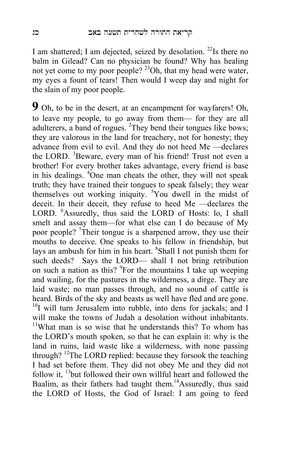I am shattered; I am dejected, seized by desolation.<sup>22</sup>Is there no balm in Gilead? Can no physician be found? Why has healing not yet come to my poor people? <sup>23</sup>Oh, that my head were water, my eyes a fount of tears! Then would I weep day and night for the slain of my poor people.

**9** Oh, to be in the desert, at an encampment for wayfarers! Oh, to leave my people, to go away from them— for they are all adulterers, a band of rogues. <sup>2</sup>They bend their tongues like bows; they are valorous in the land for treachery, not for honesty; they advance from evil to evil. And they do not heed Me —declares the LORD. <sup>3</sup>Beware, every man of his friend! Trust not even a brother! For every brother takes advantage, every friend is base in his dealings. <sup>4</sup> One man cheats the other, they will not speak truth; they have trained their tongues to speak falsely; they wear themselves out working iniquity. <sup>5</sup>You dwell in the midst of deceit. In their deceit, they refuse to heed Me —declares the LORD. <sup>6</sup>Assuredly, thus said the LORD of Hosts: lo, I shall smelt and assay them—for what else can I do because of My poor people? <sup>7</sup>Their tongue is a sharpened arrow, they use their mouths to deceive. One speaks to his fellow in friendship, but lays an ambush for him in his heart. <sup>8</sup>Shall I not punish them for such deeds? Says the LORD— shall I not bring retribution on such a nation as this? <sup>9</sup>For the mountains I take up weeping and wailing, for the pastures in the wilderness, a dirge. They are laid waste; no man passes through, and no sound of cattle is heard. Birds of the sky and beasts as well have fled and are gone.  $10I$  will turn Jerusalem into rubble, into dens for jackals; and I will make the towns of Judah a desolation without inhabitants.  $11$ What man is so wise that he understands this? To whom has the LORD's mouth spoken, so that he can explain it: why is the land in ruins, laid waste like a wilderness, with none passing through? 12The LORD replied: because they forsook the teaching I had set before them. They did not obey Me and they did not follow it, <sup>13</sup>but followed their own willful heart and followed the Baalim, as their fathers had taught them.<sup>14</sup>Assuredly, thus said the LORD of Hosts, the God of Israel: I am going to feed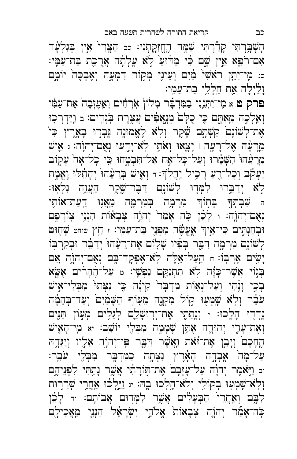וַלַיִלָה אֵת חַלְלֵי בַת־עַמֶּי: פרק ט א מִי־יִתְּנֵיִי בַמִּדְבָר מְלוֹן אִרְחִים וְאֶעֶזְבָה אֶת־עַמִּי וְאֵלְכֶה מֵאָתָּם כֵּי כִלָּםׂ מְנֵאֲפִ֫ים עֲצֵרֵת בִּׂנְדֵים: <sub>בּ</sub> וַיַּדְרָכְוּ אֶת־לְשׁוֹנָם קַשְׁתֶם שֶׁקֶר וְלָא לֶאֱמוּנָה נִּבְרוּ בְאָרֶץ כִּי<sup>ּ</sup> מֵרָעָּה אֶל־רָעָה ו יָצָאוּ וְאֹתִי לְאֹ־יָדֱעוּ נְאֻם־יְהוֶה: ג אִישׁ ִ מֵרֵעֵּהוּ הִשָּׁמֵרוּ וְעַל־כָל־אֶח אַל־תִּבְמֶחוּ כִּי כָל־אָח עָקָוֹב יַעְקָב וְכָל־רֵעַ רָכִיל יַהֲלְדְּ׃ וּ וְאָישׁ בְּרֵעֵּהוּ יְהָתֵ֫לוּ וֶאֱמֶת ֿ יְדַבֵּרוּ לִמְּדָוּ לְשׁוֹנָם דַבָּר־שֶׁקֶר הַעֲוָה נִלְאָוּ: ה שִׁבְתְּךָ בְּתַוֹ<del>ן מִרְמָה בְּמִרְמָה מֵאֲנִוּ דֵעַת־א</del>וֹתָי נְאָם־יְהוֶהः <sub>י</sub> לָכֵ֫ן כָּה אָמַר יְהוֶה צְבָאוֹת הִנְנִי צְוֹרְפֶּם ֿוּבְחַנְתֶּים כִּי־אֵיךְ אֶעֱשֶׁה מִפְּנֵי בַּת־עַמֶּי: ז חֵץ שוחט שָׁחָוּט לְשֹׁוֹנֶם מִרְמָה דִבֵּר בְּפִׂיו שָׁלָוֹם אֶת־רֵעֵּהוּ יְדַבֵּר וּבְקִרְבְּוֹ יָשִּׂים אָרְבְּוֹ: חַ הַעַל־אֵלֶּה לְאֹ־אֶפְקָד־בֶּם נְאֻם־יְהוֶֹה אִם בְּגִוֹי אֲשֶׁר־כָּזֶה לָא תִתְנַקֵּם נַפְשִׁי: ¤ עַל־הֶחָרִים אֶשֱא בְּכֵי וָנֶ֫הִי וְעַל־נְאָוֹת מִדְבָּר קִינָׂה כֵּי נִצְתוּ מִבְלִי־אִישׁ עֹבֵר וְלָא שֶׁמְעָוּ קִוֹל מִקְנֶה מֵעָוֹף הַשָּׁמַ֫יִם וְעַד־בְּהֵמָֽה נְדִרְוּ הָלָכוּ: י וְנָתַתֵּי אֵת־יִרְוּשָׁלֵַּם לְנַלִּים מִעְוֹן תַּנִּים וְ הָעֲת־עָרֵי יְהוּדֶה אֶתֵּן שְׁכָּמָה מִבְלֵי יוֹשֵׁב: א מִי־הָאִיש הֶחָכָם וְיָבֵן אֶת־זֹאת וַאֲשֶׁר דִבֶּר פִּי־יְהֹוֶה אֵלֶיו וְיַגִּדֶה ַ עַל־מָה אֶבְדֶה הָאָרֶץ נִצְתֶה כַמִּדְבֶּר מִבְלֵי עֹבֵר: יב וַיִּאמֶר יִהוָה עַל־עָזְבָם אֶת־תְּוֹרָתִי אֲשֶׁר נָחֲתִּי לִפְנֵיהֶם וְלְא־שָׁמְעִוּ בְקוֹלִי וְלֹא־הָלְכוּ בֶהּ: <sub>יי</sub> וַיֵּלְכוּ אַחֲרֵי שְׁרִרוּת לִבֶם וְאַחֲרֵי<sup>ּ</sup> הַבְּעָלִים אֲשֶׁר לִמְּדִוּם אֲבוֹתֶם: יד לָבֵן כְּה־אָמַֿר יְהוֶה צְבָאוֹת<sup>ְ</sup> אֱלֹהֵי יִשְׂרָאֵל הִנְנֵי מַאֲכִילֶם

הָשְׁבֶּרְתִּי קָדַּרְתִּי שַׁמֶּה הֶחֱזִּקִתְנִי: כב הַצֲרִי אֵין בְּגִלְעָ<del>֫</del>ד אִם־רֹפֵא אֵין שֶם כִּי מַרֹּוּעַ לָא עָלְתָה אֲרֻכָת בַּת־עַמְּי: َ د מֵי־יִתֱן רֹאֹשִׁי מַ֫יִם וְעֵינֶי מְקוֹר דִּמְעֶה וְאֶבְכֶּה יוֹמֶם

כב קריאת התורה לשחרית תשעה באב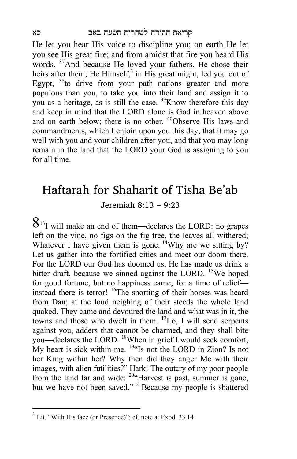He let you hear His voice to discipline you; on earth He let you see His great fire; and from amidst that fire you heard His words. 37And because He loved your fathers, He chose their heirs after them; He Himself, $3$  in His great might, led you out of Egypt,  $38$  to drive from your path nations greater and more populous than you, to take you into their land and assign it to you as a heritage, as is still the case. 39Know therefore this day and keep in mind that the LORD alone is God in heaven above and on earth below; there is no other. <sup>40</sup>Observe His laws and commandments, which I enjoin upon you this day, that it may go well with you and your children after you, and that you may long remain in the land that the LORD your God is assigning to you for all time.

#### Haftarah for Shaharit of Tisha Be'ab Jeremiah 8:13 – 9:23

 $8^{13}$ I will make an end of them—declares the LORD: no grapes left on the vine, no figs on the fig tree, the leaves all withered; Whatever I have given them is gone. <sup>14</sup>Why are we sitting by? Let us gather into the fortified cities and meet our doom there. For the LORD our God has doomed us, He has made us drink a bitter draft, because we sinned against the LORD.  $15$ We hoped for good fortune, but no happiness came; for a time of relief instead there is terror! <sup>16</sup>The snorting of their horses was heard from Dan; at the loud neighing of their steeds the whole land quaked. They came and devoured the land and what was in it, the towns and those who dwelt in them.  ${}^{17}$ Lo, I will send serpents against you, adders that cannot be charmed, and they shall bite you—declares the LORD. 18When in grief I would seek comfort, My heart is sick within me. <sup>19"</sup>Is not the LORD in Zion? Is not her King within her? Why then did they anger Me with their images, with alien futilities?" Hark! The outcry of my poor people from the land far and wide: <sup>20"</sup>Harvest is past, summer is gone, but we have not been saved." <sup>21</sup>Because my people is shattered

 $\overline{a}$ 

 $3$  Lit. "With His face (or Presence)"; cf. note at Exod. 33.14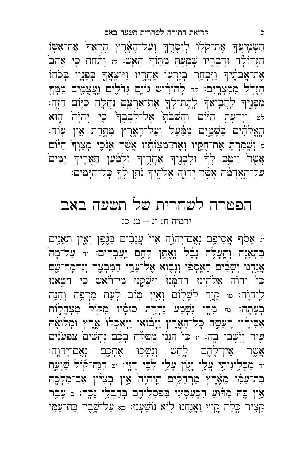יג אָסִף אֲסִיפֵּם נְאָם־יְהוֹהָ אֵין<sup>ׂ</sup> עֲנָבִים בַּגֶּפֶן וְאֵין חְאֵנִים ַ בַּתְּאֵנָה וְהֶעָּלֶה נָבֵל וָאֶתֵּן לָהֶם יַעַבְרוּם: יד עַל־מָה אֲנַחְנוּ יְשְׁבִים הֵאֶסְפֹוּ וְנָבָוֹא אֶל־עָרֵי הַמִּבְצֶר וְנִדְמָה־שֶָם כּי יְהוָ**֫ה אֱלֹהֵינוּ הֲדִמְּנוּ** וַיַּשְׁקֵנוּ מֵי־רֹׂאשׁ כִּי חָטָאנוּ לִיהוֶה: ≃ קַוֵּה לְשָׁלִוֹם וְאֵין טְוֹב לְעֵת מַרְפֶּה וְהִנֵּה בְעָתֶה: ײַ מִדֶּן נִשְׁמַע<sup>ּי</sup> נַחְרַת סוּסָ֫יו מִקּוֹל<sup>ּי</sup> מִצְהֲלִוֹת אַבִּירָיו רֵעֲשֶה כָּל־הָאָרֵץ וַיָּבֹוֹאוּ וַיְאכְלוֹ אָרֶץ וּמְלוֹאָה עִיר וְיָשְׁבֵי בֶהּ: ּוּ כִּי הִנְנִי מְשַׁלֵּחַ בָּכֶם נְחָשִׁים צִפְעֹנִים אֲשֶׁר אֵין־לָהֶם לְחַשׁ וְנִשְּׁכִוּ אֶתְכֶם נְאֻם־יְהוֶה: יח מַבְלִיגִיתָי עֲלֵי יָגָוֹן עָלֵי לִבִּי דַוָּי: יִי הִנֵּה־קוֹל שַׁוְעַת בַּת־עַמִּ֫י מֵאֶּרֶץ מַרְחַקִּים הַיהוָה אֵין בְּצִיּּוֹן אִם־מַלְכֶּה אֵין בֶהּ מַדֹּוּעַ הִכְעִסְוּנִי בִּפְסָלֵיהֶם בְּהַבְלֵי נֵכֶר: < עָבָר קְצִיר כְּלָה <u>קְיִ</u>ץ וַאֲנַחְנוּ לְוֹא נוֹשֶׁעְנוּ: כא עַל־שֶׁבֶר בַּת־עַמָּי

# הפטרה לשחרית של תשעה באב<br>יימיה ח: יג – ט: כג

ֿ הִשְׁמִיעֲךָ אֶת־קֹלִוּ לְיַסְרֶךְ וְעַל־הָאָֽרֶץ הֶרְאֲדֹ אֶת־אִשָּׁוֹ הַגְּדוֹלָה וּדְבְרָיו שָׁמַעְתָּ מִתְּוֹךְ הָאֵשׁ: לּוּ וְתַּחַת כִּי אָהַב<sup>וֹ</sup> אֶת־אֲבֹהֶיךָ וַיִּבְחַר בְּזַרְשָׂו אַחֲרֶיו וַיּוֹצִאֲךָ בְּפָנֶיו בְּכֹחְוֹ הַנְּדֻל מִמִּצְרֵיִם: לֹחוֹרִישׁ גּוֹיָם וְדֹלֵים וַעֲצָמָים מִמְּךָ מִפָּנֵיךְ לַחֲבִיאֲךָׁ לֶתֶת־לְךָ**ּ אֶת־אַרְצָם נַ**חֲלֶה כַּיִּוֹם הַזֶּה: לט וְיָדֵעְתָּ הַיֹּוֹם וַהֲשֵׁבֹתְ אֶל־לְבָבֶךְ כֵּי יְהוָה<sup>ָ</sup> הָוּא ֹהָאֲלֹדִ֫ים בַּשָּׁמֲיָם מִמַּ֫עַל וְעַל־הָאָרֶץ מִתֱחַת אֵין עְוֹד ּ וְ שֶׁמַרְ הָאֲ אֶת־חֻקָּיו וְאֶת־מִצְוֹתָיו אֲשֶׁר אָנֹכִי מְצַוְּךְ הַיּּוֹם אֲשֶׁר יִיטֵב לְךָ וּלְבָנֶיךָ אַחֲרֶיךָ וּלְמַ֫עַן תַּאֲרֶיךָ יָמִים ַ עַל־הָאֲדָמָ֫ה אֲשֶׁר יְהוֶה אֱלֹהֶיךָ נֹתֵן לְךָ כָּל־הַיָּמִים:

כ קריאת התורה לשחרית תשעה באב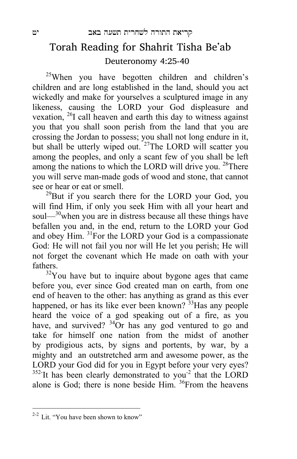#### Torah Reading for Shahrit Tisha Be'ab Deuteronomy 4:25-40

 $25$ When you have begotten children and children's children and are long established in the land, should you act wickedly and make for yourselves a sculptured image in any likeness, causing the LORD your God displeasure and vexation, <sup>26</sup>I call heaven and earth this day to witness against you that you shall soon perish from the land that you are crossing the Jordan to possess; you shall not long endure in it, but shall be utterly wiped out. <sup>27</sup>The LORD will scatter you among the peoples, and only a scant few of you shall be left among the nations to which the LORD will drive you. <sup>28</sup>There you will serve man-made gods of wood and stone, that cannot see or hear or eat or smell.

 $^{29}$ But if you search there for the LORD your God, you will find Him, if only you seek Him with all your heart and soul— $30$ <sup>0</sup>when you are in distress because all these things have befallen you and, in the end, return to the LORD your God and obey Him. 31For the LORD your God is a compassionate God: He will not fail you nor will He let you perish; He will not forget the covenant which He made on oath with your fathers.

 $32$ You have but to inquire about bygone ages that came before you, ever since God created man on earth, from one end of heaven to the other: has anything as grand as this ever happened, or has its like ever been known?  $33$ Has any people heard the voice of a god speaking out of a fire, as you have, and survived?  $34\text{Or}$  has any god ventured to go and take for himself one nation from the midst of another by prodigious acts, by signs and portents, by war, by a mighty and an outstretched arm and awesome power, as the LORD your God did for you in Egypt before your very eyes?  $352$ -It has been clearly demonstrated to you<sup>-2</sup> that the LORD alone is God; there is none beside Him. <sup>36</sup>From the heavens

 $\overline{a}$ 

 $2-2$  Lit. "You have been shown to know"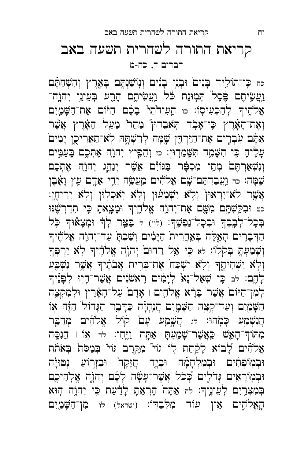כה כִּי־תּוֹלִיד בָּנִיםׂ וּבְנֵי בָנִים וְנִוֹשַׁנְחֶם בָּאֱרֶץ וְהִשְׁחַתֶּם וַ עֲשָׂיתֶם בֶּסֶל תְּמִוּנַת כֹּל וַעֲשִׂיתֶם הָרֵע בְּעֵינֵי יְהוֶה־ אֶל'הֶיךָ לְהַכְעִיסְוֹ: <sub>כו הַ</sub>עִידֹתִי בָּכֶם הַיּּוֹם אֶת־הַשָּׁמָיִם וְאֶת־הָאָ֫רֶץ כִּי־אָבְד הְאֹבֵדוּן מַהֵר מֵעַל הָאָ֫רֶץ אֲשֶׁר ֿ אַמָּם עִבְרֶים אֶת־הַיַּרְדֵּן שֱמָּה לְרִשְׁתֶּהּ לְאֹ־תַאֲרִיכֵן יָמִים עָלֶיהָ כִּי הִשָּׁמֵר תִּשְּׁמֵדְוּן: כו וְהֵפָּיץ יְהוֹהָ אֶתְכֶם בְּעַמֵּים וְנִשְׁאַרְהֶםׂ מְתֵי מִסְפָּר בַּגּוֹיִם אֲשֶׁר יְנַהֵג יְהוֹוֶה אֶתְכֶם ֿשֶׁמָּה׃ כּח וַעֲבַדְתֶּם־שָׁם אֱלֹהִ֫ים מַעֲשֵׂה יְדֵי אָדֶם עֵץ וָאֶבֶן אָשֶר לְאֹ־יִרְאוּןۢ וְלָא יִשְׁמְעוּן וְלִא יְאכְלִוּן וְלָא יְרִיחֻן: َ<ט וּבִקַשְׁתֶּם מִשָּׁם אֶת־יְהוָה אֱלֹהֶיךָ וּמָצָאתָ כִּי תִדְרְשָׁנּוּ ּבְכָל־לְבָבְךָ וּבְכָל־נַפְשֵׁךָ: (לוי) ל בַּצָּר לְדָּ וּמִצָאוּךְ כָּל הַדְּבָרִים הָאֱלֶה בְּאַחֲרִית הַיָּמִים וְשַׁבְתָּ עַד־יְהוֶה אֱלֹהֶיךָ וְשֶׁמַעְתָּ בְּקֹלְוֹ: לֹא כֵּי אֵל רַחוּם יְהוָה אֱלֹהֶיךָ לִא יַרְפְּךָ וְלָא יַשְׁחִיתֶךְ וְלָא יִשְׁכַּח<sup>ְ</sup> אֶת־בְּרֵית אֲבֹתֶיךְ אֲשֶׁר וִשְׁבָּע לְהֶם: ﴿בִ שְׁאַל־נָא לְיָמִים רֵאשׁנִים אֲשֶר־הָיָוּ לְפָנֶיךָ ֹלְמִן־הַיּוֹםۢ אֲשֶׁר בְּרָא אֱלֹהֶים । אָדָם עַל־הָאָדֶץ וּלְמִקְצֵה הַשְּׁמֲיִם וְעַד־קְצֵה הַשְּׁמֳיִם הֲנִהְיָה כַּדָּבֶר הַגָּדוֹל הַזֶּה אָוֹ הֲנִשְׁמַע כָּמְהוּ: לוּ הֲשָׁמָע עָם קוֹל אֱלֹהִים מְדַבֵּר ֹמְתּוֹדְ־הָאֵשׁ כַּאֲשֶׁר־שָׁמַ<sup>ְ</sup>עָתָ אַחֱה וַיֱחִי: לד אָוֹ ו הֲנִסֶּה אֶלֹהִים לָבוֹא לָקַחַת לְוֹ גוֹי מִקֶרֶב גּוֹי בְּמַסֹת בְּאֹתֹת ּוּבְמְוֹפְתִים וּבְמִלְחָמָה וּבְיֶד חֲזָקָה וּבִזְר<del>ָ</del>וֹעַ נְטוּיָה וּבְמְוֹרָאִים וְּדֹלִִים כְּכֹל אֲשֶׁר־עָשָׂה לָכֶׁם יְהוֹה אֱלְהֵיכֶם בְמִצְרֵיִם לְעֵינֶיךָ: לה אַתָּה הָרְאֵתָ לְדַעַת כִּי יְהוֶֹה הָוּא ּהָאֱלֹהִים אֵין עִוֹד מִלְּבַדְּוֹ: (ישראל) לו מִן־הַשָּׁמֲיִם

## קריאת התורה לשחרית תשעה באב<br>דברים ד, כה-מ

יח קריאת התורה לשחרית תשעה באב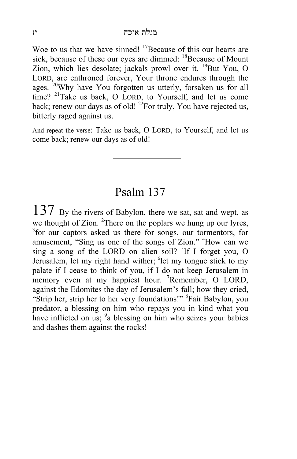Woe to us that we have sinned!  $17$ Because of this our hearts are sick, because of these our eyes are dimmed:  $18$ Because of Mount Zion, which lies desolate; jackals prowl over it.  $^{19}$ But You, O LORD, are enthroned forever, Your throne endures through the ages. <sup>20</sup>Why have You forgotten us utterly, forsaken us for all time? <sup>21</sup>Take us back, O LORD, to Yourself, and let us come back; renew our days as of old!  $^{22}$ For truly, You have rejected us, bitterly raged against us.

And repeat the verse: Take us back, O LORD, to Yourself, and let us come back; renew our days as of old!

#### Psalm 137

 $137$  By the rivers of Babylon, there we sat, sat and wept, as we thought of Zion.  $^{2}$ There on the poplars we hung up our lyres, <sup>3</sup> for our captors asked us there for songs, our tormentors, for amusement, "Sing us one of the songs of Zion." <sup>4</sup>How can we sing a song of the LORD on alien soil?  ${}^{5}$ If I forget you, O Jerusalem, let my right hand wither; <sup>6</sup>let my tongue stick to my palate if I cease to think of you, if I do not keep Jerusalem in memory even at my happiest hour. <sup>7</sup>Remember, O LORD, against the Edomites the day of Jerusalem's fall; how they cried, "Strip her, strip her to her very foundations!" <sup>8</sup>Fair Babylon, you predator, a blessing on him who repays you in kind what you have inflicted on us; <sup>9</sup>a blessing on him who seizes your babies and dashes them against the rocks!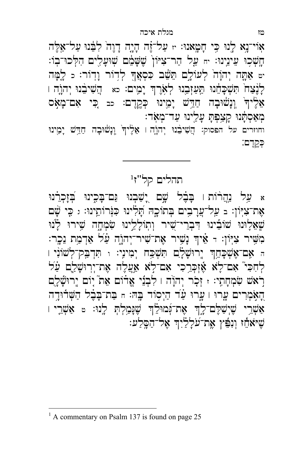אוֹי־נָא לָנוּ כִּי חָטָאנוּ: <sub>יז</sub> עַל־זֶה הָיֶה דָוֶה לִבָּנוּ עַל־אֵלֵּה ּ חֲשְׁכִוּ עֵינֵינוּ: ּח עַל הַר־צִיּוֹן שֶׁשָּׂמֵׁם שְׁוּעָלִים הִלְּכוּ־בְוֹ: יט אַתֶּה יְהוָה לְעוֹלָם תֵּשֵׁב כִּסְאֲךָ לְדוֹר וָדְוֹר: כ לָמָּה לְנֶצַה תִּשְׁבָּחֵנוּ תַּעֲזְבֵנוּ לְאָׂרֶךְ יָמִים: כא הֲשִׁיבֵנוּ יְהוָה ו אָלֶיךְ וְנָשׁוּבָה חַדֵּשׁ יָמֵינוּ כְּקֵדֶם: כב *כִּי* אִם־מָאָס ּמְאַסְתָּנוּ קָצַפְתָּ עָלֵינוּ עַד־מְאָד׃

וחוזרים על הפסוק: הֲשִׁיבֵנוּ יְהוֶהְ אֵלֶיךָ וְנָשוּבָה חַדֵּשׁ יָמֵינוּ כְקֶדֶם:

#### 1 תהלים קל"ז

א עַל נַהֲרֹוֹת ו בָּבֶ֫ל שֶׁם יָשַׁבְנוּ וַּם־בָּכִִינוּ בְֿזָכְרֵנוּ אֶת־צִיּׂוֹן: ב עֲל־עֲרָבִים בְּתוֹכֵהּ תְׁלִינוּ כִּוּׂרוֹתֵינוּ: ג כֵּי שָׁם יִצְאֵלֶוּנוּ שׁוֹבִינוּ דִּבְרֵי־שְׁיר וְתְוֹלְלֵינוּ שִׂמְחֲה שִׁירוּ לְנוּ הַ בְּיֹוֹן: דּ אֵיךְ נָשֶיר אֶת־שִיר־יְהוֹרֶה עַ֫ל אַדְמַת נֵכְר ּה אָם־אֶשְׁכָּחֵךְ יֶרוּשָׁלָָם תִּשְׁכַָּח יִמִינֵי: וּ תִּדְבַּק־לְשׁוֹנִי ו לְחִכִּי אִם־לָא אֵ֫זִכְרֵכִי אִם־לְא אֵעֲלֵה אֵת־יִרְוּשָׁלֵֵם עַּ֫ל רֹאשׁ שִׂמְחָתִי: ז זְכָר יִהוָׂה ו לִבְנֵי אֱדֹוֹם אֵת ّ יִוֹם יֵרוּשָׁלֶם הָאָׂמְרִים עֲרוּ । עֳרוּ עַ֫ד הַיְסְוֹד בֶהּ: חּ בַּת־בָּבָ֫ל הַשְּׁרוּדֶה אַשָּׁרֵי שֵׁיִשַׁלֵּם־לֵךְ אֲת־גָּמוּלֵ<sup>ּ</sup>ךְ שֶׁנָּמַלְתְּ לָנוּ: a אַשְׁרֵי ו ְשִׁיּאֹחֵٔז וְנִפְּץ אֱת־עֹלָלַיִךְ אֲל־הַסֶּלַע:

 $\overline{a}$ 

<sup>&</sup>lt;sup>1</sup> A commentary on Psalm 137 is found on page 25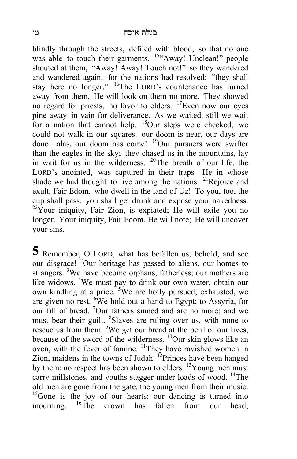blindly through the streets, defiled with blood, so that no one was able to touch their garments. <sup>15"</sup>Away! Unclean!" people shouted at them, "Away! Away! Touch not!" so they wandered and wandered again; for the nations had resolved: "they shall stay here no longer." 16The LORD's countenance has turned away from them, He will look on them no more. They showed no regard for priests, no favor to elders. 17Even now our eyes pine away in vain for deliverance. As we waited, still we wait for a nation that cannot help. <sup>18</sup>Our steps were checked, we could not walk in our squares. our doom is near, our days are done—alas, our doom has come! 19Our pursuers were swifter than the eagles in the sky; they chased us in the mountains, lay in wait for us in the wilderness. 20The breath of our life, the LORD's anointed, was captured in their traps—He in whose shade we had thought to live among the nations.  $2^{1}$ Rejoice and exult, Fair Edom, who dwell in the land of Uz! To you, too, the cup shall pass, you shall get drunk and expose your nakedness.  $22\overline{Y}$ our iniquity, Fair Zion, is expiated; He will exile you no longer. Your iniquity, Fair Edom, He will note; He will uncover your sins.

**5** Remember, O LORD, what has befallen us; behold, and see our disgrace! <sup>2</sup>Our heritage has passed to aliens, our homes to strangers. <sup>3</sup>We have become orphans, fatherless; our mothers are like widows. <sup>4</sup>We must pay to drink our own water, obtain our own kindling at a price. <sup>5</sup>We are hotly pursued; exhausted, we are given no rest.  ${}^{6}$ We hold out a hand to Egypt; to Assyria, for our fill of bread. <sup>7</sup>Our fathers sinned and are no more; and we must bear their guilt. <sup>8</sup>Slaves are ruling over us, with none to rescue us from them. <sup>9</sup>We get our bread at the peril of our lives, because of the sword of the wilderness. <sup>10</sup>Our skin glows like an oven, with the fever of famine. <sup>11</sup>They have ravished women in Zion, maidens in the towns of Judah. <sup>12</sup>Princes have been hanged by them; no respect has been shown to elders. <sup>13</sup>Young men must carry millstones, and youths stagger under loads of wood. <sup>14</sup>The old men are gone from the gate, the young men from their music.  $15$ Gone is the joy of our hearts; our dancing is turned into mourning. <sup>16</sup>The crown has fallen from our head: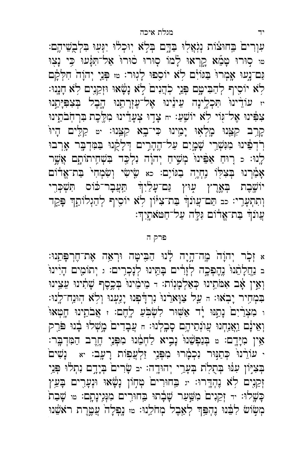ֹעִוְרִים בַּחוּצׁוֹת נְגְאֲלִוּ בַּדֶּם בְּלְאׁ יִוּכְלֹוּ יִגְעִוּ בִּלְבֻשֵׁיהֶם: טו סַוּרוּ טָמֵֿא קֵרְאוּ לָמוֹ סִוּרוּ סוּרוּ אַל־תִּנְּעוּ כִּי נָצִוּ נִם־נָעוּ אָמְרוּ๎ בַּגּוֹיָם לָא יוֹסִפוּ לָגְוּר: ™ פְּנֵי יְהוָה חִלְּקָם לְא יוֹסִיף לְהַבִּימֶם בְּנֵי לִהֲנִים לָא נָשָׂאוּ וּזְקֵנֵים לִא חָנְנוּ: יז עוֹדֵינוּ תִּכְלֶינָה עֵינֵינוּ אֶל־עֶזְרְתֵנוּ הָבֶל בְּצִפִּיְתֵנוּ צִפִּינוּ אֶל־גְּוֹי לָא יוֹשֶׁעַ: ּחּ צָדְוּ צְעָדֵינוּ מִלֶּכֶת בִּרְחְֹבֹתֵינוּ קְרֵב קִצֵּנוּ מֶלְאָוּ יָמֵינוּ כִּי־בָא קִצֵּנוּ: יִי קַלִּים הָיוּ רֹדְפִינוּ מִנִּשְׁרֵי שָׁמֶיִם עַל־הֶהָרֵים דְּלָקָנוּ בַּמִּדְבֶר אָרְבוּ לְנוּ: د רְוּחַ אַפִּינוּ מְשָׁיחַ יְהוָה וִלְכָּד בִּשְׁחִיתוֹתֶם אֲשֶׁר אָמַרְנוּ בְּצִקָּיוֹ בְהִיָה בַּגּוֹיָם: כא שָׂישִׂי וְשִׂמְחִי בַּת־אֱדֹוֹם יוֹשֱבֶת בְאֶרֶץ עֲוּץ נַּם־עָלַיִךָּ תַּעֲבָר־כֹּוֹס תִּשְׁכְּרִי וְתִתְעָרֵי: כב תַּם־עֲוֹנֹךְ בַּת־צִיּּוֹן לְא יוֹסִיף לְהַגְלוֹתֵן פָּקֵד ֿעֲוֹנִךְ בַת־אֱדוֹם גְּלֵה עַל־חַטּאתֵיִךִः

#### פרק <sup>ה</sup>

א זָכָר יְהוָה<sup>ָ</sup> מֱה־הָיָה לָנוּ הַבִּיטָה וּרְאֵה אֶת־חֶרְפָּתֵנוּ: ב נֹהֲלָ הָנוּ נֶדֶ פְּכָה לְזָרִים בָּתֵּינוּ לְנָכְרִים: וּ יְתוֹמָים הָיִינוּ וְאֵין אָב אִמֹּתֵינוּ כְּאַלְמָנְוֹת: - מֵימֵינוּ<sup>ן</sup> בְּכֶסֶף שָׁתִינוּ עֵצֵינוּ ּ בִּמְחָיר יָבְאוּ: הּ עַל צַוָּארֵנוּ נִרְדָּׁפְנוּ יָגֵעְנוּ וְלָא הְוּנַח־לֶנוּ: ו מִצְרַיִם נָתֲנּוּ יָד אַשְׁוּר לִשְׁבְּעַ לְחֶם: ז אֲבֹתֵינוּ חָטְאוּ וְאֵינָ֫ם וַאֲנַחְנוּ עֲוֹנְתֵיהֵם סָבָלְנוּ: n עֲבָדִים מֲשָׁלוּ בָ֫נוּ פֹּרֵק אֵין מִיָּדָם: e בִּנַפְשֵׁנוּ נָבִיא לַחְמֵנוּ מִפְּנֵי חֵרֵב הַמִּדְבָּר: י עוֹרֵנוּ כְּתַנּוּר נִכְמָרוּ מִפְּנֵי זַלְעֲפִוֹת רָעָב: יא נָשִׁים בְּצִיּוֹן עִנּוּ בְּתֻלֹת בְּעָרֵי יְהוּדֶה: <sub>יִב</sub> שָׂרִים בְּיָדֶם נִתְלֹוּ פְּנֵי זְקֵנֵים לָא נֶהְדֶרוּ: ּי בִּחוּרִים טְחְוֹן נָשָׂאוּ וּנְעָרִים בָּעֵץ ָ כָּשָׁלוּ: <sub>יד</sub> זְקֵנִים מִשְּׁעַר שָׁבָתוּ בְּחוּרֻים מִוְּגִינָתֶם: ﮬוּ שָׁבַת בְזִשְׂוֹשׁ לְבֵּנוּ נֵהְפֵּךְּ לְאֵבֵל מְחֹלֵנוּ: ca נָפְלָה עֲמֱרֵת רֹאֹשֵׁנוּ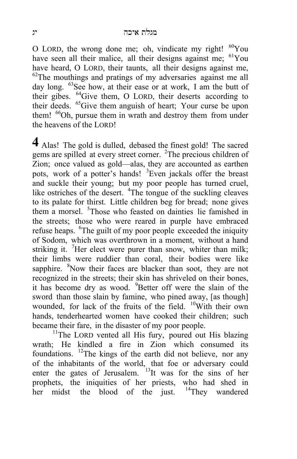O LORD, the wrong done me; oh, vindicate my right!  $^{60}$ You have seen all their malice, all their designs against me; <sup>61</sup>You have heard, O LORD, their taunts, all their designs against me,  $62$ The mouthings and pratings of my adversaries against me all day long. <sup>63</sup>See how, at their ease or at work, I am the butt of their gibes. 64Give them, O LORD, their deserts according to their deeds. 65Give them anguish of heart; Your curse be upon them! <sup>66</sup>Oh, pursue them in wrath and destroy them from under the heavens of the LORD!

**4** Alas! The gold is dulled, debased the finest gold! The sacred gems are spilled at every street corner. <sup>2</sup>The precious children of Zion; once valued as gold—alas, they are accounted as earthen pots, work of a potter's hands! <sup>3</sup>Even jackals offer the breast and suckle their young; but my poor people has turned cruel, like ostriches of the desert. <sup>4</sup>The tongue of the suckling cleaves to its palate for thirst. Little children beg for bread; none gives them a morsel. <sup>5</sup>Those who feasted on dainties lie famished in the streets; those who were reared in purple have embraced refuse heaps. <sup>6</sup>The guilt of my poor people exceeded the iniquity of Sodom, which was overthrown in a moment, without a hand striking it. <sup>7</sup>Her elect were purer than snow, whiter than milk; their limbs were ruddier than coral, their bodies were like sapphire. <sup>8</sup>Now their faces are blacker than soot, they are not recognized in the streets; their skin has shriveled on their bones, it has become dry as wood. <sup>9</sup>Better off were the slain of the sword than those slain by famine, who pined away, [as though] wounded, for lack of the fruits of the field. <sup>10</sup>With their own hands, tenderhearted women have cooked their children; such became their fare, in the disaster of my poor people.

 $11$ The LORD vented all His fury, poured out His blazing. wrath; He kindled a fire in Zion which consumed its foundations. <sup>12</sup>The kings of the earth did not believe, nor any of the inhabitants of the world, that foe or adversary could enter the gates of Jerusalem. <sup>13</sup>It was for the sins of her prophets, the iniquities of her priests, who had shed in her midst the blood of the just. <sup>14</sup>They wandered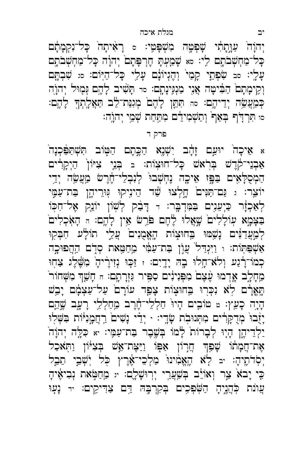יְהוָה<sup>ָ</sup> עַוָּתָתִי שָׁפְטֶה מִשְׁפָּטִי: a רָאִ֫יתָה כָּל־נִקְמָתָם ْ כָּל־מַחְשָׁבֹתֶם לִי: s שְׁמָעְתָּ חֶרְפָּתָם יְהוָה כָּל־מַחְשְׁבֹתֶם עָלֶי: סב שִׂפְתֵי קָמַי<sup>י</sup> וְהֶגְיוֹנָם עָלֵי כָּל־הַיְּוֹם: סג שִׁבְתֶּם וְקֵימָתָם הַבִּ֫יטָה אֲנִי מַנְגַּינָתֶם: sr תָּשִׁיב לָהֵם גִּמְוּל יְהוַה ْ כְּמַעֲשֵׂה יְדֵיהֶם: on תִּתֵּן לָהֶם מְגִּנַת־לֵב תַּאֲלֵתְךָ לָהֶם: ֿסו תִּרְדִּ֫ךְ בְּאַךְ וְתַשְׁמִידָם מִתַּחַת שְׁמֵי יִהוֶֹה:

#### פרק ד

א אֵיכָה יוּעַם זָהָב יִשְׁנֵא הַכֵּתֵם הַטְּוֹב תִּשְׁתַּפִּכְנָה , אַבְנֵי־קֹרֶשׁ בְּרָאשׁ כָּל־חוּצְוֹת: ב בְּנֵי צִיּוֹןְ הַיְקָרִים הַמְסָלָאִים בַּפֵּוּ אֵיכָה נֵחְשָׁבוּ לִנְבְלֵי־חֶרֵשׁ מַַעֲשֶׂה יְדֵי יוֹצֵר: ג נַּם־תַּנִּים חֲלְצוּ שַׁד הֵינָיקוּ גִּוּרֵיהֶן בַּת־עַמָּי לְאַכְזָר כַּיְעֵנֶים בַּמִּדְבֶר: וּ דָּבָק לְשָׁוֹן יוֹנֵק אֶל־חִכְּוֹ ַ בַּצָּמָא עְוֹלָלִים שָׁאֲלוּ לֶחֶם פֹּרֵשׁ אֵין לָחֶם: הַ הָאִבְלִים ַ לְמָעֲדַנִּים נָשֲמוּ בִּחוּצָוֹת הָאֱטָנִים ׁעֲלֵי תוֹלָֽעׁ חִבְקִוּ אַשְׁפַּתְּוֹת: ו וַיִּגְדַל<sup>י</sup> עֲוֹן בַּת־עַמִּי מֵחַטֵּאת סְדָם הַהֲפוּכֶה َ כְּמוֹ־רָנֵע וְלֹאֹ־חֲלוּ בֶהּ יָדֵיִם: ּ זַכְּוּ נְזִירָ֫יהָۢ מִשֶּׁלֶג צַחָוּ מֵחָלֶב אֶדְמוּ עֶצֶם מִפְּנִינִים סַפִּיר וּזְוָרתֶם: ח חָשַׁךְ מִשְׁחוֹר<sup>י</sup> ּ הָאֲרָם לְא נִכְּרוּ בַּחוּצְוֹת צָפַר עוֹרָם עַל־עַצְמָם יָבֵש ּהָיָה כָעֵץ: ≃ טּוֹבִים הָיוֹ חַלְלֵי־חֶרֶב מֵחַלְלֵי רָעֲב שֱהֵם יָזָבוּ מְדֻקָּרִים מִתְּנוּבָת שָׂדֶי: · יְדֵי נָשִׁים רַחֲמֲנִיּוֹת בִשְּׁלִוּ יַלְדֵיהֶן הָיָוּ לְבָרוֹת<sup>ָ</sup> לָמוֹ בְּשֶׁבֶר בַּת־עַמְּי: יֹא כִּלֶה יְהוָה<sup>ָ</sup> אֶת־חֲמָתוֹ שָׁפֵּךְ חֲרָוֹן אַפְּוֹ וַיַּצֶת־אֵשׁ בְּצִיּּוֹן וַתְּאַכַל יִסְדֹתֵיהָ: יִב לָא הֶאֱמִינוּ<sup>י</sup> מַלְבֵי־אֶרֶץ כְּל יִשְׁבֵי תֵבֵל כִּי יָבאֹ צַר וְאוֹיֵב בְּשַׁעֲרֶי יְרְוּשָׁלֶם: יוּ מֵחַטְּאת נְבִיאֶיהָ עֲוֹת כְּהֲנֵיהָ הַשִּׂפְּכֵים בִקְרִבָּהּ דֵּם צַדִּיקֵים: ּדּ נָעָוּ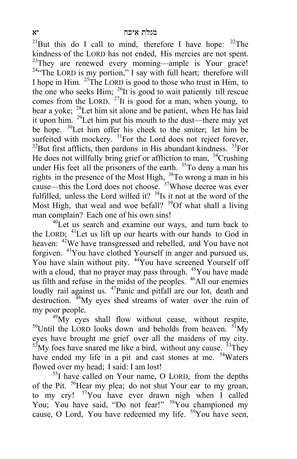<sup>21</sup>But this do I call to mind, therefore I have hope:  $22$ The kindness of the LORD has not ended, His mercies are not spent. <sup>23</sup>They are renewed every morning—ample is Your grace! <sup>24</sup>"The LORD is my portion," I say with full heart; therefore will I hope in Him. 25The LORD is good to those who trust in Him, to the one who seeks Him;  $^{26}$ It is good to wait patiently till rescue comes from the LORD.  $^{27}$ It is good for a man, when young, to bear a yoke; <sup>28</sup>Let him sit alone and be patient, when He has laid it upon him.  $2^9$  Let him put his mouth to the dust—there may yet be hope. <sup>30</sup>Let him offer his cheek to the smiter; let him be surfeited with mockery. <sup>31</sup>For the Lord does not reject forever,  $32$ But first afflicts, then pardons in His abundant kindness.  $33$ For He does not willfully bring grief or affliction to man,  $34$ Crushing under His feet all the prisoners of the earth. <sup>35</sup>To deny a man his rights in the presence of the Most High, <sup>36</sup>To wrong a man in his cause—this the Lord does not choose. <sup>37</sup>Whose decree was ever fulfilled, unless the Lord willed it? <sup>38</sup>Is it not at the word of the Most High, that weal and woe befall? <sup>39</sup>Of what shall a living man complain? Each one of his own sins!

 $^{40}$ Let us search and examine our ways, and turn back to the LORD; <sup>41</sup>Let us lift up our hearts with our hands to God in heaven: <sup>42</sup>We have transgressed and rebelled, and You have not forgiven. <sup>43</sup>You have clothed Yourself in anger and pursued us, You have slain without pity. <sup>44</sup>You have screened Yourself off with a cloud, that no prayer may pass through. <sup>45</sup>You have made us filth and refuse in the midst of the peoples. <sup>46</sup>All our enemies loudly rail against us. <sup>47</sup>Panic and pitfall are our lot, death and destruction. <sup>48</sup>My eyes shed streams of water over the ruin of my poor people.<br><sup>49</sup>My eyes shall flow without cease, without respite,

 $50$ Until the LORD looks down and beholds from heaven.  $51$ My eyes have brought me grief over all the maidens of my city.  $52$  My foes have snared me like a bird, without any cause.  $53$  They have ended my life in a pit and cast stones at me. <sup>54</sup>Waters flowed over my head; I said: I am lost!

 $^{55}$ I have called on Your name, O LORD, from the depths of the Pit. <sup>56</sup>Hear my plea; do not shut Your ear to my groan, to my cry! 57You have ever drawn nigh when I called You; You have said, "Do not fear!" <sup>58</sup>You championed my cause, O Lord, You have redeemed my life. <sup>59</sup>You have seen,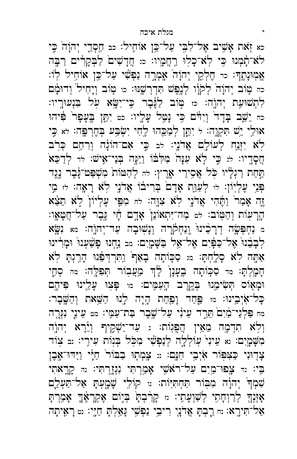כא זָאת אָשֶׁיב אֶל־לִבְּי עַל־כֵּן אוֹחֵיל: כב חַסְדֵי יְהוָהֹ כֵּי לֹא קִמְוּ כִּי לְא כָלִוּ רֵחֲמְיו: מּ חֲדָשִׁים לַבְקָרִים רַבֶּה ל אֶמִוּנָתֶד: כד חֶלְקֵי יְהוָה<sup>ָ</sup> אֶמְרָה נַפְשִׁי עַל־כֵּן אוֹחִיל לְוֹ: َ כה טִוֹב יְהוָהֹ לְקֹוָ לְנֵפֵשׁ תִּדְרְשֵׁנּוּ: כו טְוֹב וְיָחִיל וְדוּמָ֫ם לִתְשׁוּעַת יְהוֶה: כז טְוֹב לַגֶּבֶר כִּי־יִשָּׂא עָל בִּנְעוּרֳיו: כח יֵשֱב בָּדָד<sup>י</sup> וְיִדָּם כִּי נָטֵל עָלֶיו: כט יִתֵּן בֶּעָפָר<sup>י</sup> פִּיהוּ אוּלֵי יֵשׁ תִּקְוֶה: ל יִתֵּן לְמַכֵּהוּ לֶחִי יִשְּׂבַּע בְּחֶרְ<del>בָּ</del>ה: לֹא כִּי לְא יִזְנַח לְעוֹלָם אֲדֹנָי: לב כֵּי אִם־הוֹנָה וְרִחַם כִּרֹב חֲסָדֵיו: לּוּ כִּי לָא עִנָּה מִלְּבּוֹ וַיַּגֶּה בְּנֵי־אִישׁ: לּוּ לְדַכֵּא תַּחַת רַגְלָיו כָּל אֲסִירֵי אָרֶץ: לה לְהַטּוֹת מִשְׁפַּט־גָּבֶר נֶגֶד ַ פְּנֵי עָלְיוֹן: לוּ לְעַוֵּת אָדָם בְּרִיבוֹ אֲדֹנֶי לְא רָאָה: לוּ מֵי זֶה אָמַר<sup>י</sup> וַחֶּהִי אֲדֹנֶי לְאׁ צִוֶּה: לּחּ מִפֵּי עָלְיוֹןֹ לְאׁ תֵצֵׂא ֹהְרָעָוֹת וְהַטְּוֹב׃ לטּ מַה־יִּתְאוֹנֵןۛ אָדֶם חָוִי גֶּבֶר עַל־חֲטָאָו: מ נַחְפִּשָׂה דְרָכִינוּ וְנַחְקְרָה וְנָשְׁוּבָה עַד־יְהוֶֹה: מא נִשָּׂא לְבָבֵנוּ אֶל־כַּפְּיִם אֶל־אֱל בַּשֶּׁמָֽיִם: מב נַחְנוּ פָּשַׁעְנוּ וּמְרִינוּ ֿ אַמָּה לָא סָלֶחְתָּ: מּ סַכְּוֹתָה בָאַף וַחִּרְדְפֵּנוּ הָרֵגְתָּ לָא חָמְלְתָּ: מד סַכָּוֹתָה בֶעָנָן לָ<sup>וְדָ</sup> מֵעֲבֻוֹר תְּפִלֶּה: מה סְחָי וּמָאָוֹס תִּשִׂימֵנוּ בִּקֵרֵב הָעַמֵּים: מּ פָּצִוּ עָלֵינוּ פִּיהֶם ּ כָּל־אֹיְבֵינוּ: מּו פַּחַד וָפַחַת הָיָה לָנוּ הַשֵּׁאת וְהַשֶּׁבֶר: מח פַּלְגֵי־מַ֫יִם ٰתֵרַד עֵינִ֫י עַל־שֶׁבֶר בַּת־עַמֶּי: מטּ עֵינֵי נִגְּרֶה וְלָא תִדְמֶה מֵאֵין הֲפָגִות: נ עַד־יַשְׁקֵיף וְיֵ֫רֶא יְהוֶה מִשָּׁמֲיִם: וֹא עֵינִי עִוֹלְלֶה לְנַפְשִׁי מִכְּל בְּנְוֹת עִירֵי: וּב צְוֹד צְדֶוּנִי כַּצִּפְּוֹר אָׂיְבֵי חָנָם: וּוּ צֶמְתָוּ בַבּוֹר<sup>י</sup> חַלִּי וַיַּדּוּ־אֶבֶן בִּי: נד צָפוּ־מַיִם עַל־ראֹשֵׁי אָמַרְתִּי נִגְזֶרְתִּי: נה קָרֱאתִי ּ שִׁמְךָ יְהוָה מִבְּוֹר תַּחְתִיּֽוֹת:  $\alpha$  קוֹלֵי שָׁמֶעְתָּ אַל־תַּעְלֵם אָזְנְךָ לְרַוְחָתִי לְשַׁוְעָתִי: ּוּ קָרַבְהָ בְּיָוֹם אֶקְרָאֶךָ אָמַרְהָ אַל־הִירֵא: נח רֵבְהָ אֲדֹנֵי רִיבֵי נַפְשֶׁי גַּאֲלְהָ חָיֵי: נט רַאָיתָה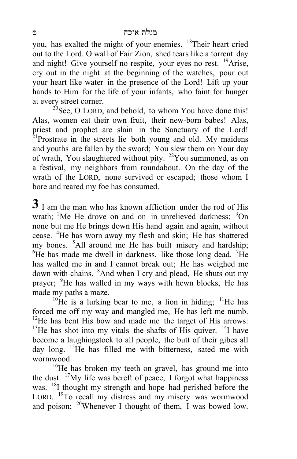you, has exalted the might of your enemies. 18Their heart cried out to the Lord. O wall of Fair Zion, shed tears like a torrent day and night! Give yourself no respite, your eyes no rest.  $^{19}$ Arise, cry out in the night at the beginning of the watches, pour out your heart like water in the presence of the Lord! Lift up your hands to Him for the life of your infants, who faint for hunger at every street corner.

 $^{20}$ See, O LORD, and behold, to whom You have done this! Alas, women eat their own fruit, their new-born babes! Alas, priest and prophet are slain in the Sanctuary of the Lord!  $2^{1}$ Prostrate in the streets lie both young and old. My maidens and youths are fallen by the sword; You slew them on Your day of wrath, You slaughtered without pity.  $22$ You summoned, as on a festival, my neighbors from roundabout. On the day of the wrath of the LORD, none survived or escaped; those whom I bore and reared my foe has consumed.

 $3<sup>1</sup>$  I am the man who has known affliction under the rod of His wrath;  ${}^{2}$ Me He drove on and on in unrelieved darkness;  ${}^{3}$ On none but me He brings down His hand again and again, without cease. <sup>4</sup>He has worn away my flesh and skin; He has shattered my bones. <sup>5</sup>All around me He has built misery and hardship;  ${}^{6}$ He has made me dwell in darkness, like those long dead. <sup>7</sup>He has walled me in and I cannot break out; He has weighed me down with chains. <sup>8</sup>And when I cry and plead, He shuts out my prayer; <sup>9</sup>He has walled in my ways with hewn blocks, He has made my paths a maze.<br><sup>10</sup>He is a lurking bear to me, a lion in hiding; <sup>11</sup>He has

forced me off my way and mangled me, He has left me numb. <sup>12</sup>He has bent His bow and made me the target of His arrows:  $13$ He has shot into my vitals the shafts of His quiver.  $14$ I have become a laughingstock to all people, the butt of their gibes all day long. <sup>15</sup>He has filled me with bitterness, sated me with wormwood.<br><sup>16</sup>He has broken my teeth on gravel, has ground me into

the dust.  $\frac{17}{1}$  My life was bereft of peace, I forgot what happiness was. <sup>18</sup>I thought my strength and hope had perished before the LORD. <sup>19</sup>To recall my distress and my misery was wormwood and poison;  $^{20}$ Whenever I thought of them, I was bowed low.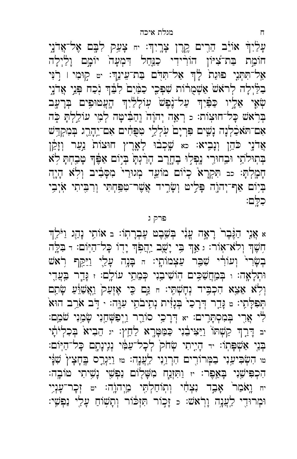עָלֵיִךָּ אוֹיֵב הֵרִים <u>קָר</u>ֶן צָרְיִךְः <sub>יִח</sub> צָעַק לִבֶּם אֶל־אֲדֹנֵי חוֹמַת בַּת־צִיּוֹן הוֹרִידִי כַנַּחַל דִּמְעָה<sup>י</sup> יוֹמֶם וָלַיְלָה אַל־תִּתְנִי פוּנֵת לְיִדְ אַל־תִּדְם בַּת־עֵינֵךְ: יט קַוּמִי ו רָנִי בַלַּיְלָה לְראֹשׂ אַשְׁמֻרֹוֹת שִׁפְּכִי כַמַּ֫יִםۢ לִבֵּ֫דְּ וָכַח בְּנֵי אֲדֹנֶי שְׁאָי אֵלְיו כַּפַּיִךְּ עַל־נֶפֶשׁ עְוֹלָלַיִךְ הָעֲמוּפִים בְּרָעֶב בְּרֹאשׁ כָּל־חוּצְוֹת: د רְאֶה יְהוָה וְהַבִּ֫ישָה לְמֶי עוֹלֵלְתָּ כָּה אִם־הֹאכָּלְנָה נָשִׁים פִּרְיָם עִלְלֵי טִפְּחִים אִם־יֵהָרֵג בִּמִקְדַּשׁ אֲדֹנֶי כֹּהֵן וְנָבִיא׃ כא שֶׁכְבֹוּ לָאֱרֶץ חוּצוֹת<sup>ַ</sup> נַעַר וְזָקֵן בְּתְוּלֹתַי וּבִחוּרֵי נִפְלִוּ בֶחֱרֶב הָרַ֫נְתָּ בְּיָוֹם אַפֶּׁךָ טָבֵחְתָּ לְא חָמָלְתָּ: כב תִּקְרָא<sup>ْ</sup> כְיֹוֹם מוֹעֵד מְגוּרַי<sup>י</sup> מִסָּבְיב וְלָא הָיָה ּ בְּיוֹם אַף־יְהוֶה פָּלֵיטּ וְשָׂרֶיד אֲשֶׁר־טִפַּחְתִּי וְרִבִּיתִי אֹיְבִי ּ כִלֶּם:

#### פרק ג

א אֲנֵי הַגֶּּבֶר רָאָה עֲנִי בִעֵּבֵט עֵבְרָתְוֹ: בּ אוֹתֵי נָהֲג וַיֹּלֵךְ חִשֶּׁךְ וְלֹא־אָוֹר: ג אַךְ בִּי יָשֶׁב יַהֲפִׂךְ יָדֶוֹ כָּל־הַיְּוֹם: ד בִּלֶה בְשָׂרִי וְעוֹרִי שִׁבֵּר עַצְמוֹתֶי: הּ בָּנֶה עָלֵי וַיַּקֵּף רִאשׁ וּתְלָאָה: וּ בְּמַחֲשַׁכִּים הְוֹשִׁיבָנִי כְּמֵתֵי עוֹלֶם: ז גָּדֵר בִּעֲדֵי וְלָא אֵצֵא הִכְבִּיד נְחָשְׁתֵי: הּ נֵּם כֵּי אֶזְעַק<sup>י</sup> וַאֲשַׂוֵּעַ שָׂתַם ֿ הְפִלָּתֵי: □ נְּדֵר דְּרָכַיֹ בְּנָזִית נְתִיבֹתֵי עִוֲה: · דְּב אֹרֵב הוּא לִי אֲרֶי בְּמִסְתָּרִים: יֹא דְּרָכֵי סוֹרֵר וַיְפַּשְׁחֵנִי שָׂמֲנִי שֹׁמֵם: יב דָּרֵךְ קַשְׁתּוֹ וַיַּצִּיבָנִי כַּמַּטָּרֶא לַחֵץ: יוּ חֵבִיא<sup>ָ</sup> בִּכְלְיֹתָי ּבְּנֵי אַשְׁפָּתְוֹ: ּדּ הָיָיתִי שְׂחֹק לְכָל־עַמִּי נְגִינָתֶם כָּל־הַיְּוֹם: טּוּ הִשְּׂבִיעַנִי בַמְּרוֹרֶים הִרְוַנִי לַµְׁנָה׃ טּוּ וַיַּגְרֵס בֶּחָצָץ` שָׁנָּי ּ הִכְפִּישֲנִי בְּאֵפֶר: ּוּ וַתִּזְנַח מִשְּׁלֶוֹם נַפְשִׁי נָשִׁיתִי טּוֹבֶה: יח ו**ָאֹמַר אָבֶד נִצְחָי וְתְוֹחַלְתֶּי מֵיִהוֶֹה: יטּ זְכָר־עָנְיֵי** וּמְרוּדֵי לֵעֲנָה וַרֹאשׁ: כּ זָכְוֹר חִזְכֹּוֹר וְתַשִּׂוֹחַ עָלֵי נַפְשֵׁי: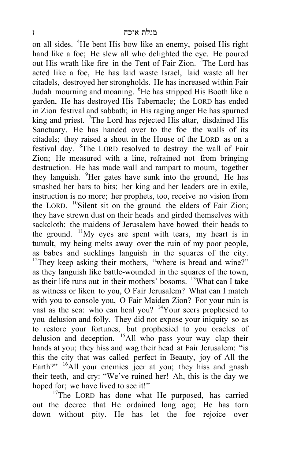on all sides. <sup>4</sup>He bent His bow like an enemy, poised His right hand like a foe; He slew all who delighted the eye. He poured out His wrath like fire in the Tent of Fair Zion. <sup>5</sup>The Lord has acted like a foe, He has laid waste Israel, laid waste all her citadels, destroyed her strongholds. He has increased within Fair Judah mourning and moaning. <sup>6</sup>He has stripped His Booth like a garden, He has destroyed His Tabernacle; the LORD has ended in Zion festival and sabbath; in His raging anger He has spurned king and priest. <sup>7</sup>The Lord has rejected His altar, disdained His Sanctuary. He has handed over to the foe the walls of its citadels; they raised a shout in the House of the LORD as on a festival day. <sup>8</sup>The LORD resolved to destroy the wall of Fair Zion; He measured with a line, refrained not from bringing destruction. He has made wall and rampart to mourn, together they languish. <sup>9</sup>Her gates have sunk into the ground, He has smashed her bars to bits; her king and her leaders are in exile, instruction is no more; her prophets, too, receive no vision from the LORD.  $^{10}$ Silent sit on the ground the elders of Fair Zion; they have strewn dust on their heads and girded themselves with sackcloth; the maidens of Jerusalem have bowed their heads to the ground. <sup>11</sup>My eyes are spent with tears, my heart is in tumult, my being melts away over the ruin of my poor people, as babes and sucklings languish in the squares of the city. <sup>12</sup>They keep asking their mothers, "where is bread and wine?" as they languish like battle-wounded in the squares of the town, as their life runs out in their mothers' bosoms. <sup>13</sup>What can I take as witness or liken to you, O Fair Jerusalem? What can I match with you to console you, O Fair Maiden Zion? For your ruin is vast as the sea: who can heal you? <sup>14</sup>Your seers prophesied to you delusion and folly. They did not expose your iniquity so as to restore your fortunes, but prophesied to you oracles of delusion and deception. 15All who pass your way clap their hands at you; they hiss and wag their head at Fair Jerusalem: "is this the city that was called perfect in Beauty, joy of All the Earth?" <sup>16</sup>All your enemies jeer at you; they hiss and gnash their teeth, and cry: "We've ruined her! Ah, this is the day we hoped for; we have lived to see it!"  $\frac{17}{T}$ The LORD has done what He purposed, has carried

out the decree that He ordained long ago; He has torn down without pity. He has let the foe rejoice over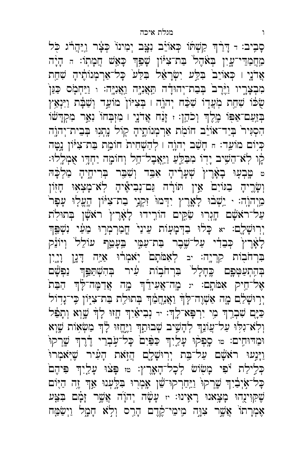ּסָבִיב: וּ דָּרַ֫ךְ קַשְׁתוֹ כְּאוֹיֵב נִצֶּב יְמִינוֹ כְּצָׂר וַיַּהֲרֹוּ כְּל מַחֲמַדֵּי־עֲיָן בְּאֹהֶל בַּת־צִיּּוֹן שָׁפַּךְ כָּאֵשׁ חֲמָתְוֹ: הּ הָיָ֫ה אֲדֹנֵי ו כִּאוֹיֵבוֹ בִּלֵּע יִשְׂרָאֵל בִּלַּעוֹ כָּל־אַרְמְנוֹתֵיהָ שָׁחֱת מִבְצָרֱיו וַיֶּ֫רֶב בְּבַת־יְהוּדָה תַּאֲנִיֶּה וַאֲנִיֶּה: וּ וַיַּחְמָׂס כַּנַּן שֻּׂכֹּוֹ שִׁחֵת מְעֲדֶוֹ שִׁכַּח יְהוֶה וּ בְּצִיּוֹן מוֹעֵד וְשַׁבָּת וַיִּנְאַין בְּזַעֲם־אַפִּוֹ מֶלֶךְ וְכֹהֵן: ، זָנַח אֲדֹנֶי ו מִזְבְחוֹ נִאֵר מִקְדָשׁוֹ הִסְגִּיר בְּיַד־אוֹיֵב חוֹמָת אַרִמְנוֹתֵיהָ קְוֹל נָתְנִוּ בִּבֵית־יִהוֶה כְּיָוֹם מוֹעֵד: חּ חָשָׁב יְהוֶה ו לְהַשְׁחִית חוֹמַת בַּת־צִיּּוֹן נָטָָה לֶו לְא־הֵשִׁיב יָדָוֹ מִבַּלֵּעַ וַיַּאֲבָל־הֵל וְחוֹמָה יַחְדָו אָמְלֶלוּ: ּ טָּבְעַוּ בָאֲרֵץ<sup>ּ</sup> שָׁעָרֵיהָ אָבֵּד וְשָׁבֵּר בְּרִיחֵיהָ מַלְכָּהּ וְשָׂרֶיהָ בַגּוֹיִםׂ אֵין תּוֹרָה גַּם־נְבִיאֶיהָ לְא־מָצְאִוּ חָזָוֹן מֵיְהוָה: י יֵשְׁבוּ לָאָרֶץ יִדְמוּ זִקְנֵי בַת־צִיּּוֹן הֶעֱלִוּ עָפָר עַל־ראֹשָׁם חָגְרִוּ שַׂקֵים הוֹרָידוּ לָאָרֶץ ראֹשָׁן בְּתוּלִת וָרוּשָׁלָם: יא כָּלוּ בַדְּמָעָוֹת עֵינַיֹ חֲמַרְמְרַוּ מֵעַי וִשְׁפִּּךְ לְאָרֶץ כְּבֵדִי עַל־שֶׁבֶר בַּת־עַמֶּי בֵּעָמֵךְ עוֹלֵל וְיוֹנֵק בִּרְחֹבְוֹת קִרְיֶה: יב לְאָמֹתָם יְאֹמְרוּ אַיֵּה דָּגְן וְיָיֶן בְּהִתְעַמְּכֶם כֶּחָלָל בִּרְחֹבְוֹת עָוֹר בְּהִשְׁתַּבֵּּךְ נַפְּשָׁם אָל־חֵיק אִמֹּתֶם: ּיוּ מֶה־אֲעִידֵּ֫ךְּ מֶה אֲדַמֶּה־לָּ֔ךְ הַבַּתֹ יִרְוּשָׁלֵם מֶה אַשְׁוֶה־לָךְ וַאֲנַחֲמֵךְ בְּתוּלֵת בַּת־צִיְוֹן כִּי־גָדְוֹל כַּיָּם שִׁבְרֶךְ מִי יִרְפָּא־לֶךְ: ּדּ נְבִיאַיִךְ חֶזוּ לָךְ שֶׁוָא וְתָפֵל וְלְאֹ־גִלְוּ עַל־עֲוֹנֵךְ לְהָשִׁיב שְׁבוּתֵךְ וַיֶּחֱזוּ לָךְ מַשְׂאָוֹת שָׁוְא וּמַדּוּחִים: ﮬוּ סֶפְקוּ עָלֵיִךְ כַּפַּיִם כָּל־עַבְרֵי דָיָרֶךְ שֶׁרְקוּ וַיָּנְעוּ רֹאשָׁם עַל־בָּת יְרְוּשָׁלֶֶם הֲזְאֹת הָעִ֫יר שֶׁיִּאֹמְרוּ לַלְגַם יִפִּי מָשָׂוֹשׁ לְכָל־הָאָרֶץ: ﮬִי פָּצֹוּ עָלָיִךְ פִּיהֶם ּכָּל־אָיְבָ֫יִךְ שֶׁרְקוּ<sup>ּ</sup> וַיַּחַרְקוּ־שֵׁן אָמְרִוּ בִּלֵּעְנוּ אַךְ זֶה הַיָּוֹם שָׁקִוִּינֻהוּ מָצָאנוּ רָאִינוּ: זּ עָשָׂה יְהוָׂה אֲשֶׁר זָמָם בִּצִּע אַמְרָתוֹ אֲשֶׁר צִוֶּה מֵימֵי־קֶׂדֵם הָרֵס וִלְא חָמָל וַיִשַּׂמֵח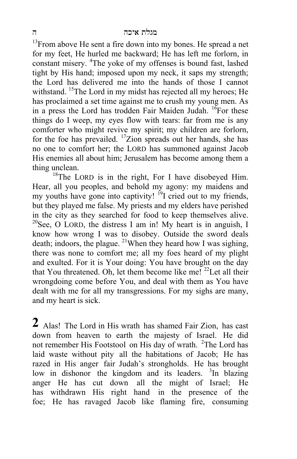$13$ From above He sent a fire down into my bones. He spread a net for my feet, He hurled me backward; He has left me forlorn, in constant misery. <sup>4</sup>The yoke of my offenses is bound fast, lashed tight by His hand; imposed upon my neck, it saps my strength; the Lord has delivered me into the hands of those I cannot withstand. <sup>15</sup>The Lord in my midst has rejected all my heroes; He has proclaimed a set time against me to crush my young men. As in a press the Lord has trodden Fair Maiden Judah.  ${}^{16}$ For these things do I weep, my eyes flow with tears: far from me is any comforter who might revive my spirit; my children are forlorn, for the foe has prevailed. 17Zion spreads out her hands, she has no one to comfort her; the LORD has summoned against Jacob His enemies all about him; Jerusalem has become among them a thing unclean.

 $18$ The LORD is in the right, For I have disobeyed Him. Hear, all you peoples, and behold my agony: my maidens and my youths have gone into captivity!  $^{19}I$  cried out to my friends, but they played me false. My priests and my elders have perished in the city as they searched for food to keep themselves alive. <sup>20</sup>See, O LORD, the distress I am in! My heart is in anguish, I know how wrong I was to disobey. Outside the sword deals death; indoors, the plague. <sup>21</sup>When they heard how I was sighing, there was none to comfort me; all my foes heard of my plight and exulted. For it is Your doing: You have brought on the day that You threatened. Oh, let them become like me!  $^{22}$ Let all their wrongdoing come before You, and deal with them as You have dealt with me for all my transgressions. For my sighs are many, and my heart is sick.

**2** Alas! The Lord in His wrath has shamed Fair Zion, has cast down from heaven to earth the majesty of Israel. He did not remember His Footstool on His day of wrath. <sup>2</sup>The Lord has laid waste without pity all the habitations of Jacob; He has razed in His anger fair Judah's strongholds. He has brought low in dishonor the kingdom and its leaders. <sup>3</sup>In blazing anger He has cut down all the might of Israel; He has withdrawn His right hand in the presence of the foe; He has ravaged Jacob like flaming fire, consuming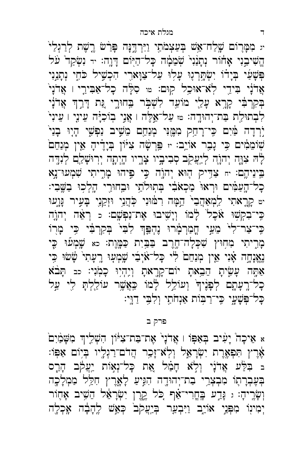יי מִמָּרוֹם שָׁלַח־אֵשׁ בְּעַצְמֹתַי וַיִּרְדֶּנָּה פְּרַ֫שׁ רֶשֶׁת לְרַגְלַיֹ ְהֱשִׁיבֵנִי אָחוֹר נְתָנַנִי שְׁמֵמָּה כָּל־הַיִּוֹם דָּוֶה: ּוּ נִשְׂקַד עֹל פִּשָּׁעַי בִּיָדוֹ יִשְׂהַרְגֶוּ עָלִוּ עַל־צַוַּארֵי הִכְשֵׁיל כֹּחֵי נִתֲנָנִי אֲדֹנָי בִּידֵי לְאֹ־אוּכֵל קִוּם: ײַ סִלָּה כָל־אַבִּירֵי ו אֲדֹנָי בְּקִרְבִּי קְרֶא עָלֵי מוֹעֵד לִשְׁבִּר בְּחוּרֶי גַּת דְּרֵךְ אֲדֹנָי לִבְתוּלֵת בַּת־יְהוּדֶה: ଖ עַל־אֱלֵה ו אֲנֵי בְוֹכְיָּה עֵינֵי ו עֵינִי יַרְדָה מַּיִם כִּי־רָחַק מִמֶּנִּי מְנַחֵם מֵשֵׁיב נַפְשֵׁי הָיִוּ בָנַי שִׁוֹמֲמִים כִּי נָבְר אוֹיֵב: ּוּ פֵּרְשָּׁה צִיּוֹן בְיָדֵיהָ אֵין מִנַחֲם לְהּ צִוָּה יְהוָה לְיָעֲקָב סְבִיבְיו צָרֵיו הָיְתָה יְרִוּשָׁלֵַם לְנִדֶּה בֵינֵיהֱם: יחּ צַדֵּיק הָוּא יִהְוָה כֵּי פֵיהוּ מָרֵיתִי שָׁמְעוּ־נֵא ּכָל־הָעַמִּים וּרְאוּ מַכְאֹבִי בְּתְוּלֹתֵי וּבְחוּרֵי הָלְכִוּ בַשֶּׁבִי: יי קְרֶאתִי לַמְאַחֲבִי הֵמָּה רִמּוּנִי כְּחֲנֵי וּזְקֵנֵי בְעִיר גָּוֶעֵוּ ּכֵּי־בְקִשָּׁוּ אֹכֵל לָמוֹ וְיָשִׁיבוּ אֶת־נַפְּשֶׁם: د רָאֶה יְהוָה כִּי־צַר־לִי מֵעַי חֲמַרְמָרוּ נֶהְפֵּךְ לִבְיֹ בְקִרְבִּי כִּי מָרָוֹ מָרֶיתִי מִחְוּץ שִׁכְלָה־חֱרֶב בַּבְּיָת כַּמֲוֶת: כֹּא שֶׁמְעֿוּ כָּי נֶאֱנְחָה אָנִי אֵין מְנַחֵם לִי כָּל־אֹיְבִי שֶׁמְעָוּ רֵעָתִי שָׁשׁוּ כִּי אַתָּה עָשָׂיתָ הֵבֵאתָ יוֹם־קָרֶאתָ וְיֶהִיִּוּ כָּמִׂנִי: כִּב תָּבֹֹא כָל־רָעָתָם לִפְנֵיךּ וִעוֹלֵל לָמוֹ כַּאֲשֶׁר עוֹלֵלִתָּ לִי עַל ּכָּל־פִּשָׁעֵי כֵּי־רַבְּוֹת אַנְחֹתַי וִלְבֵּי דַוַּי:

פרק ב

× אֵיכָה יָעִיב בְּאַפְּוֹ ו אֲדֹנָיֹ אֵת־בַּת־צִיּּוֹן הִשְׁלֵיךְ מִשָּׁמַ֫יִם אֶרֵץ תִּפְאֶרֶת יִשְׂרָאֵל וְלְאֹ־זָכֵר הֲדֹם־רַגְלָיו בִּיְוֹם אַפְּוֹ: ב בִּלֵּע אֲדֹנָי וְלָא חָמַל אֵת כָּל־נְאָוֹת יַעֲקֹב הָרָס בְּעֶבְרָתֶוֹ מִבְצְרֵי בַת־יְהוּדֶה הִגְּיִעַ לָאֱרֶץ חִלֵּל מַמְלָכֶה וְשָׂרֶיהָ: ג נְּדֵע בָּחֲרִי־אַֹף כֹּל קֶרֶן יִשְׂרָאֵל הֵשִׁיב אָחָוֹר יִמִינוֹ מִפְּנֵי אוֹיֵב וַיִּבְעַר בְּיֵעֲקֹב כָּאֲשׁ לֵהָבָה אַכְלָה

7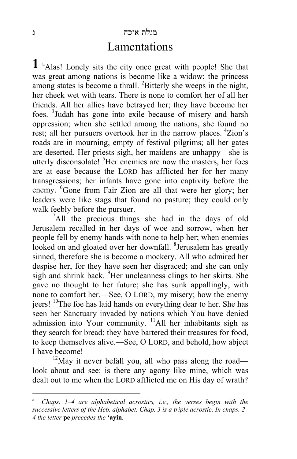#### מגלת איכה ג

### Lamentations

**1** a Alas! Lonely sits the city once great with people! She that was great among nations is become like a widow; the princess among states is become a thrall. <sup>2</sup>Bitterly she weeps in the night, her cheek wet with tears. There is none to comfort her of all her friends. All her allies have betrayed her; they have become her foes. <sup>3</sup> Judah has gone into exile because of misery and harsh oppression; when she settled among the nations, she found no rest; all her pursuers overtook her in the narrow places. 4Zion's roads are in mourning, empty of festival pilgrims; all her gates are deserted. Her priests sigh, her maidens are unhappy—she is utterly disconsolate! <sup>5</sup>Her enemies are now the masters, her foes are at ease because the LORD has afflicted her for her many transgressions; her infants have gone into captivity before the enemy. <sup>6</sup>Gone from Fair Zion are all that were her glory; her leaders were like stags that found no pasture; they could only walk feebly before the pursuer.

<sup>7</sup>All the precious things she had in the days of old Jerusalem recalled in her days of woe and sorrow, when her people fell by enemy hands with none to help her; when enemies looked on and gloated over her downfall. <sup>8</sup> Jerusalem has greatly sinned, therefore she is become a mockery. All who admired her despise her, for they have seen her disgraced; and she can only sigh and shrink back. <sup>9</sup>Her uncleanness clings to her skirts. She gave no thought to her future; she has sunk appallingly, with none to comfort her.—See, O LORD, my misery; how the enemy jeers! <sup>10</sup>The foe has laid hands on everything dear to her. She has seen her Sanctuary invaded by nations which You have denied admission into Your community.  $\frac{11}{1}$ All her inhabitants sigh as they search for bread; they have bartered their treasures for food, to keep themselves alive.—See, O LORD, and behold, how abject I have become!

 $12$ May it never befall you, all who pass along the road look about and see: is there any agony like mine, which was dealt out to me when the LORD afflicted me on His day of wrath?

 $\overline{a}$ 

Chaps. 1–4 are alphabetical acrostics, *i.e.*, the verses begin with the *successive letters of the Heb. alphabet. Chap. 3 is a triple acrostic. In chaps. 2– 4 the letter* **pe** *precedes the* **'ayin***.*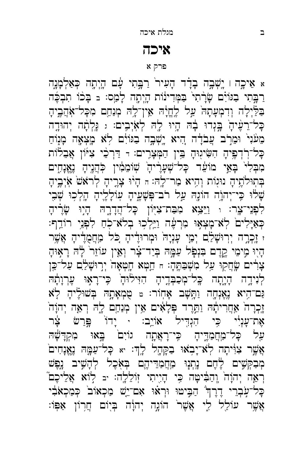א אֵיכֶה ו יָשְׁבֶה בָדָד הָעִיר<sup>י</sup> רַבְּתִי עָם הָיְתֶה כְּאַלְמָנֶה רַבְּתִי בַגּוֹיָם שָׂרָתִי בַּמְּדִינוֹת הָיְתֶה לָמַס: בּ בָּכֹוֹ תִבְבֶּה בַּלַּיְלָה וְדִמְעָתָה עַל לֶחֱיָה אֵין־לָהּ מְנַחֵם מִכָּל־אֹהֲבֶיהָ ּכָּל־רֵעָּ֫יהָ בְּנְדוּ בָה הָיוּ לָה לְאִיִּבִים: ג גַּלְתָה יְהוּדֶה מֵעֹּנִי וּמֵרִב עֲבֹדָה הִיא יֶשְׁבֶה בַּגּוֹיָם לְא מָצִאֲה מָנִוֹחַ כְּל־רְדְפֶיהָ הִשִּׂיגִוּהָ בֵּין הַמְּצָרֶים: דּ דַּרְכֵּי צִיּוֹן אֲבֵלֹוֹת מִבְּלִי בָּאֵי מוֹעֵר כָּל־שְׁעָרֶיהָ שְׁוֹמֵמִין כְּהֲנֶיהָ נֶאֱנָחֵים בְּתְוּלֹתֶיהָ נוּגְוֹת וְהִיא מַר־לֶהּ: הּ הָיוּ צָרֱיהָ לְרֹאֹשׂ אִיְבֶיהָ שָׁלוּ כִּי־יְהוָה הוֹנֶהּ עַל רֹב־פִּשָּׁעֵיהָ עִוֹלְלֶיהָ הָלְכִוּ שְׁבִי לִפְנֵי־צֶר: וּ וַיֵּצֵא מִבַּת־צִיּּוֹן כָּל־הֲדָרֶהּ הָיִוּ שָׂרֶיהָ ִכְּאַיְלִיםׂ לְאֹ־מָֽצְאָוּ מִרְעֶׁה וַיֵּלְכְוּ בְלֹא־כֻחַ לִפְנֵי רוֹדֵף: ּי זַׂלְרֵה יִרְוּשָׁלַם יְמֵי עָנְיָה<sup>ְ</sup> וּמְרוּדָיֹהָ כִּל מַּחֲמֻדִיהָ אֲשֶׁר הָיִוּ מִימֵי קֵדֵם בִּנְפָל עַמֶּהּ בִּיַד־צָר וְאֵין עוֹזֵר לָהּ רָאִוּהָ צְרִים שֶׂחֲקִוּ עַל מִשְׁבַּתֱהָ: n חֵמְא חָמְאָה יְרִוּשָׁלַם עַל־כֵּן לִיִּיְדֶה הָיָתָה כָּל־מִכַּבְּדֵיהָ הִיִּילוּהָ כֵּי־רָאָוּ עֵרְוָתָהּ ַנָּם־הָיא נֶאֶנְחֶה וַתָּשָׁב אָחְוֹר: ୶ טֻמְאָתָהּ בְּשׁוּלֶיהָ לָא זֶכְרָה אַחֲרִיתָה וַתֵּרֶד פְּלָאִים אֵין מְנַחֵם לֶהּ רְאֵה יְהוָה אָת־עָנְיִ֫י כִּי הִנְדִּיל אוֹיֵב: ּ יָדוֹ פְּרַשׁ צָּ֫ר עֵל כָּל־מַחֲמַדֶּיהָ כִּי־רָאֲתֶה גוֹיִםׂ בָּאוּ מִקְדָשָׁהּ אֲשֶׁר צִוּיתָה לְאֹ־יָבְאוּ בַקְהֶל לְדְּ: א כָּל־עַמֱהּ נֶאֱנָחִים **ַ**מְבַקְשִׁים לֶחֶם נָתְנָוּ מַחֲמַדֵּיהֶם בְּאָכֶל לְהָשִׁיב נֶפֶשׁ רְאֵה יְהוָה וְהַבִּ֫יִשָּׁה כִּי הָיֶיִתִי זְוֹלֵלֶה: יִּב לְוֹא אֲלֵיכֶם ֿ כְּל־עָבְרֵי דֶרֶךְ הַבְּיטוּ וּרְאוּ אִם־יֵשׁ מַכְאוֹב<sup>י</sup> כְּמַכְאֹבִי אֲשֵׁר עוֹלֵל לִי אֲשֶׁר<sup>י</sup> הוֹגְה יְהוָׂה בְיִוֹם חֲרָוֹן אַפְּוֹ:

# פרק א

## איכה

#### מגלת איכה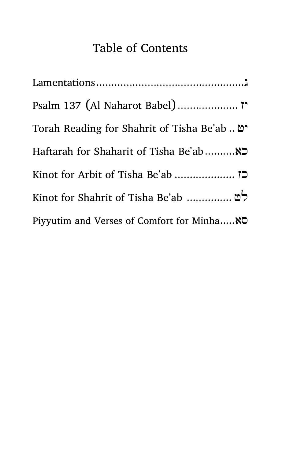## Table of Contents

| "מ . Torah Reading for Shahrit of Tisha Be'ab |
|-----------------------------------------------|
|                                               |
|                                               |
| לט  Kinot for Shahrit of Tisha Be'ab          |
| Piyyutim and Verses of Comfort for Minha NO   |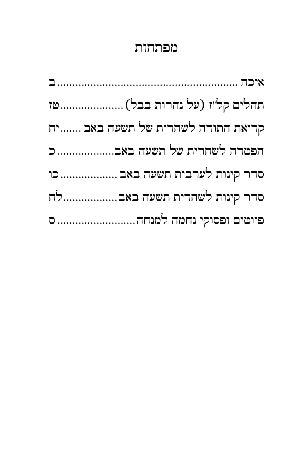## מפתחות

| תהלים קל"ז (על נהרות בבל)  טז     |
|-----------------------------------|
| קריאת התורה לשחרית של תשעה באב יח |
| הפטרה לשחרית של תשעה באב          |
| סדר קינות לערבית תשעה באב  כו     |
| סדר קינות לשחרית תשעה באבלח       |
|                                   |